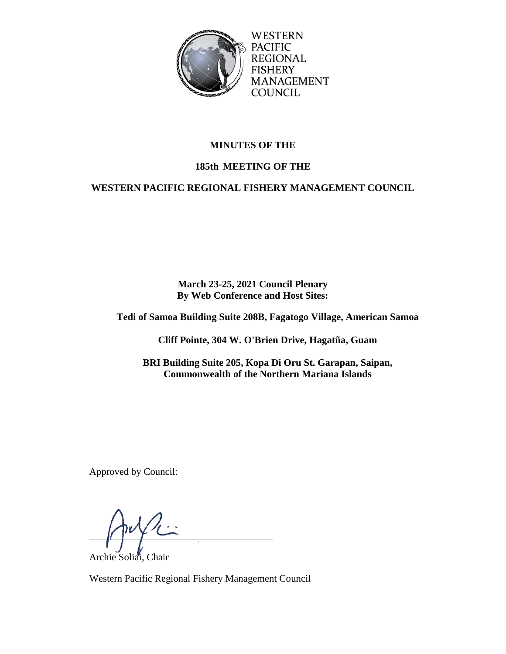

WESTERN **PACIFIC REGIONAL FISHERY** MANAGEMENT **COUNCIL** 

# **MINUTES OF THE**

# **185th MEETING OF THE**

# **WESTERN PACIFIC REGIONAL FISHERY MANAGEMENT COUNCIL**

**March 23-25, 2021 Council Plenary By Web Conference and Host Sites:** 

**Tedi of Samoa Building Suite 208B, Fagatogo Village, American Samoa**

**Cliff Pointe, 304 W. O'Brien Drive, Hagatña, Guam**

**BRI Building Suite 205, Kopa Di Oru St. Garapan, Saipan, Commonwealth of the Northern Mariana Islands**

Approved by Council:

 $\int$ 

Archie Soliai, Chair

Western Pacific Regional Fishery Management Council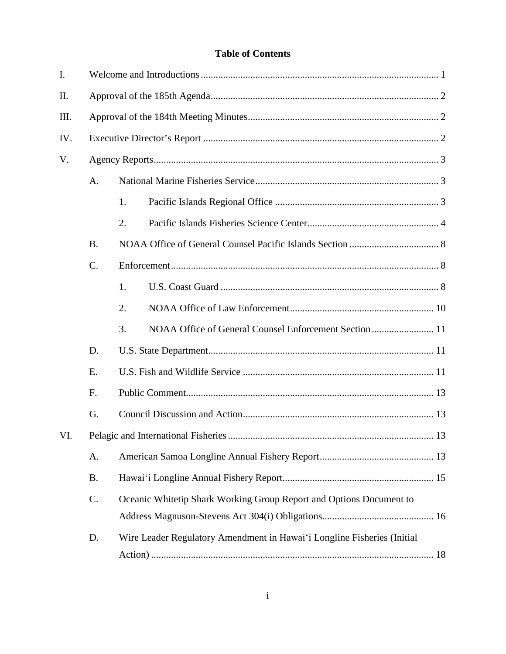## **Table of Contents**

| I.   |           |                                                                     |                                                                         |  |  |  |
|------|-----------|---------------------------------------------------------------------|-------------------------------------------------------------------------|--|--|--|
| II.  |           |                                                                     |                                                                         |  |  |  |
| III. |           |                                                                     |                                                                         |  |  |  |
| IV.  |           |                                                                     |                                                                         |  |  |  |
| V.   |           |                                                                     |                                                                         |  |  |  |
|      | A.        |                                                                     |                                                                         |  |  |  |
|      |           | 1.                                                                  |                                                                         |  |  |  |
|      |           | 2.                                                                  |                                                                         |  |  |  |
|      | <b>B.</b> |                                                                     |                                                                         |  |  |  |
|      | $C$ .     |                                                                     |                                                                         |  |  |  |
|      |           | 1.                                                                  |                                                                         |  |  |  |
|      |           | 2.                                                                  |                                                                         |  |  |  |
|      |           | 3.                                                                  | NOAA Office of General Counsel Enforcement Section  11                  |  |  |  |
|      | D.        |                                                                     |                                                                         |  |  |  |
|      | Ε.        |                                                                     |                                                                         |  |  |  |
|      | F.        |                                                                     |                                                                         |  |  |  |
|      | G.        |                                                                     |                                                                         |  |  |  |
| VI.  |           |                                                                     |                                                                         |  |  |  |
|      | A.        |                                                                     |                                                                         |  |  |  |
|      | <b>B.</b> |                                                                     |                                                                         |  |  |  |
|      | C.        | Oceanic Whitetip Shark Working Group Report and Options Document to |                                                                         |  |  |  |
|      |           |                                                                     |                                                                         |  |  |  |
|      | D.        |                                                                     | Wire Leader Regulatory Amendment in Hawai'i Longline Fisheries (Initial |  |  |  |
|      |           |                                                                     |                                                                         |  |  |  |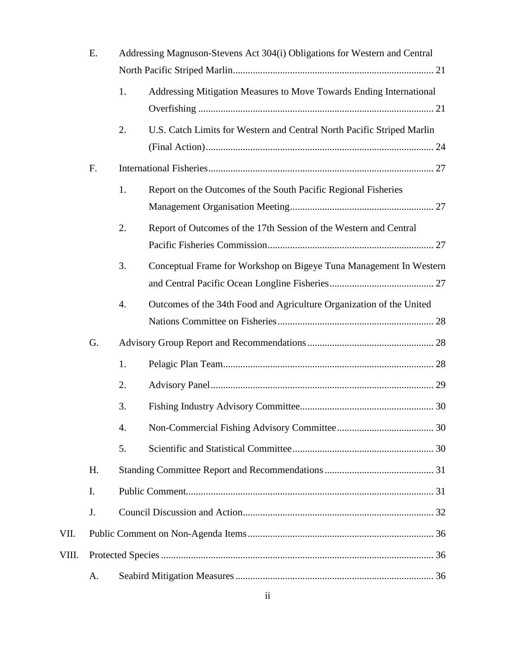|       | E. | Addressing Magnuson-Stevens Act 304(i) Obligations for Western and Central |                                                                        |  |
|-------|----|----------------------------------------------------------------------------|------------------------------------------------------------------------|--|
|       |    |                                                                            |                                                                        |  |
|       |    | 1.                                                                         | Addressing Mitigation Measures to Move Towards Ending International    |  |
|       |    |                                                                            |                                                                        |  |
|       |    | 2.                                                                         | U.S. Catch Limits for Western and Central North Pacific Striped Marlin |  |
|       |    |                                                                            |                                                                        |  |
|       | F. |                                                                            |                                                                        |  |
|       |    | 1.                                                                         | Report on the Outcomes of the South Pacific Regional Fisheries         |  |
|       |    |                                                                            |                                                                        |  |
|       |    | 2.                                                                         | Report of Outcomes of the 17th Session of the Western and Central      |  |
|       |    |                                                                            |                                                                        |  |
|       |    | 3.                                                                         | Conceptual Frame for Workshop on Bigeye Tuna Management In Western     |  |
|       |    |                                                                            |                                                                        |  |
|       |    | 4.                                                                         | Outcomes of the 34th Food and Agriculture Organization of the United   |  |
|       |    |                                                                            |                                                                        |  |
|       | G. |                                                                            |                                                                        |  |
|       |    | 1.                                                                         |                                                                        |  |
|       |    | 2.                                                                         |                                                                        |  |
|       |    | 3.                                                                         |                                                                        |  |
|       |    | 4.                                                                         |                                                                        |  |
|       |    | 5.                                                                         |                                                                        |  |
|       | H. |                                                                            |                                                                        |  |
|       | I. |                                                                            |                                                                        |  |
|       | J. |                                                                            |                                                                        |  |
| VII.  |    |                                                                            |                                                                        |  |
| VIII. |    |                                                                            |                                                                        |  |
|       | A. |                                                                            |                                                                        |  |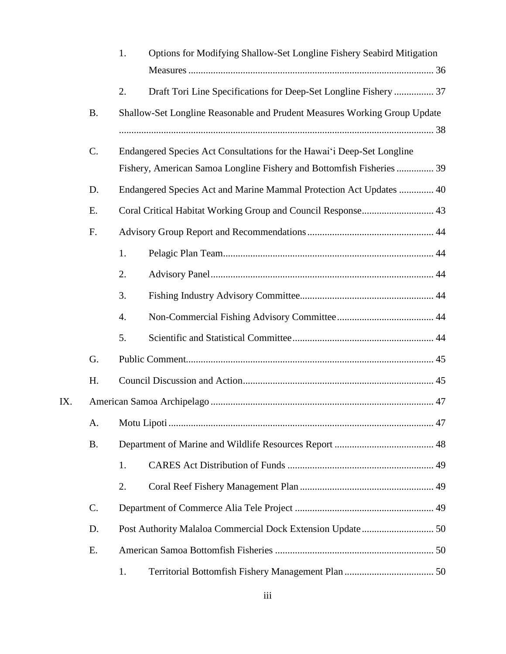|     |           | 1.                                                                  | Options for Modifying Shallow-Set Longline Fishery Seabird Mitigation     |  |  |  |
|-----|-----------|---------------------------------------------------------------------|---------------------------------------------------------------------------|--|--|--|
|     |           | 2.                                                                  | Draft Tori Line Specifications for Deep-Set Longline Fishery  37          |  |  |  |
|     | <b>B.</b> |                                                                     | Shallow-Set Longline Reasonable and Prudent Measures Working Group Update |  |  |  |
|     |           |                                                                     |                                                                           |  |  |  |
|     | $C$ .     |                                                                     | Endangered Species Act Consultations for the Hawai'i Deep-Set Longline    |  |  |  |
|     |           |                                                                     | Fishery, American Samoa Longline Fishery and Bottomfish Fisheries  39     |  |  |  |
|     | D.        | Endangered Species Act and Marine Mammal Protection Act Updates  40 |                                                                           |  |  |  |
|     | Ε.        |                                                                     | Coral Critical Habitat Working Group and Council Response 43              |  |  |  |
|     | F.        |                                                                     |                                                                           |  |  |  |
|     |           | 1.                                                                  |                                                                           |  |  |  |
|     |           | 2.                                                                  |                                                                           |  |  |  |
|     |           | 3.                                                                  |                                                                           |  |  |  |
|     |           | 4.                                                                  |                                                                           |  |  |  |
|     |           | 5.                                                                  |                                                                           |  |  |  |
|     | G.        |                                                                     |                                                                           |  |  |  |
|     | H.        |                                                                     |                                                                           |  |  |  |
| IX. |           |                                                                     |                                                                           |  |  |  |
|     | A.        |                                                                     |                                                                           |  |  |  |
|     | <b>B.</b> |                                                                     |                                                                           |  |  |  |
|     |           | 1.                                                                  |                                                                           |  |  |  |
|     |           | 2.                                                                  |                                                                           |  |  |  |
|     | C.        |                                                                     |                                                                           |  |  |  |
|     | D.        |                                                                     |                                                                           |  |  |  |
|     | Ε.        |                                                                     |                                                                           |  |  |  |
|     |           | 1.                                                                  |                                                                           |  |  |  |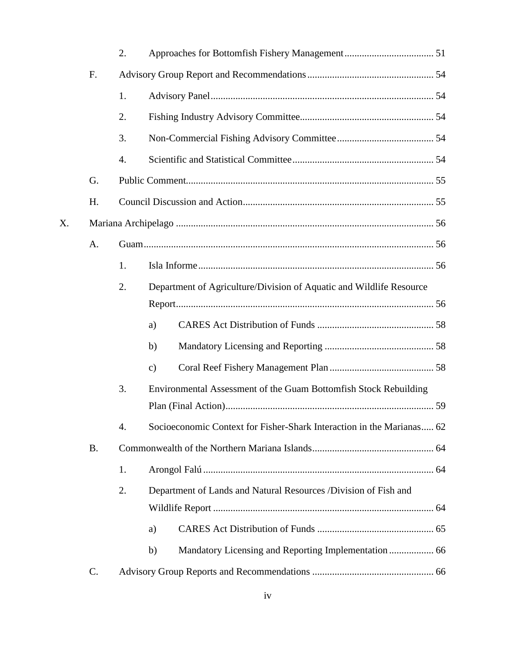|    |           | 2. |               |                                                                       |  |  |
|----|-----------|----|---------------|-----------------------------------------------------------------------|--|--|
|    | F.        |    |               |                                                                       |  |  |
|    |           | 1. |               |                                                                       |  |  |
|    |           | 2. |               |                                                                       |  |  |
|    |           | 3. |               |                                                                       |  |  |
|    |           | 4. |               |                                                                       |  |  |
|    | G.        |    |               |                                                                       |  |  |
|    | H.        |    |               |                                                                       |  |  |
| X. |           |    |               |                                                                       |  |  |
|    | A.        |    |               |                                                                       |  |  |
|    |           | 1. |               |                                                                       |  |  |
|    |           | 2. |               | Department of Agriculture/Division of Aquatic and Wildlife Resource   |  |  |
|    |           |    |               |                                                                       |  |  |
|    |           |    | a)            |                                                                       |  |  |
|    |           |    | b)            |                                                                       |  |  |
|    |           |    | $\mathbf{c})$ |                                                                       |  |  |
|    |           | 3. |               | Environmental Assessment of the Guam Bottomfish Stock Rebuilding      |  |  |
|    |           |    |               |                                                                       |  |  |
|    |           | 4. |               | Socioeconomic Context for Fisher-Shark Interaction in the Marianas 62 |  |  |
|    | <b>B.</b> |    |               |                                                                       |  |  |
|    |           | 1. |               |                                                                       |  |  |
|    |           | 2. |               | Department of Lands and Natural Resources /Division of Fish and       |  |  |
|    |           |    |               |                                                                       |  |  |
|    |           |    | a)            |                                                                       |  |  |
|    |           |    | b)            |                                                                       |  |  |
|    | C.        |    |               |                                                                       |  |  |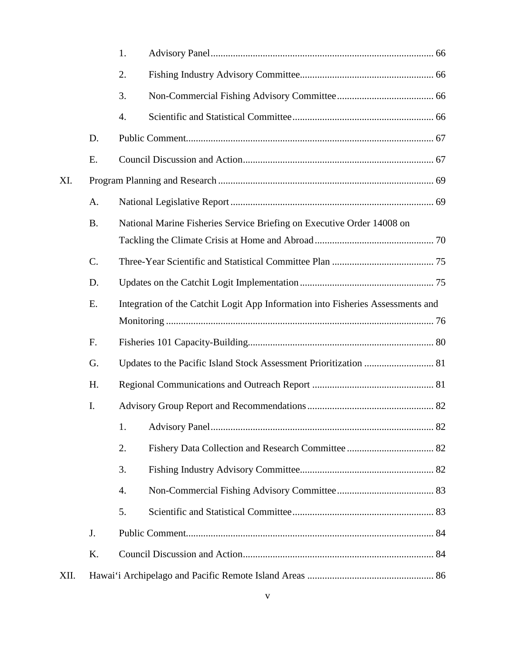|      |           | 1.                                                                              |  |  |  |  |  |
|------|-----------|---------------------------------------------------------------------------------|--|--|--|--|--|
|      |           | 2.                                                                              |  |  |  |  |  |
|      |           | 3.                                                                              |  |  |  |  |  |
|      |           | 4.                                                                              |  |  |  |  |  |
|      | D.        |                                                                                 |  |  |  |  |  |
|      | E.        |                                                                                 |  |  |  |  |  |
| XI.  |           |                                                                                 |  |  |  |  |  |
|      | A.        |                                                                                 |  |  |  |  |  |
|      | <b>B.</b> | National Marine Fisheries Service Briefing on Executive Order 14008 on          |  |  |  |  |  |
|      |           |                                                                                 |  |  |  |  |  |
|      | C.        |                                                                                 |  |  |  |  |  |
|      | D.        |                                                                                 |  |  |  |  |  |
|      | E.        | Integration of the Catchit Logit App Information into Fisheries Assessments and |  |  |  |  |  |
|      |           |                                                                                 |  |  |  |  |  |
|      | F.        |                                                                                 |  |  |  |  |  |
|      | G.        |                                                                                 |  |  |  |  |  |
|      | H.        |                                                                                 |  |  |  |  |  |
|      | I.        |                                                                                 |  |  |  |  |  |
|      |           | 1.                                                                              |  |  |  |  |  |
|      |           | 2.                                                                              |  |  |  |  |  |
|      |           | 3.                                                                              |  |  |  |  |  |
|      |           | $\overline{4}$ .                                                                |  |  |  |  |  |
|      |           | 5.                                                                              |  |  |  |  |  |
|      | J.        |                                                                                 |  |  |  |  |  |
|      | K.        |                                                                                 |  |  |  |  |  |
| XII. |           |                                                                                 |  |  |  |  |  |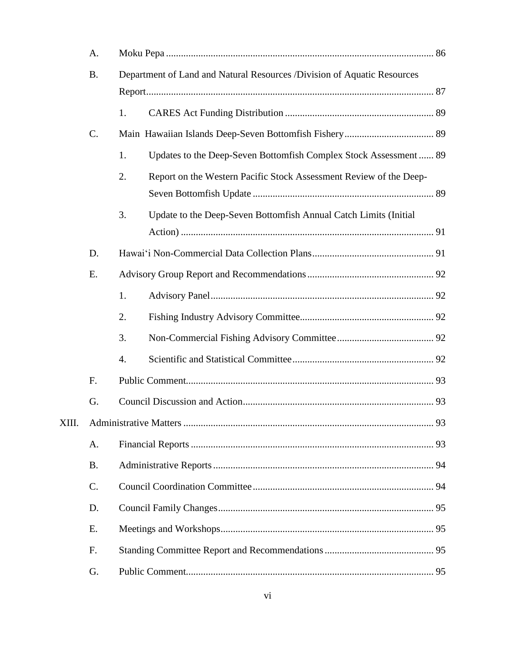|       | A.        |                                                                         |                                                                    |  |  |
|-------|-----------|-------------------------------------------------------------------------|--------------------------------------------------------------------|--|--|
|       | <b>B.</b> | Department of Land and Natural Resources /Division of Aquatic Resources |                                                                    |  |  |
|       |           |                                                                         |                                                                    |  |  |
|       |           | 1.                                                                      |                                                                    |  |  |
|       | C.        |                                                                         |                                                                    |  |  |
|       |           | 1.                                                                      | Updates to the Deep-Seven Bottomfish Complex Stock Assessment  89  |  |  |
|       |           | 2.                                                                      | Report on the Western Pacific Stock Assessment Review of the Deep- |  |  |
|       |           | 3.                                                                      | Update to the Deep-Seven Bottomfish Annual Catch Limits (Initial   |  |  |
|       | D.        |                                                                         |                                                                    |  |  |
|       | E.        |                                                                         |                                                                    |  |  |
|       |           | 1.                                                                      |                                                                    |  |  |
|       |           | 2.                                                                      |                                                                    |  |  |
|       |           | 3.                                                                      |                                                                    |  |  |
|       |           | 4.                                                                      |                                                                    |  |  |
|       | F.        |                                                                         |                                                                    |  |  |
|       | G.        |                                                                         |                                                                    |  |  |
| XIII. |           |                                                                         |                                                                    |  |  |
|       | A.        |                                                                         |                                                                    |  |  |
|       | <b>B.</b> |                                                                         |                                                                    |  |  |
|       | C.        |                                                                         |                                                                    |  |  |
|       | D.        |                                                                         |                                                                    |  |  |
|       | Ε.        |                                                                         |                                                                    |  |  |
|       | F.        |                                                                         |                                                                    |  |  |
|       | G.        |                                                                         |                                                                    |  |  |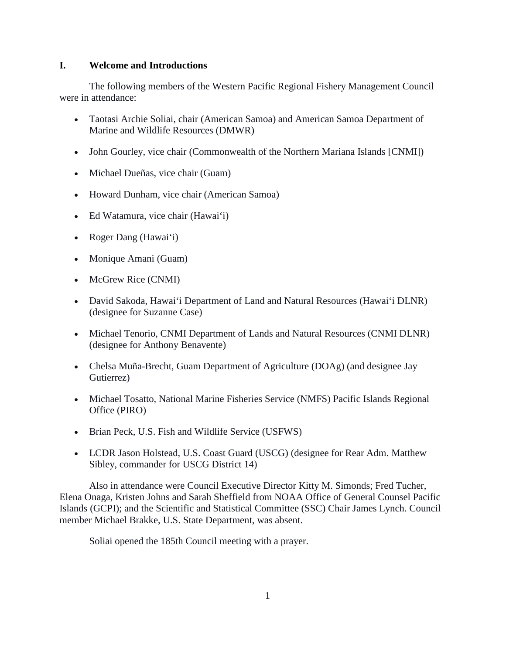## **I. Welcome and Introductions**

The following members of the Western Pacific Regional Fishery Management Council were in attendance:

- Taotasi Archie Soliai, chair (American Samoa) and American Samoa Department of Marine and Wildlife Resources (DMWR)
- John Gourley, vice chair (Commonwealth of the Northern Mariana Islands [CNMI])
- Michael Dueñas, vice chair (Guam)
- Howard Dunham, vice chair (American Samoa)
- Ed Watamura, vice chair (Hawai'i)
- Roger Dang (Hawai'i)
- Monique Amani (Guam)
- McGrew Rice (CNMI)
- David Sakoda, Hawai'i Department of Land and Natural Resources (Hawai'i DLNR) (designee for Suzanne Case)
- Michael Tenorio, CNMI Department of Lands and Natural Resources (CNMI DLNR) (designee for Anthony Benavente)
- Chelsa Muña-Brecht, Guam Department of Agriculture (DOAg) (and designee Jay Gutierrez)
- Michael Tosatto, National Marine Fisheries Service (NMFS) Pacific Islands Regional Office (PIRO)
- Brian Peck, U.S. Fish and Wildlife Service (USFWS)
- LCDR Jason Holstead, U.S. Coast Guard (USCG) (designee for Rear Adm. Matthew Sibley, commander for USCG District 14)

Also in attendance were Council Executive Director Kitty M. Simonds; Fred Tucher, Elena Onaga, Kristen Johns and Sarah Sheffield from NOAA Office of General Counsel Pacific Islands (GCPI); and the Scientific and Statistical Committee (SSC) Chair James Lynch. Council member Michael Brakke, U.S. State Department, was absent.

Soliai opened the 185th Council meeting with a prayer.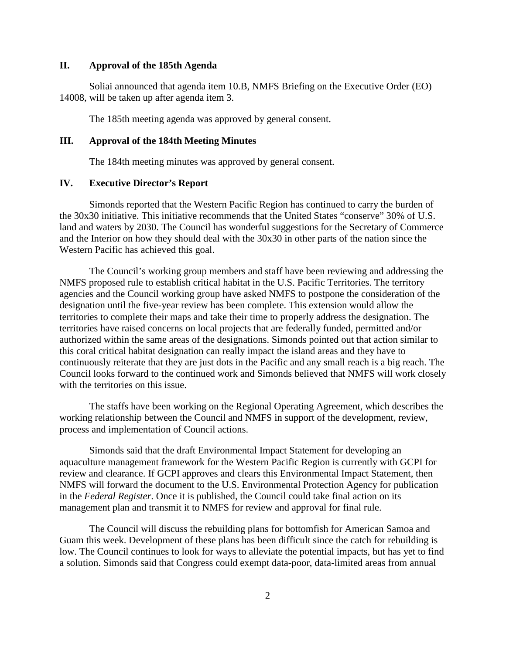#### **II. Approval of the 185th Agenda**

Soliai announced that agenda item 10.B, NMFS Briefing on the Executive Order (EO) 14008, will be taken up after agenda item 3.

The 185th meeting agenda was approved by general consent.

#### **III. Approval of the 184th Meeting Minutes**

The 184th meeting minutes was approved by general consent.

## **IV. Executive Director's Report**

Simonds reported that the Western Pacific Region has continued to carry the burden of the 30x30 initiative. This initiative recommends that the United States "conserve" 30% of U.S. land and waters by 2030. The Council has wonderful suggestions for the Secretary of Commerce and the Interior on how they should deal with the 30x30 in other parts of the nation since the Western Pacific has achieved this goal.

The Council's working group members and staff have been reviewing and addressing the NMFS proposed rule to establish critical habitat in the U.S. Pacific Territories. The territory agencies and the Council working group have asked NMFS to postpone the consideration of the designation until the five-year review has been complete. This extension would allow the territories to complete their maps and take their time to properly address the designation. The territories have raised concerns on local projects that are federally funded, permitted and/or authorized within the same areas of the designations. Simonds pointed out that action similar to this coral critical habitat designation can really impact the island areas and they have to continuously reiterate that they are just dots in the Pacific and any small reach is a big reach. The Council looks forward to the continued work and Simonds believed that NMFS will work closely with the territories on this issue.

The staffs have been working on the Regional Operating Agreement, which describes the working relationship between the Council and NMFS in support of the development, review, process and implementation of Council actions.

Simonds said that the draft Environmental Impact Statement for developing an aquaculture management framework for the Western Pacific Region is currently with GCPI for review and clearance. If GCPI approves and clears this Environmental Impact Statement, then NMFS will forward the document to the U.S. Environmental Protection Agency for publication in the *Federal Register*. Once it is published, the Council could take final action on its management plan and transmit it to NMFS for review and approval for final rule.

The Council will discuss the rebuilding plans for bottomfish for American Samoa and Guam this week. Development of these plans has been difficult since the catch for rebuilding is low. The Council continues to look for ways to alleviate the potential impacts, but has yet to find a solution. Simonds said that Congress could exempt data-poor, data-limited areas from annual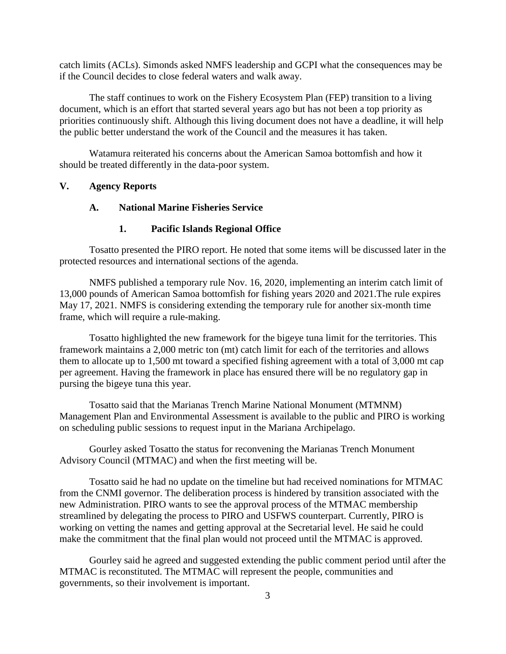catch limits (ACLs). Simonds asked NMFS leadership and GCPI what the consequences may be if the Council decides to close federal waters and walk away.

The staff continues to work on the Fishery Ecosystem Plan (FEP) transition to a living document, which is an effort that started several years ago but has not been a top priority as priorities continuously shift. Although this living document does not have a deadline, it will help the public better understand the work of the Council and the measures it has taken.

Watamura reiterated his concerns about the American Samoa bottomfish and how it should be treated differently in the data-poor system.

#### **V. Agency Reports**

#### **A. National Marine Fisheries Service**

#### **1. Pacific Islands Regional Office**

Tosatto presented the PIRO report. He noted that some items will be discussed later in the protected resources and international sections of the agenda.

NMFS published a temporary rule Nov. 16, 2020, implementing an interim catch limit of 13,000 pounds of American Samoa bottomfish for fishing years 2020 and 2021.The rule expires May 17, 2021. NMFS is considering extending the temporary rule for another six-month time frame, which will require a rule-making.

Tosatto highlighted the new framework for the bigeye tuna limit for the territories. This framework maintains a 2,000 metric ton (mt) catch limit for each of the territories and allows them to allocate up to 1,500 mt toward a specified fishing agreement with a total of 3,000 mt cap per agreement. Having the framework in place has ensured there will be no regulatory gap in pursing the bigeye tuna this year.

Tosatto said that the Marianas Trench Marine National Monument (MTMNM) Management Plan and Environmental Assessment is available to the public and PIRO is working on scheduling public sessions to request input in the Mariana Archipelago.

Gourley asked Tosatto the status for reconvening the Marianas Trench Monument Advisory Council (MTMAC) and when the first meeting will be.

Tosatto said he had no update on the timeline but had received nominations for MTMAC from the CNMI governor. The deliberation process is hindered by transition associated with the new Administration. PIRO wants to see the approval process of the MTMAC membership streamlined by delegating the process to PIRO and USFWS counterpart. Currently, PIRO is working on vetting the names and getting approval at the Secretarial level. He said he could make the commitment that the final plan would not proceed until the MTMAC is approved.

Gourley said he agreed and suggested extending the public comment period until after the MTMAC is reconstituted. The MTMAC will represent the people, communities and governments, so their involvement is important.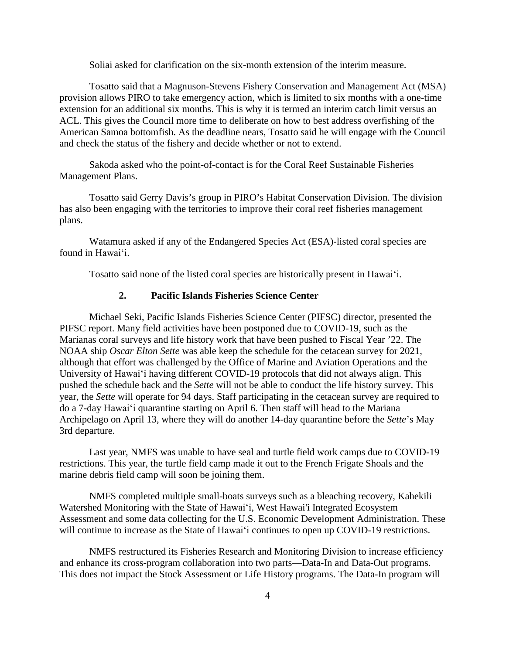Soliai asked for clarification on the six-month extension of the interim measure.

Tosatto said that a Magnuson-Stevens Fishery Conservation and Management Act (MSA) provision allows PIRO to take emergency action, which is limited to six months with a one-time extension for an additional six months. This is why it is termed an interim catch limit versus an ACL. This gives the Council more time to deliberate on how to best address overfishing of the American Samoa bottomfish. As the deadline nears, Tosatto said he will engage with the Council and check the status of the fishery and decide whether or not to extend.

Sakoda asked who the point-of-contact is for the Coral Reef Sustainable Fisheries Management Plans.

Tosatto said Gerry Davis's group in PIRO's Habitat Conservation Division. The division has also been engaging with the territories to improve their coral reef fisheries management plans.

Watamura asked if any of the Endangered Species Act (ESA)-listed coral species are found in Hawaiʻi.

Tosatto said none of the listed coral species are historically present in Hawaiʻi.

#### **2. Pacific Islands Fisheries Science Center**

Michael Seki, Pacific Islands Fisheries Science Center (PIFSC) director, presented the PIFSC report. Many field activities have been postponed due to COVID-19, such as the Marianas coral surveys and life history work that have been pushed to Fiscal Year '22. The NOAA ship *Oscar Elton Sette* was able keep the schedule for the cetacean survey for 2021, although that effort was challenged by the Office of Marine and Aviation Operations and the University of Hawaiʻi having different COVID-19 protocols that did not always align. This pushed the schedule back and the *Sette* will not be able to conduct the life history survey. This year, the *Sette* will operate for 94 days. Staff participating in the cetacean survey are required to do a 7-day Hawaiʻi quarantine starting on April 6. Then staff will head to the Mariana Archipelago on April 13, where they will do another 14-day quarantine before the *Sette*'s May 3rd departure.

Last year, NMFS was unable to have seal and turtle field work camps due to COVID-19 restrictions. This year, the turtle field camp made it out to the French Frigate Shoals and the marine debris field camp will soon be joining them.

NMFS completed multiple small-boats surveys such as a bleaching recovery, Kahekili Watershed Monitoring with the State of Hawaiʻi, West Hawai'i Integrated Ecosystem Assessment and some data collecting for the U.S. Economic Development Administration. These will continue to increase as the State of Hawai'i continues to open up COVID-19 restrictions.

NMFS restructured its Fisheries Research and Monitoring Division to increase efficiency and enhance its cross-program collaboration into two parts—Data-In and Data-Out programs. This does not impact the Stock Assessment or Life History programs. The Data-In program will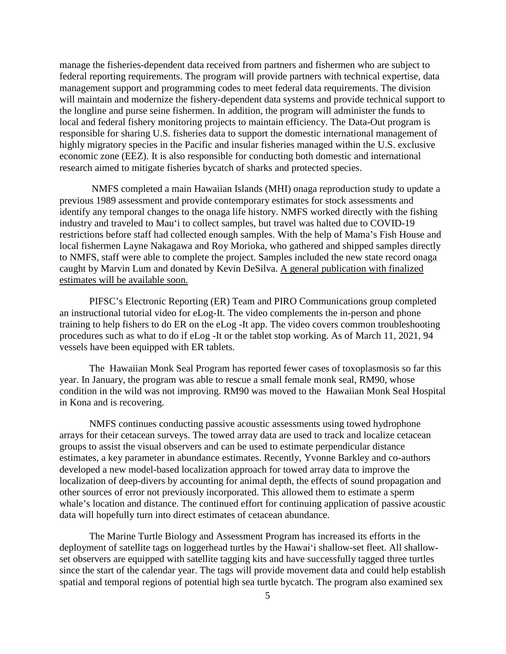manage the fisheries-dependent data received from partners and fishermen who are subject to federal reporting requirements. The program will provide partners with technical expertise, data management support and programming codes to meet federal data requirements. The division will maintain and modernize the fishery-dependent data systems and provide technical support to the longline and purse seine fishermen. In addition, the program will administer the funds to local and federal fishery monitoring projects to maintain efficiency. The Data-Out program is responsible for sharing U.S. fisheries data to support the domestic international management of highly migratory species in the Pacific and insular fisheries managed within the U.S. exclusive economic zone (EEZ). It is also responsible for conducting both domestic and international research aimed to mitigate fisheries bycatch of sharks and protected species.

NMFS completed a main Hawaiian Islands (MHI) onaga reproduction study to update a previous 1989 assessment and provide contemporary estimates for stock assessments and identify any temporal changes to the onaga life history. NMFS worked directly with the fishing industry and traveled to Mauʻi to collect samples, but travel was halted due to COVID-19 restrictions before staff had collected enough samples. With the help of Mama's Fish House and local fishermen Layne Nakagawa and Roy Morioka, who gathered and shipped samples directly to NMFS, staff were able to complete the project. Samples included the new state record onaga caught by Marvin Lum and donated by Kevin DeSilva. A general publication with finalized estimates will be available soon.

PIFSC's Electronic Reporting (ER) Team and PIRO Communications group completed an instructional tutorial video for eLog-It. The video complements the in-person and phone training to help fishers to do ER on the eLog -It app. The video covers common troubleshooting procedures such as what to do if eLog -It or the tablet stop working. As of March 11, 2021, 94 vessels have been equipped with ER tablets.

The Hawaiian Monk Seal Program has reported fewer cases of toxoplasmosis so far this year. In January, the program was able to rescue a small female monk seal, RM90, whose condition in the wild was not improving. RM90 was moved to the Hawaiian Monk Seal Hospital in Kona and is recovering.

NMFS continues conducting passive acoustic assessments using towed hydrophone arrays for their cetacean surveys. The towed array data are used to track and localize cetacean groups to assist the visual observers and can be used to estimate perpendicular distance estimates, a key parameter in abundance estimates. Recently, Yvonne Barkley and co-authors developed a new model-based localization approach for towed array data to improve the localization of deep-divers by accounting for animal depth, the effects of sound propagation and other sources of error not previously incorporated. This allowed them to estimate a sperm whale's location and distance. The continued effort for continuing application of passive acoustic data will hopefully turn into direct estimates of cetacean abundance.

The Marine Turtle Biology and Assessment Program has increased its efforts in the deployment of satellite tags on loggerhead turtles by the Hawaiʻi shallow-set fleet. All shallowset observers are equipped with satellite tagging kits and have successfully tagged three turtles since the start of the calendar year. The tags will provide movement data and could help establish spatial and temporal regions of potential high sea turtle bycatch. The program also examined sex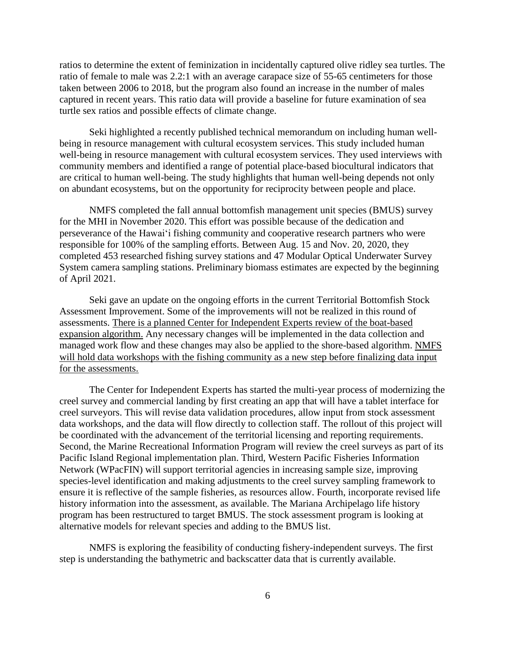ratios to determine the extent of feminization in incidentally captured olive ridley sea turtles. The ratio of female to male was 2.2:1 with an average carapace size of 55-65 centimeters for those taken between 2006 to 2018, but the program also found an increase in the number of males captured in recent years. This ratio data will provide a baseline for future examination of sea turtle sex ratios and possible effects of climate change.

Seki highlighted a recently published technical memorandum on including human wellbeing in resource management with cultural ecosystem services. This study included human well-being in resource management with cultural ecosystem services. They used interviews with community members and identified a range of potential place-based biocultural indicators that are critical to human well-being. The study highlights that human well-being depends not only on abundant ecosystems, but on the opportunity for reciprocity between people and place.

NMFS completed the fall annual bottomfish management unit species (BMUS) survey for the MHI in November 2020. This effort was possible because of the dedication and perseverance of the Hawaiʻi fishing community and cooperative research partners who were responsible for 100% of the sampling efforts. Between Aug. 15 and Nov. 20, 2020, they completed 453 researched fishing survey stations and 47 Modular Optical Underwater Survey System camera sampling stations. Preliminary biomass estimates are expected by the beginning of April 2021.

Seki gave an update on the ongoing efforts in the current Territorial Bottomfish Stock Assessment Improvement. Some of the improvements will not be realized in this round of assessments. There is a planned Center for Independent Experts review of the boat-based expansion algorithm. Any necessary changes will be implemented in the data collection and managed work flow and these changes may also be applied to the shore-based algorithm. NMFS will hold data workshops with the fishing community as a new step before finalizing data input for the assessments.

The Center for Independent Experts has started the multi-year process of modernizing the creel survey and commercial landing by first creating an app that will have a tablet interface for creel surveyors. This will revise data validation procedures, allow input from stock assessment data workshops, and the data will flow directly to collection staff. The rollout of this project will be coordinated with the advancement of the territorial licensing and reporting requirements. Second, the Marine Recreational Information Program will review the creel surveys as part of its Pacific Island Regional implementation plan. Third, Western Pacific Fisheries Information Network (WPacFIN) will support territorial agencies in increasing sample size, improving species-level identification and making adjustments to the creel survey sampling framework to ensure it is reflective of the sample fisheries, as resources allow. Fourth, incorporate revised life history information into the assessment, as available. The Mariana Archipelago life history program has been restructured to target BMUS. The stock assessment program is looking at alternative models for relevant species and adding to the BMUS list.

NMFS is exploring the feasibility of conducting fishery-independent surveys. The first step is understanding the bathymetric and backscatter data that is currently available.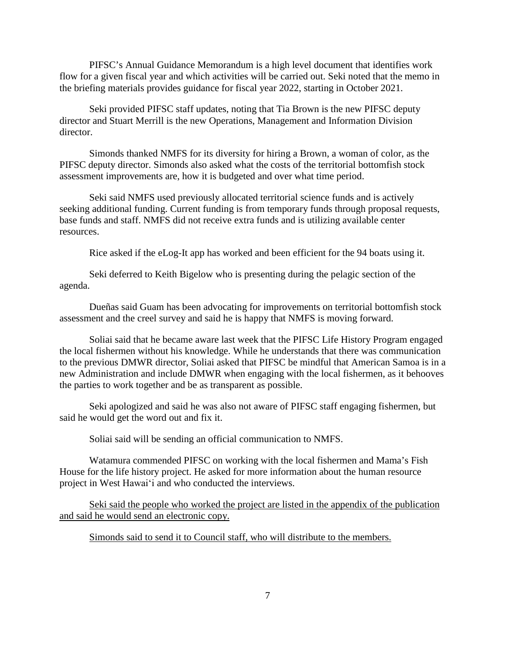PIFSC's Annual Guidance Memorandum is a high level document that identifies work flow for a given fiscal year and which activities will be carried out. Seki noted that the memo in the briefing materials provides guidance for fiscal year 2022, starting in October 2021.

Seki provided PIFSC staff updates, noting that Tia Brown is the new PIFSC deputy director and Stuart Merrill is the new Operations, Management and Information Division director.

Simonds thanked NMFS for its diversity for hiring a Brown, a woman of color, as the PIFSC deputy director. Simonds also asked what the costs of the territorial bottomfish stock assessment improvements are, how it is budgeted and over what time period.

Seki said NMFS used previously allocated territorial science funds and is actively seeking additional funding. Current funding is from temporary funds through proposal requests, base funds and staff. NMFS did not receive extra funds and is utilizing available center resources.

Rice asked if the eLog-It app has worked and been efficient for the 94 boats using it.

Seki deferred to Keith Bigelow who is presenting during the pelagic section of the agenda.

Dueñas said Guam has been advocating for improvements on territorial bottomfish stock assessment and the creel survey and said he is happy that NMFS is moving forward.

Soliai said that he became aware last week that the PIFSC Life History Program engaged the local fishermen without his knowledge. While he understands that there was communication to the previous DMWR director, Soliai asked that PIFSC be mindful that American Samoa is in a new Administration and include DMWR when engaging with the local fishermen, as it behooves the parties to work together and be as transparent as possible.

Seki apologized and said he was also not aware of PIFSC staff engaging fishermen, but said he would get the word out and fix it.

Soliai said will be sending an official communication to NMFS.

Watamura commended PIFSC on working with the local fishermen and Mama's Fish House for the life history project. He asked for more information about the human resource project in West Hawaiʻi and who conducted the interviews.

Seki said the people who worked the project are listed in the appendix of the publication and said he would send an electronic copy.

Simonds said to send it to Council staff, who will distribute to the members.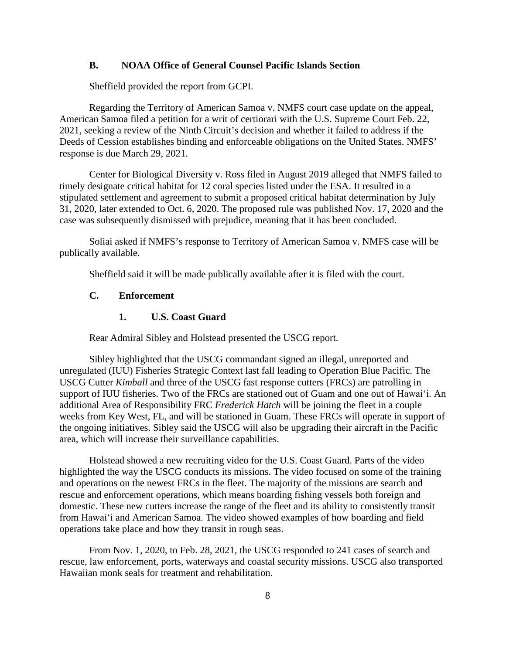#### **B. NOAA Office of General Counsel Pacific Islands Section**

Sheffield provided the report from GCPI.

Regarding the Territory of American Samoa v. NMFS court case update on the appeal, American Samoa filed a petition for a writ of certiorari with the U.S. Supreme Court Feb. 22, 2021, seeking a review of the Ninth Circuit's decision and whether it failed to address if the Deeds of Cession establishes binding and enforceable obligations on the United States. NMFS' response is due March 29, 2021.

Center for Biological Diversity v. Ross filed in August 2019 alleged that NMFS failed to timely designate critical habitat for 12 coral species listed under the ESA. It resulted in a stipulated settlement and agreement to submit a proposed critical habitat determination by July 31, 2020, later extended to Oct. 6, 2020. The proposed rule was published Nov. 17, 2020 and the case was subsequently dismissed with prejudice, meaning that it has been concluded.

Soliai asked if NMFS's response to Territory of American Samoa v. NMFS case will be publically available.

Sheffield said it will be made publically available after it is filed with the court.

#### **C. Enforcement**

## **1. U.S. Coast Guard**

Rear Admiral Sibley and Holstead presented the USCG report.

Sibley highlighted that the USCG commandant signed an illegal, unreported and unregulated (IUU) Fisheries Strategic Context last fall leading to Operation Blue Pacific. The USCG Cutter *Kimball* and three of the USCG fast response cutters (FRCs) are patrolling in support of IUU fisheries. Two of the FRCs are stationed out of Guam and one out of Hawaiʻi. An additional Area of Responsibility FRC *Frederick Hatch* will be joining the fleet in a couple weeks from Key West, FL, and will be stationed in Guam. These FRCs will operate in support of the ongoing initiatives. Sibley said the USCG will also be upgrading their aircraft in the Pacific area, which will increase their surveillance capabilities.

Holstead showed a new recruiting video for the U.S. Coast Guard. Parts of the video highlighted the way the USCG conducts its missions. The video focused on some of the training and operations on the newest FRCs in the fleet. The majority of the missions are search and rescue and enforcement operations, which means boarding fishing vessels both foreign and domestic. These new cutters increase the range of the fleet and its ability to consistently transit from Hawaiʻi and American Samoa. The video showed examples of how boarding and field operations take place and how they transit in rough seas.

From Nov. 1, 2020, to Feb. 28, 2021, the USCG responded to 241 cases of search and rescue, law enforcement, ports, waterways and coastal security missions. USCG also transported Hawaiian monk seals for treatment and rehabilitation.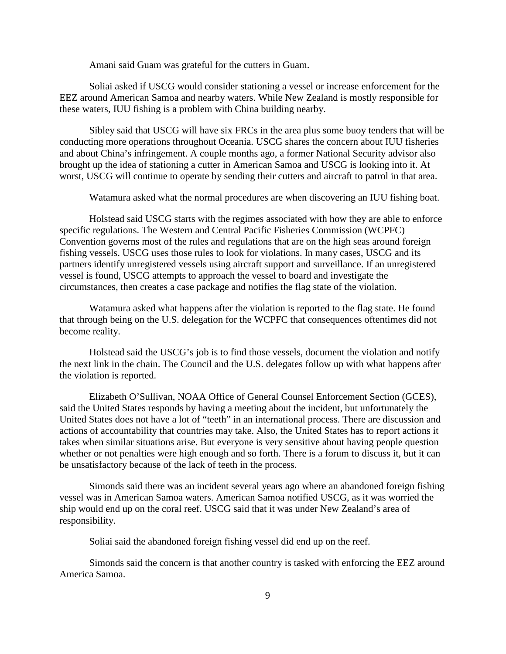Amani said Guam was grateful for the cutters in Guam.

Soliai asked if USCG would consider stationing a vessel or increase enforcement for the EEZ around American Samoa and nearby waters. While New Zealand is mostly responsible for these waters, IUU fishing is a problem with China building nearby.

Sibley said that USCG will have six FRCs in the area plus some buoy tenders that will be conducting more operations throughout Oceania. USCG shares the concern about IUU fisheries and about China's infringement. A couple months ago, a former National Security advisor also brought up the idea of stationing a cutter in American Samoa and USCG is looking into it. At worst, USCG will continue to operate by sending their cutters and aircraft to patrol in that area.

Watamura asked what the normal procedures are when discovering an IUU fishing boat.

Holstead said USCG starts with the regimes associated with how they are able to enforce specific regulations. The Western and Central Pacific Fisheries Commission (WCPFC) Convention governs most of the rules and regulations that are on the high seas around foreign fishing vessels. USCG uses those rules to look for violations. In many cases, USCG and its partners identify unregistered vessels using aircraft support and surveillance. If an unregistered vessel is found, USCG attempts to approach the vessel to board and investigate the circumstances, then creates a case package and notifies the flag state of the violation.

Watamura asked what happens after the violation is reported to the flag state. He found that through being on the U.S. delegation for the WCPFC that consequences oftentimes did not become reality.

Holstead said the USCG's job is to find those vessels, document the violation and notify the next link in the chain. The Council and the U.S. delegates follow up with what happens after the violation is reported.

Elizabeth O'Sullivan, NOAA Office of General Counsel Enforcement Section (GCES), said the United States responds by having a meeting about the incident, but unfortunately the United States does not have a lot of "teeth" in an international process. There are discussion and actions of accountability that countries may take. Also, the United States has to report actions it takes when similar situations arise. But everyone is very sensitive about having people question whether or not penalties were high enough and so forth. There is a forum to discuss it, but it can be unsatisfactory because of the lack of teeth in the process.

Simonds said there was an incident several years ago where an abandoned foreign fishing vessel was in American Samoa waters. American Samoa notified USCG, as it was worried the ship would end up on the coral reef. USCG said that it was under New Zealand's area of responsibility.

Soliai said the abandoned foreign fishing vessel did end up on the reef.

Simonds said the concern is that another country is tasked with enforcing the EEZ around America Samoa.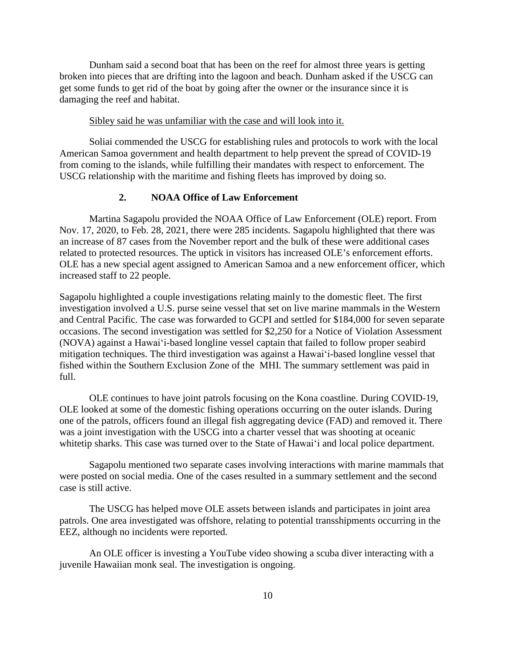Dunham said a second boat that has been on the reef for almost three years is getting broken into pieces that are drifting into the lagoon and beach. Dunham asked if the USCG can get some funds to get rid of the boat by going after the owner or the insurance since it is damaging the reef and habitat.

#### Sibley said he was unfamiliar with the case and will look into it.

Soliai commended the USCG for establishing rules and protocols to work with the local American Samoa government and health department to help prevent the spread of COVID-19 from coming to the islands, while fulfilling their mandates with respect to enforcement. The USCG relationship with the maritime and fishing fleets has improved by doing so.

## **2. NOAA Office of Law Enforcement**

Martina Sagapolu provided the NOAA Office of Law Enforcement (OLE) report. From Nov. 17, 2020, to Feb. 28, 2021, there were 285 incidents. Sagapolu highlighted that there was an increase of 87 cases from the November report and the bulk of these were additional cases related to protected resources. The uptick in visitors has increased OLE's enforcement efforts. OLE has a new special agent assigned to American Samoa and a new enforcement officer, which increased staff to 22 people.

Sagapolu highlighted a couple investigations relating mainly to the domestic fleet. The first investigation involved a U.S. purse seine vessel that set on live marine mammals in the Western and Central Pacific. The case was forwarded to GCPI and settled for \$184,000 for seven separate occasions. The second investigation was settled for \$2,250 for a Notice of Violation Assessment (NOVA) against a Hawaiʻi-based longline vessel captain that failed to follow proper seabird mitigation techniques. The third investigation was against a Hawaiʻi-based longline vessel that fished within the Southern Exclusion Zone of the MHI. The summary settlement was paid in full.

OLE continues to have joint patrols focusing on the Kona coastline. During COVID-19, OLE looked at some of the domestic fishing operations occurring on the outer islands. During one of the patrols, officers found an illegal fish aggregating device (FAD) and removed it. There was a joint investigation with the USCG into a charter vessel that was shooting at oceanic whitetip sharks. This case was turned over to the State of Hawaiʻi and local police department.

Sagapolu mentioned two separate cases involving interactions with marine mammals that were posted on social media. One of the cases resulted in a summary settlement and the second case is still active.

The USCG has helped move OLE assets between islands and participates in joint area patrols. One area investigated was offshore, relating to potential transshipments occurring in the EEZ, although no incidents were reported.

An OLE officer is investing a YouTube video showing a scuba diver interacting with a juvenile Hawaiian monk seal. The investigation is ongoing.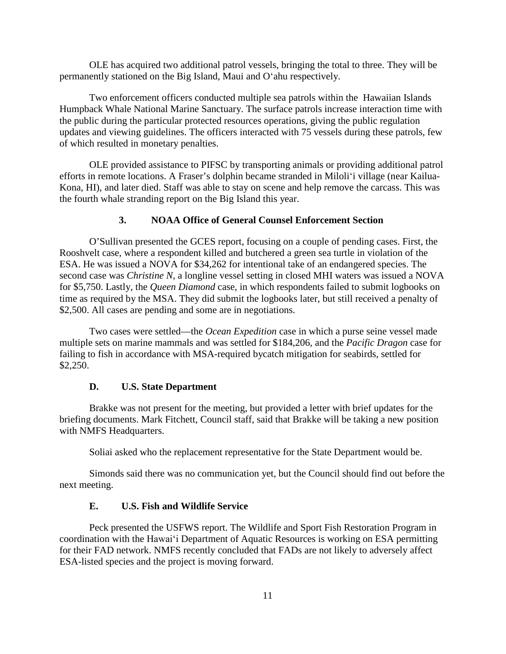OLE has acquired two additional patrol vessels, bringing the total to three. They will be permanently stationed on the Big Island, Maui and Oʻahu respectively.

Two enforcement officers conducted multiple sea patrols within the Hawaiian Islands Humpback Whale National Marine Sanctuary. The surface patrols increase interaction time with the public during the particular protected resources operations, giving the public regulation updates and viewing guidelines. The officers interacted with 75 vessels during these patrols, few of which resulted in monetary penalties.

OLE provided assistance to PIFSC by transporting animals or providing additional patrol efforts in remote locations. A Fraser's dolphin became stranded in Miloliʻi village (near Kailua-Kona, HI), and later died. Staff was able to stay on scene and help remove the carcass. This was the fourth whale stranding report on the Big Island this year.

#### **3. NOAA Office of General Counsel Enforcement Section**

O'Sullivan presented the GCES report, focusing on a couple of pending cases. First, the Rooshvelt case, where a respondent killed and butchered a green sea turtle in violation of the ESA. He was issued a NOVA for \$34,262 for intentional take of an endangered species. The second case was *Christine N*, a longline vessel setting in closed MHI waters was issued a NOVA for \$5,750. Lastly, the *Queen Diamond* case, in which respondents failed to submit logbooks on time as required by the MSA. They did submit the logbooks later, but still received a penalty of \$2,500. All cases are pending and some are in negotiations.

Two cases were settled—the *Ocean Expedition* case in which a purse seine vessel made multiple sets on marine mammals and was settled for \$184,206, and the *Pacific Dragon* case for failing to fish in accordance with MSA-required bycatch mitigation for seabirds, settled for \$2,250.

#### **D. U.S. State Department**

Brakke was not present for the meeting, but provided a letter with brief updates for the briefing documents. Mark Fitchett, Council staff, said that Brakke will be taking a new position with NMFS Headquarters.

Soliai asked who the replacement representative for the State Department would be.

Simonds said there was no communication yet, but the Council should find out before the next meeting.

#### **E. U.S. Fish and Wildlife Service**

Peck presented the USFWS report. The Wildlife and Sport Fish Restoration Program in coordination with the Hawaiʻi Department of Aquatic Resources is working on ESA permitting for their FAD network. NMFS recently concluded that FADs are not likely to adversely affect ESA-listed species and the project is moving forward.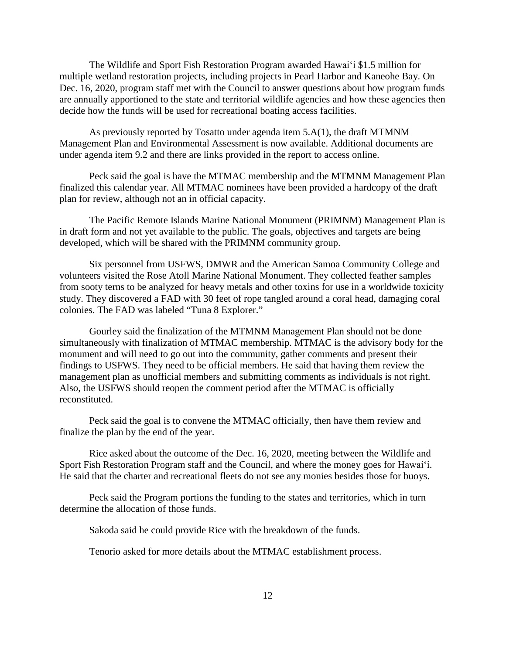The Wildlife and Sport Fish Restoration Program awarded Hawaiʻi \$1.5 million for multiple wetland restoration projects, including projects in Pearl Harbor and Kaneohe Bay. On Dec. 16, 2020, program staff met with the Council to answer questions about how program funds are annually apportioned to the state and territorial wildlife agencies and how these agencies then decide how the funds will be used for recreational boating access facilities.

As previously reported by Tosatto under agenda item 5.A(1), the draft MTMNM Management Plan and Environmental Assessment is now available. Additional documents are under agenda item 9.2 and there are links provided in the report to access online.

Peck said the goal is have the MTMAC membership and the MTMNM Management Plan finalized this calendar year. All MTMAC nominees have been provided a hardcopy of the draft plan for review, although not an in official capacity.

The Pacific Remote Islands Marine National Monument (PRIMNM) Management Plan is in draft form and not yet available to the public. The goals, objectives and targets are being developed, which will be shared with the PRIMNM community group.

Six personnel from USFWS, DMWR and the American Samoa Community College and volunteers visited the Rose Atoll Marine National Monument. They collected feather samples from sooty terns to be analyzed for heavy metals and other toxins for use in a worldwide toxicity study. They discovered a FAD with 30 feet of rope tangled around a coral head, damaging coral colonies. The FAD was labeled "Tuna 8 Explorer."

Gourley said the finalization of the MTMNM Management Plan should not be done simultaneously with finalization of MTMAC membership. MTMAC is the advisory body for the monument and will need to go out into the community, gather comments and present their findings to USFWS. They need to be official members. He said that having them review the management plan as unofficial members and submitting comments as individuals is not right. Also, the USFWS should reopen the comment period after the MTMAC is officially reconstituted.

Peck said the goal is to convene the MTMAC officially, then have them review and finalize the plan by the end of the year.

Rice asked about the outcome of the Dec. 16, 2020, meeting between the Wildlife and Sport Fish Restoration Program staff and the Council, and where the money goes for Hawaiʻi. He said that the charter and recreational fleets do not see any monies besides those for buoys.

Peck said the Program portions the funding to the states and territories, which in turn determine the allocation of those funds.

Sakoda said he could provide Rice with the breakdown of the funds.

Tenorio asked for more details about the MTMAC establishment process.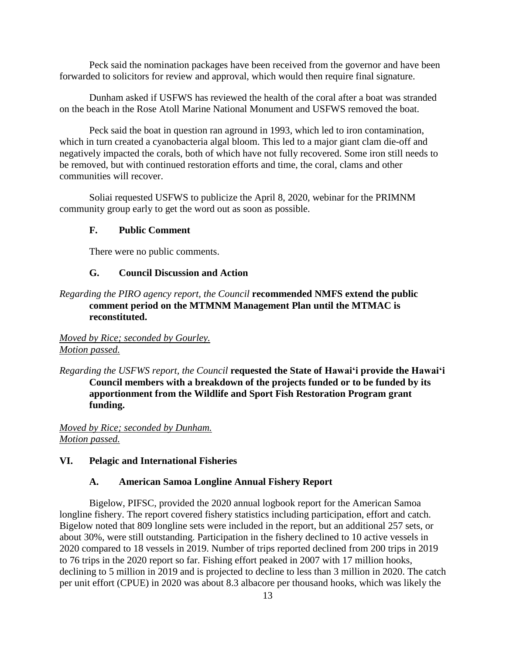Peck said the nomination packages have been received from the governor and have been forwarded to solicitors for review and approval, which would then require final signature.

Dunham asked if USFWS has reviewed the health of the coral after a boat was stranded on the beach in the Rose Atoll Marine National Monument and USFWS removed the boat.

Peck said the boat in question ran aground in 1993, which led to iron contamination, which in turn created a cyanobacteria algal bloom. This led to a major giant clam die-off and negatively impacted the corals, both of which have not fully recovered. Some iron still needs to be removed, but with continued restoration efforts and time, the coral, clams and other communities will recover.

Soliai requested USFWS to publicize the April 8, 2020, webinar for the PRIMNM community group early to get the word out as soon as possible.

#### **F. Public Comment**

There were no public comments.

## **G. Council Discussion and Action**

## *Regarding the PIRO agency report, the Council* **recommended NMFS extend the public comment period on the MTMNM Management Plan until the MTMAC is reconstituted.**

## *Moved by Rice; seconded by Gourley. Motion passed.*

*Regarding the USFWS report, the Council* **requested the State of Hawaiʻi provide the Hawaiʻi Council members with a breakdown of the projects funded or to be funded by its apportionment from the Wildlife and Sport Fish Restoration Program grant funding.**

*Moved by Rice; seconded by Dunham. Motion passed.*

#### **VI. Pelagic and International Fisheries**

#### **A. American Samoa Longline Annual Fishery Report**

Bigelow, PIFSC, provided the 2020 annual logbook report for the American Samoa longline fishery. The report covered fishery statistics including participation, effort and catch. Bigelow noted that 809 longline sets were included in the report, but an additional 257 sets, or about 30%, were still outstanding. Participation in the fishery declined to 10 active vessels in 2020 compared to 18 vessels in 2019. Number of trips reported declined from 200 trips in 2019 to 76 trips in the 2020 report so far. Fishing effort peaked in 2007 with 17 million hooks, declining to 5 million in 2019 and is projected to decline to less than 3 million in 2020. The catch per unit effort (CPUE) in 2020 was about 8.3 albacore per thousand hooks, which was likely the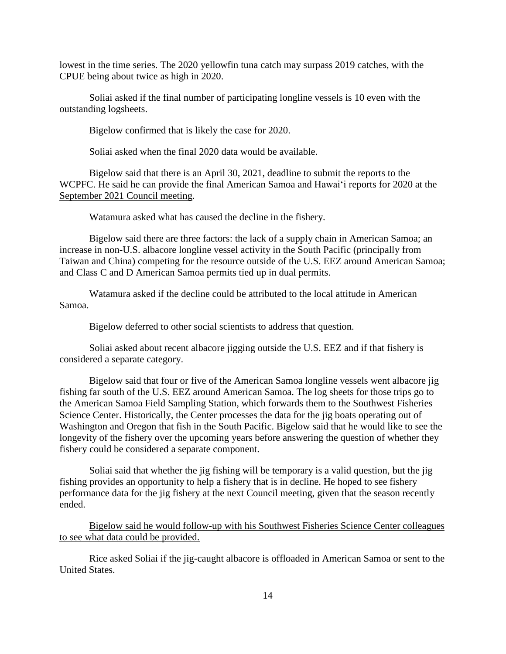lowest in the time series. The 2020 yellowfin tuna catch may surpass 2019 catches, with the CPUE being about twice as high in 2020.

Soliai asked if the final number of participating longline vessels is 10 even with the outstanding logsheets.

Bigelow confirmed that is likely the case for 2020.

Soliai asked when the final 2020 data would be available.

Bigelow said that there is an April 30, 2021, deadline to submit the reports to the WCPFC. He said he can provide the final American Samoa and Hawaiʻi reports for 2020 at the September 2021 Council meeting.

Watamura asked what has caused the decline in the fishery.

Bigelow said there are three factors: the lack of a supply chain in American Samoa; an increase in non-U.S. albacore longline vessel activity in the South Pacific (principally from Taiwan and China) competing for the resource outside of the U.S. EEZ around American Samoa; and Class C and D American Samoa permits tied up in dual permits.

Watamura asked if the decline could be attributed to the local attitude in American Samoa.

Bigelow deferred to other social scientists to address that question.

Soliai asked about recent albacore jigging outside the U.S. EEZ and if that fishery is considered a separate category.

Bigelow said that four or five of the American Samoa longline vessels went albacore jig fishing far south of the U.S. EEZ around American Samoa. The log sheets for those trips go to the American Samoa Field Sampling Station, which forwards them to the Southwest Fisheries Science Center. Historically, the Center processes the data for the jig boats operating out of Washington and Oregon that fish in the South Pacific. Bigelow said that he would like to see the longevity of the fishery over the upcoming years before answering the question of whether they fishery could be considered a separate component.

Soliai said that whether the jig fishing will be temporary is a valid question, but the jig fishing provides an opportunity to help a fishery that is in decline. He hoped to see fishery performance data for the jig fishery at the next Council meeting, given that the season recently ended.

Bigelow said he would follow-up with his Southwest Fisheries Science Center colleagues to see what data could be provided.

Rice asked Soliai if the jig-caught albacore is offloaded in American Samoa or sent to the United States.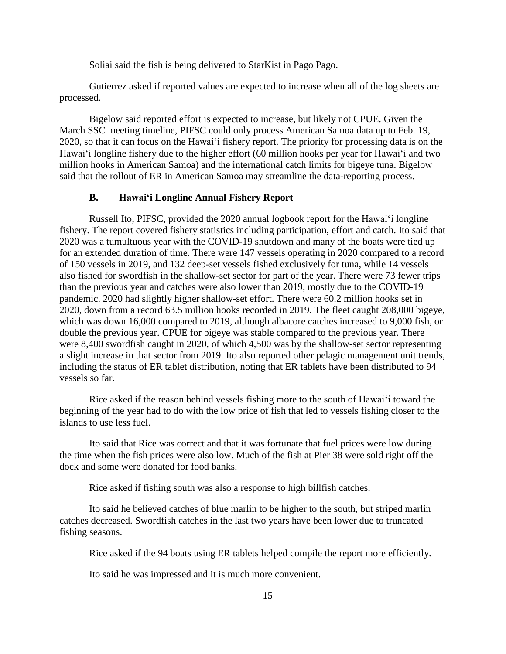Soliai said the fish is being delivered to StarKist in Pago Pago.

Gutierrez asked if reported values are expected to increase when all of the log sheets are processed.

Bigelow said reported effort is expected to increase, but likely not CPUE. Given the March SSC meeting timeline, PIFSC could only process American Samoa data up to Feb. 19, 2020, so that it can focus on the Hawaiʻi fishery report. The priority for processing data is on the Hawaiʻi longline fishery due to the higher effort (60 million hooks per year for Hawaiʻi and two million hooks in American Samoa) and the international catch limits for bigeye tuna. Bigelow said that the rollout of ER in American Samoa may streamline the data-reporting process.

#### **B. Hawaiʻi Longline Annual Fishery Report**

Russell Ito, PIFSC, provided the 2020 annual logbook report for the Hawaiʻi longline fishery. The report covered fishery statistics including participation, effort and catch. Ito said that 2020 was a tumultuous year with the COVID-19 shutdown and many of the boats were tied up for an extended duration of time. There were 147 vessels operating in 2020 compared to a record of 150 vessels in 2019, and 132 deep-set vessels fished exclusively for tuna, while 14 vessels also fished for swordfish in the shallow-set sector for part of the year. There were 73 fewer trips than the previous year and catches were also lower than 2019, mostly due to the COVID-19 pandemic. 2020 had slightly higher shallow-set effort. There were 60.2 million hooks set in 2020, down from a record 63.5 million hooks recorded in 2019. The fleet caught 208,000 bigeye, which was down 16,000 compared to 2019, although albacore catches increased to 9,000 fish, or double the previous year. CPUE for bigeye was stable compared to the previous year. There were 8,400 swordfish caught in 2020, of which 4,500 was by the shallow-set sector representing a slight increase in that sector from 2019. Ito also reported other pelagic management unit trends, including the status of ER tablet distribution, noting that ER tablets have been distributed to 94 vessels so far.

Rice asked if the reason behind vessels fishing more to the south of Hawaiʻi toward the beginning of the year had to do with the low price of fish that led to vessels fishing closer to the islands to use less fuel.

Ito said that Rice was correct and that it was fortunate that fuel prices were low during the time when the fish prices were also low. Much of the fish at Pier 38 were sold right off the dock and some were donated for food banks.

Rice asked if fishing south was also a response to high billfish catches.

Ito said he believed catches of blue marlin to be higher to the south, but striped marlin catches decreased. Swordfish catches in the last two years have been lower due to truncated fishing seasons.

Rice asked if the 94 boats using ER tablets helped compile the report more efficiently.

Ito said he was impressed and it is much more convenient.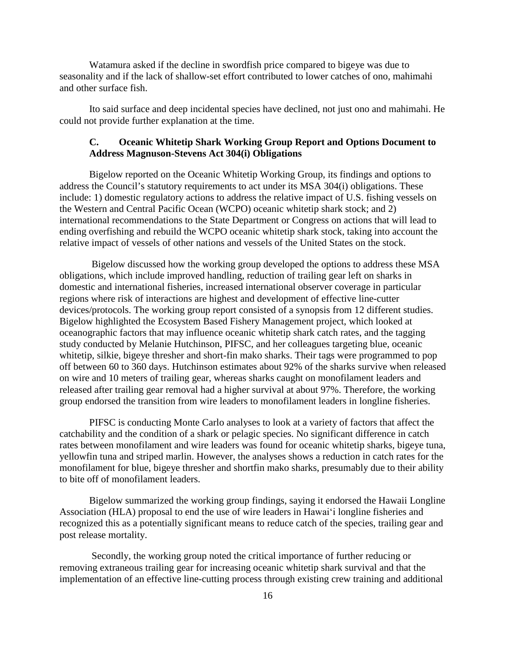Watamura asked if the decline in swordfish price compared to bigeye was due to seasonality and if the lack of shallow-set effort contributed to lower catches of ono, mahimahi and other surface fish.

Ito said surface and deep incidental species have declined, not just ono and mahimahi. He could not provide further explanation at the time.

## **C. Oceanic Whitetip Shark Working Group Report and Options Document to Address Magnuson-Stevens Act 304(i) Obligations**

Bigelow reported on the Oceanic Whitetip Working Group, its findings and options to address the Council's statutory requirements to act under its MSA 304(i) obligations. These include: 1) domestic regulatory actions to address the relative impact of U.S. fishing vessels on the Western and Central Pacific Ocean (WCPO) oceanic whitetip shark stock; and 2) international recommendations to the State Department or Congress on actions that will lead to ending overfishing and rebuild the WCPO oceanic whitetip shark stock, taking into account the relative impact of vessels of other nations and vessels of the United States on the stock.

Bigelow discussed how the working group developed the options to address these MSA obligations, which include improved handling, reduction of trailing gear left on sharks in domestic and international fisheries, increased international observer coverage in particular regions where risk of interactions are highest and development of effective line-cutter devices/protocols. The working group report consisted of a synopsis from 12 different studies. Bigelow highlighted the Ecosystem Based Fishery Management project, which looked at oceanographic factors that may influence oceanic whitetip shark catch rates, and the tagging study conducted by Melanie Hutchinson, PIFSC, and her colleagues targeting blue, oceanic whitetip, silkie, bigeye thresher and short-fin mako sharks. Their tags were programmed to pop off between 60 to 360 days. Hutchinson estimates about 92% of the sharks survive when released on wire and 10 meters of trailing gear, whereas sharks caught on monofilament leaders and released after trailing gear removal had a higher survival at about 97%. Therefore, the working group endorsed the transition from wire leaders to monofilament leaders in longline fisheries.

PIFSC is conducting Monte Carlo analyses to look at a variety of factors that affect the catchability and the condition of a shark or pelagic species. No significant difference in catch rates between monofilament and wire leaders was found for oceanic whitetip sharks, bigeye tuna, yellowfin tuna and striped marlin. However, the analyses shows a reduction in catch rates for the monofilament for blue, bigeye thresher and shortfin mako sharks, presumably due to their ability to bite off of monofilament leaders.

Bigelow summarized the working group findings, saying it endorsed the Hawaii Longline Association (HLA) proposal to end the use of wire leaders in Hawaiʻi longline fisheries and recognized this as a potentially significant means to reduce catch of the species, trailing gear and post release mortality.

Secondly, the working group noted the critical importance of further reducing or removing extraneous trailing gear for increasing oceanic whitetip shark survival and that the implementation of an effective line-cutting process through existing crew training and additional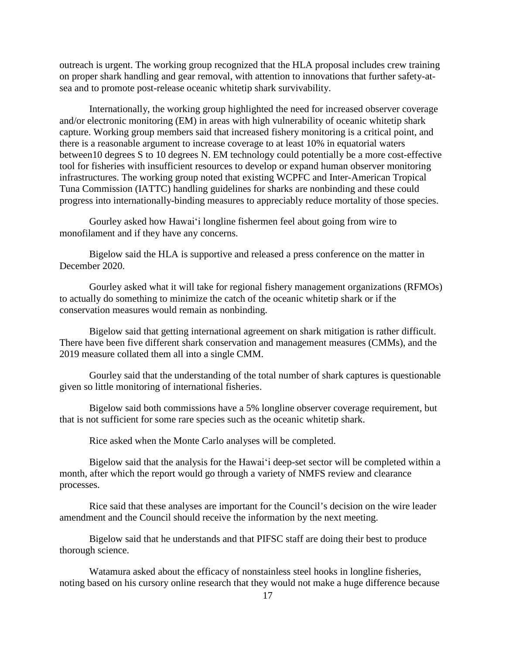outreach is urgent. The working group recognized that the HLA proposal includes crew training on proper shark handling and gear removal, with attention to innovations that further safety-atsea and to promote post-release oceanic whitetip shark survivability.

Internationally, the working group highlighted the need for increased observer coverage and/or electronic monitoring (EM) in areas with high vulnerability of oceanic whitetip shark capture. Working group members said that increased fishery monitoring is a critical point, and there is a reasonable argument to increase coverage to at least 10% in equatorial waters between10 degrees S to 10 degrees N. EM technology could potentially be a more cost-effective tool for fisheries with insufficient resources to develop or expand human observer monitoring infrastructures. The working group noted that existing WCPFC and Inter-American Tropical Tuna Commission (IATTC) handling guidelines for sharks are nonbinding and these could progress into internationally-binding measures to appreciably reduce mortality of those species.

Gourley asked how Hawaiʻi longline fishermen feel about going from wire to monofilament and if they have any concerns.

Bigelow said the HLA is supportive and released a press conference on the matter in December 2020.

Gourley asked what it will take for regional fishery management organizations (RFMOs) to actually do something to minimize the catch of the oceanic whitetip shark or if the conservation measures would remain as nonbinding.

Bigelow said that getting international agreement on shark mitigation is rather difficult. There have been five different shark conservation and management measures (CMMs), and the 2019 measure collated them all into a single CMM.

Gourley said that the understanding of the total number of shark captures is questionable given so little monitoring of international fisheries.

Bigelow said both commissions have a 5% longline observer coverage requirement, but that is not sufficient for some rare species such as the oceanic whitetip shark.

Rice asked when the Monte Carlo analyses will be completed.

Bigelow said that the analysis for the Hawaiʻi deep-set sector will be completed within a month, after which the report would go through a variety of NMFS review and clearance processes.

Rice said that these analyses are important for the Council's decision on the wire leader amendment and the Council should receive the information by the next meeting.

Bigelow said that he understands and that PIFSC staff are doing their best to produce thorough science.

Watamura asked about the efficacy of nonstainless steel hooks in longline fisheries, noting based on his cursory online research that they would not make a huge difference because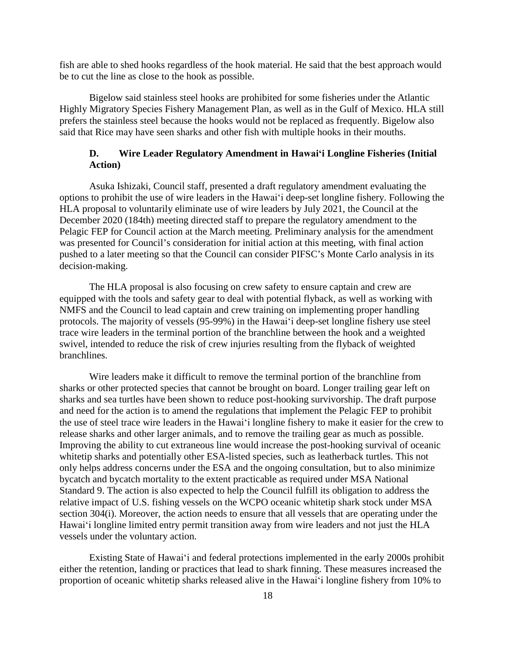fish are able to shed hooks regardless of the hook material. He said that the best approach would be to cut the line as close to the hook as possible.

Bigelow said stainless steel hooks are prohibited for some fisheries under the Atlantic Highly Migratory Species Fishery Management Plan, as well as in the Gulf of Mexico. HLA still prefers the stainless steel because the hooks would not be replaced as frequently. Bigelow also said that Rice may have seen sharks and other fish with multiple hooks in their mouths.

## **D. Wire Leader Regulatory Amendment in Hawaiʻi Longline Fisheries (Initial Action)**

Asuka Ishizaki, Council staff, presented a draft regulatory amendment evaluating the options to prohibit the use of wire leaders in the Hawaiʻi deep-set longline fishery. Following the HLA proposal to voluntarily eliminate use of wire leaders by July 2021, the Council at the December 2020 (184th) meeting directed staff to prepare the regulatory amendment to the Pelagic FEP for Council action at the March meeting. Preliminary analysis for the amendment was presented for Council's consideration for initial action at this meeting, with final action pushed to a later meeting so that the Council can consider PIFSC's Monte Carlo analysis in its decision-making.

The HLA proposal is also focusing on crew safety to ensure captain and crew are equipped with the tools and safety gear to deal with potential flyback, as well as working with NMFS and the Council to lead captain and crew training on implementing proper handling protocols. The majority of vessels (95-99%) in the Hawaiʻi deep-set longline fishery use steel trace wire leaders in the terminal portion of the branchline between the hook and a weighted swivel, intended to reduce the risk of crew injuries resulting from the flyback of weighted branchlines.

Wire leaders make it difficult to remove the terminal portion of the branchline from sharks or other protected species that cannot be brought on board. Longer trailing gear left on sharks and sea turtles have been shown to reduce post-hooking survivorship. The draft purpose and need for the action is to amend the regulations that implement the Pelagic FEP to prohibit the use of steel trace wire leaders in the Hawaiʻi longline fishery to make it easier for the crew to release sharks and other larger animals, and to remove the trailing gear as much as possible. Improving the ability to cut extraneous line would increase the post-hooking survival of oceanic whitetip sharks and potentially other ESA-listed species, such as leatherback turtles. This not only helps address concerns under the ESA and the ongoing consultation, but to also minimize bycatch and bycatch mortality to the extent practicable as required under MSA National Standard 9. The action is also expected to help the Council fulfill its obligation to address the relative impact of U.S. fishing vessels on the WCPO oceanic whitetip shark stock under MSA section 304(i). Moreover, the action needs to ensure that all vessels that are operating under the Hawaiʻi longline limited entry permit transition away from wire leaders and not just the HLA vessels under the voluntary action.

Existing State of Hawaiʻi and federal protections implemented in the early 2000s prohibit either the retention, landing or practices that lead to shark finning. These measures increased the proportion of oceanic whitetip sharks released alive in the Hawaiʻi longline fishery from 10% to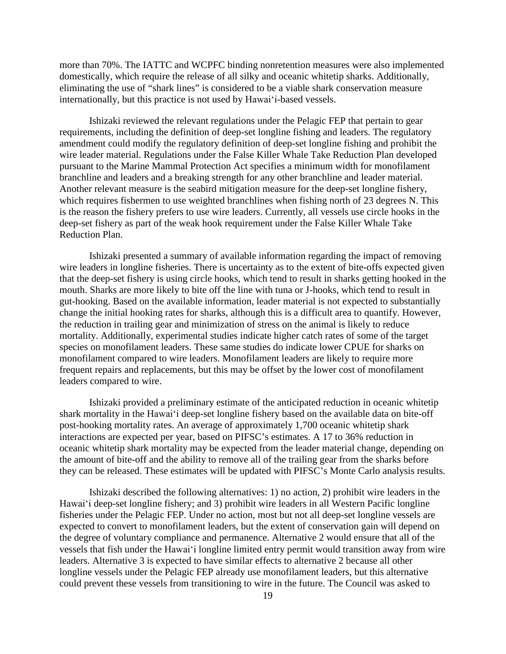more than 70%. The IATTC and WCPFC binding nonretention measures were also implemented domestically, which require the release of all silky and oceanic whitetip sharks. Additionally, eliminating the use of "shark lines" is considered to be a viable shark conservation measure internationally, but this practice is not used by Hawaiʻi-based vessels.

Ishizaki reviewed the relevant regulations under the Pelagic FEP that pertain to gear requirements, including the definition of deep-set longline fishing and leaders. The regulatory amendment could modify the regulatory definition of deep-set longline fishing and prohibit the wire leader material. Regulations under the False Killer Whale Take Reduction Plan developed pursuant to the Marine Mammal Protection Act specifies a minimum width for monofilament branchline and leaders and a breaking strength for any other branchline and leader material. Another relevant measure is the seabird mitigation measure for the deep-set longline fishery, which requires fishermen to use weighted branchlines when fishing north of 23 degrees N. This is the reason the fishery prefers to use wire leaders. Currently, all vessels use circle hooks in the deep-set fishery as part of the weak hook requirement under the False Killer Whale Take Reduction Plan.

Ishizaki presented a summary of available information regarding the impact of removing wire leaders in longline fisheries. There is uncertainty as to the extent of bite-offs expected given that the deep-set fishery is using circle hooks, which tend to result in sharks getting hooked in the mouth. Sharks are more likely to bite off the line with tuna or J-hooks, which tend to result in gut-hooking. Based on the available information, leader material is not expected to substantially change the initial hooking rates for sharks, although this is a difficult area to quantify. However, the reduction in trailing gear and minimization of stress on the animal is likely to reduce mortality. Additionally, experimental studies indicate higher catch rates of some of the target species on monofilament leaders. These same studies do indicate lower CPUE for sharks on monofilament compared to wire leaders. Monofilament leaders are likely to require more frequent repairs and replacements, but this may be offset by the lower cost of monofilament leaders compared to wire.

Ishizaki provided a preliminary estimate of the anticipated reduction in oceanic whitetip shark mortality in the Hawaiʻi deep-set longline fishery based on the available data on bite-off post-hooking mortality rates. An average of approximately 1,700 oceanic whitetip shark interactions are expected per year, based on PIFSC's estimates. A 17 to 36% reduction in oceanic whitetip shark mortality may be expected from the leader material change, depending on the amount of bite-off and the ability to remove all of the trailing gear from the sharks before they can be released. These estimates will be updated with PIFSC's Monte Carlo analysis results.

Ishizaki described the following alternatives: 1) no action, 2) prohibit wire leaders in the Hawaiʻi deep-set longline fishery; and 3) prohibit wire leaders in all Western Pacific longline fisheries under the Pelagic FEP. Under no action, most but not all deep-set longline vessels are expected to convert to monofilament leaders, but the extent of conservation gain will depend on the degree of voluntary compliance and permanence. Alternative 2 would ensure that all of the vessels that fish under the Hawaiʻi longline limited entry permit would transition away from wire leaders. Alternative 3 is expected to have similar effects to alternative 2 because all other longline vessels under the Pelagic FEP already use monofilament leaders, but this alternative could prevent these vessels from transitioning to wire in the future. The Council was asked to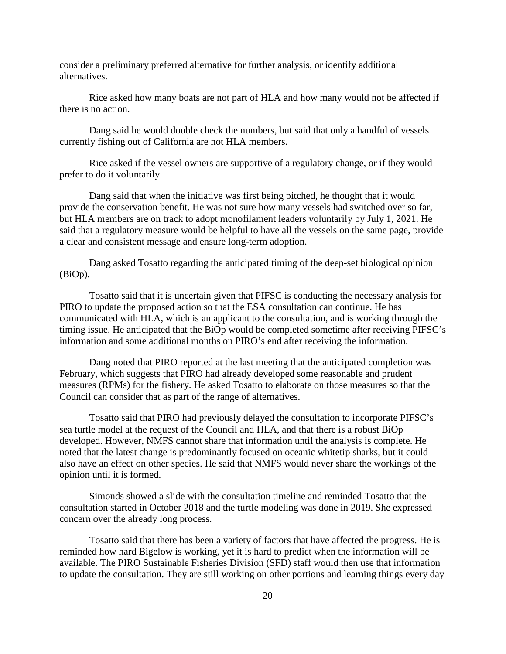consider a preliminary preferred alternative for further analysis, or identify additional alternatives.

Rice asked how many boats are not part of HLA and how many would not be affected if there is no action.

Dang said he would double check the numbers, but said that only a handful of vessels currently fishing out of California are not HLA members.

Rice asked if the vessel owners are supportive of a regulatory change, or if they would prefer to do it voluntarily.

Dang said that when the initiative was first being pitched, he thought that it would provide the conservation benefit. He was not sure how many vessels had switched over so far, but HLA members are on track to adopt monofilament leaders voluntarily by July 1, 2021. He said that a regulatory measure would be helpful to have all the vessels on the same page, provide a clear and consistent message and ensure long-term adoption.

Dang asked Tosatto regarding the anticipated timing of the deep-set biological opinion (BiOp).

Tosatto said that it is uncertain given that PIFSC is conducting the necessary analysis for PIRO to update the proposed action so that the ESA consultation can continue. He has communicated with HLA, which is an applicant to the consultation, and is working through the timing issue. He anticipated that the BiOp would be completed sometime after receiving PIFSC's information and some additional months on PIRO's end after receiving the information.

Dang noted that PIRO reported at the last meeting that the anticipated completion was February, which suggests that PIRO had already developed some reasonable and prudent measures (RPMs) for the fishery. He asked Tosatto to elaborate on those measures so that the Council can consider that as part of the range of alternatives.

Tosatto said that PIRO had previously delayed the consultation to incorporate PIFSC's sea turtle model at the request of the Council and HLA, and that there is a robust BiOp developed. However, NMFS cannot share that information until the analysis is complete. He noted that the latest change is predominantly focused on oceanic whitetip sharks, but it could also have an effect on other species. He said that NMFS would never share the workings of the opinion until it is formed.

Simonds showed a slide with the consultation timeline and reminded Tosatto that the consultation started in October 2018 and the turtle modeling was done in 2019. She expressed concern over the already long process.

Tosatto said that there has been a variety of factors that have affected the progress. He is reminded how hard Bigelow is working, yet it is hard to predict when the information will be available. The PIRO Sustainable Fisheries Division (SFD) staff would then use that information to update the consultation. They are still working on other portions and learning things every day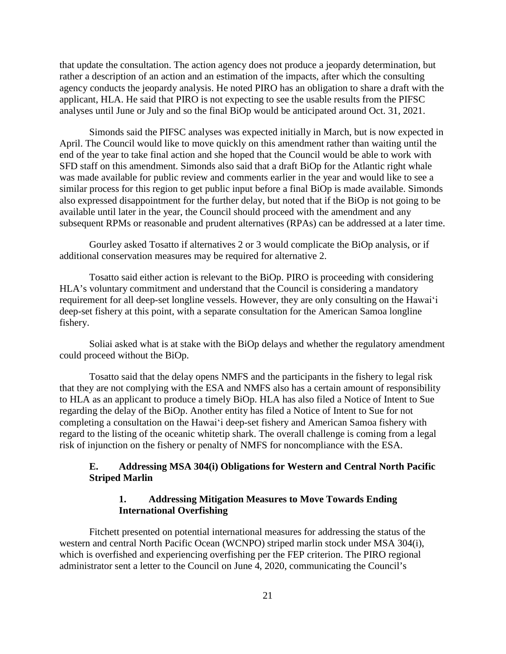that update the consultation. The action agency does not produce a jeopardy determination, but rather a description of an action and an estimation of the impacts, after which the consulting agency conducts the jeopardy analysis. He noted PIRO has an obligation to share a draft with the applicant, HLA. He said that PIRO is not expecting to see the usable results from the PIFSC analyses until June or July and so the final BiOp would be anticipated around Oct. 31, 2021.

Simonds said the PIFSC analyses was expected initially in March, but is now expected in April. The Council would like to move quickly on this amendment rather than waiting until the end of the year to take final action and she hoped that the Council would be able to work with SFD staff on this amendment. Simonds also said that a draft BiOp for the Atlantic right whale was made available for public review and comments earlier in the year and would like to see a similar process for this region to get public input before a final BiOp is made available. Simonds also expressed disappointment for the further delay, but noted that if the BiOp is not going to be available until later in the year, the Council should proceed with the amendment and any subsequent RPMs or reasonable and prudent alternatives (RPAs) can be addressed at a later time.

Gourley asked Tosatto if alternatives 2 or 3 would complicate the BiOp analysis, or if additional conservation measures may be required for alternative 2.

Tosatto said either action is relevant to the BiOp. PIRO is proceeding with considering HLA's voluntary commitment and understand that the Council is considering a mandatory requirement for all deep-set longline vessels. However, they are only consulting on the Hawaiʻi deep-set fishery at this point, with a separate consultation for the American Samoa longline fishery.

Soliai asked what is at stake with the BiOp delays and whether the regulatory amendment could proceed without the BiOp.

Tosatto said that the delay opens NMFS and the participants in the fishery to legal risk that they are not complying with the ESA and NMFS also has a certain amount of responsibility to HLA as an applicant to produce a timely BiOp. HLA has also filed a Notice of Intent to Sue regarding the delay of the BiOp. Another entity has filed a Notice of Intent to Sue for not completing a consultation on the Hawaiʻi deep-set fishery and American Samoa fishery with regard to the listing of the oceanic whitetip shark. The overall challenge is coming from a legal risk of injunction on the fishery or penalty of NMFS for noncompliance with the ESA.

## **E. Addressing MSA 304(i) Obligations for Western and Central North Pacific Striped Marlin**

## **1. Addressing Mitigation Measures to Move Towards Ending International Overfishing**

Fitchett presented on potential international measures for addressing the status of the western and central North Pacific Ocean (WCNPO) striped marlin stock under MSA 304(i), which is overfished and experiencing overfishing per the FEP criterion. The PIRO regional administrator sent a letter to the Council on June 4, 2020, communicating the Council's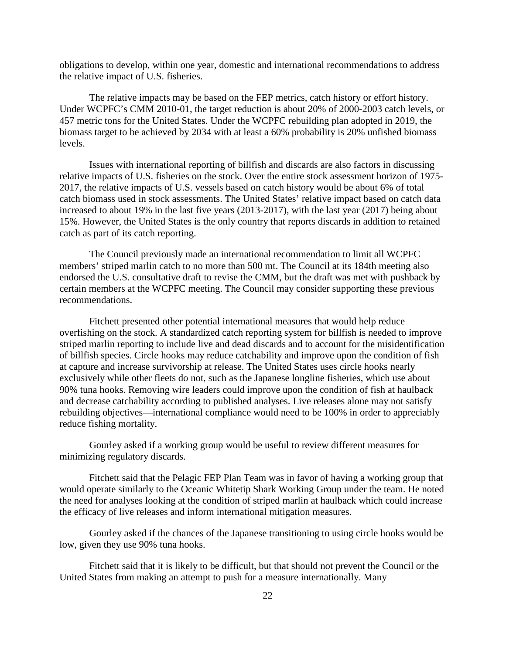obligations to develop, within one year, domestic and international recommendations to address the relative impact of U.S. fisheries.

The relative impacts may be based on the FEP metrics, catch history or effort history. Under WCPFC's CMM 2010-01, the target reduction is about 20% of 2000-2003 catch levels, or 457 metric tons for the United States. Under the WCPFC rebuilding plan adopted in 2019, the biomass target to be achieved by 2034 with at least a 60% probability is 20% unfished biomass levels.

Issues with international reporting of billfish and discards are also factors in discussing relative impacts of U.S. fisheries on the stock. Over the entire stock assessment horizon of 1975- 2017, the relative impacts of U.S. vessels based on catch history would be about 6% of total catch biomass used in stock assessments. The United States' relative impact based on catch data increased to about 19% in the last five years (2013-2017), with the last year (2017) being about 15%. However, the United States is the only country that reports discards in addition to retained catch as part of its catch reporting.

The Council previously made an international recommendation to limit all WCPFC members' striped marlin catch to no more than 500 mt. The Council at its 184th meeting also endorsed the U.S. consultative draft to revise the CMM, but the draft was met with pushback by certain members at the WCPFC meeting. The Council may consider supporting these previous recommendations.

Fitchett presented other potential international measures that would help reduce overfishing on the stock. A standardized catch reporting system for billfish is needed to improve striped marlin reporting to include live and dead discards and to account for the misidentification of billfish species. Circle hooks may reduce catchability and improve upon the condition of fish at capture and increase survivorship at release. The United States uses circle hooks nearly exclusively while other fleets do not, such as the Japanese longline fisheries, which use about 90% tuna hooks. Removing wire leaders could improve upon the condition of fish at haulback and decrease catchability according to published analyses. Live releases alone may not satisfy rebuilding objectives—international compliance would need to be 100% in order to appreciably reduce fishing mortality.

Gourley asked if a working group would be useful to review different measures for minimizing regulatory discards.

Fitchett said that the Pelagic FEP Plan Team was in favor of having a working group that would operate similarly to the Oceanic Whitetip Shark Working Group under the team. He noted the need for analyses looking at the condition of striped marlin at haulback which could increase the efficacy of live releases and inform international mitigation measures.

Gourley asked if the chances of the Japanese transitioning to using circle hooks would be low, given they use 90% tuna hooks.

Fitchett said that it is likely to be difficult, but that should not prevent the Council or the United States from making an attempt to push for a measure internationally. Many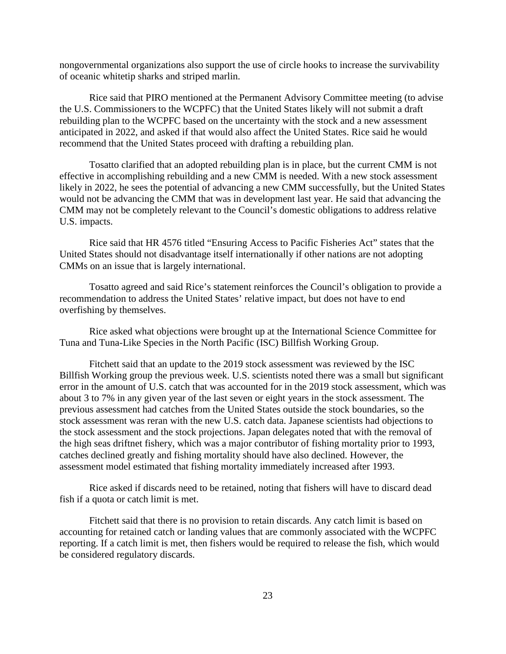nongovernmental organizations also support the use of circle hooks to increase the survivability of oceanic whitetip sharks and striped marlin.

Rice said that PIRO mentioned at the Permanent Advisory Committee meeting (to advise the U.S. Commissioners to the WCPFC) that the United States likely will not submit a draft rebuilding plan to the WCPFC based on the uncertainty with the stock and a new assessment anticipated in 2022, and asked if that would also affect the United States. Rice said he would recommend that the United States proceed with drafting a rebuilding plan.

Tosatto clarified that an adopted rebuilding plan is in place, but the current CMM is not effective in accomplishing rebuilding and a new CMM is needed. With a new stock assessment likely in 2022, he sees the potential of advancing a new CMM successfully, but the United States would not be advancing the CMM that was in development last year. He said that advancing the CMM may not be completely relevant to the Council's domestic obligations to address relative U.S. impacts.

Rice said that HR 4576 titled "Ensuring Access to Pacific Fisheries Act" states that the United States should not disadvantage itself internationally if other nations are not adopting CMMs on an issue that is largely international.

Tosatto agreed and said Rice's statement reinforces the Council's obligation to provide a recommendation to address the United States' relative impact, but does not have to end overfishing by themselves.

Rice asked what objections were brought up at the International Science Committee for Tuna and Tuna-Like Species in the North Pacific (ISC) Billfish Working Group.

Fitchett said that an update to the 2019 stock assessment was reviewed by the ISC Billfish Working group the previous week. U.S. scientists noted there was a small but significant error in the amount of U.S. catch that was accounted for in the 2019 stock assessment, which was about 3 to 7% in any given year of the last seven or eight years in the stock assessment. The previous assessment had catches from the United States outside the stock boundaries, so the stock assessment was reran with the new U.S. catch data. Japanese scientists had objections to the stock assessment and the stock projections. Japan delegates noted that with the removal of the high seas driftnet fishery, which was a major contributor of fishing mortality prior to 1993, catches declined greatly and fishing mortality should have also declined. However, the assessment model estimated that fishing mortality immediately increased after 1993.

Rice asked if discards need to be retained, noting that fishers will have to discard dead fish if a quota or catch limit is met.

Fitchett said that there is no provision to retain discards. Any catch limit is based on accounting for retained catch or landing values that are commonly associated with the WCPFC reporting. If a catch limit is met, then fishers would be required to release the fish, which would be considered regulatory discards.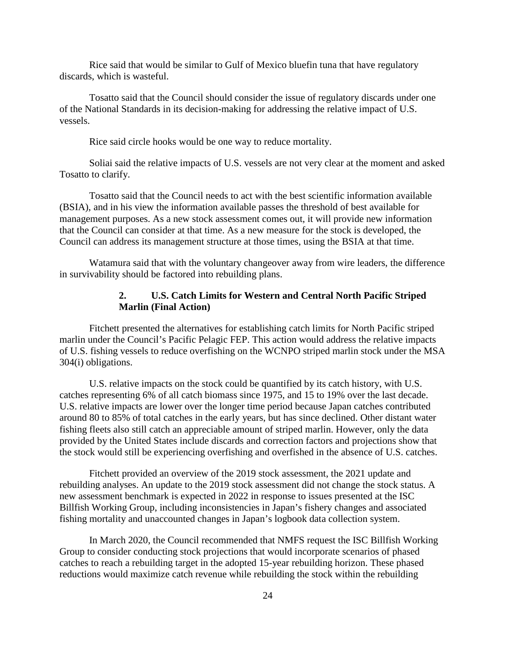Rice said that would be similar to Gulf of Mexico bluefin tuna that have regulatory discards, which is wasteful.

Tosatto said that the Council should consider the issue of regulatory discards under one of the National Standards in its decision-making for addressing the relative impact of U.S. vessels.

Rice said circle hooks would be one way to reduce mortality.

Soliai said the relative impacts of U.S. vessels are not very clear at the moment and asked Tosatto to clarify.

Tosatto said that the Council needs to act with the best scientific information available (BSIA), and in his view the information available passes the threshold of best available for management purposes. As a new stock assessment comes out, it will provide new information that the Council can consider at that time. As a new measure for the stock is developed, the Council can address its management structure at those times, using the BSIA at that time.

Watamura said that with the voluntary changeover away from wire leaders, the difference in survivability should be factored into rebuilding plans.

## **2. U.S. Catch Limits for Western and Central North Pacific Striped Marlin (Final Action)**

Fitchett presented the alternatives for establishing catch limits for North Pacific striped marlin under the Council's Pacific Pelagic FEP. This action would address the relative impacts of U.S. fishing vessels to reduce overfishing on the WCNPO striped marlin stock under the MSA 304(i) obligations.

U.S. relative impacts on the stock could be quantified by its catch history, with U.S. catches representing 6% of all catch biomass since 1975, and 15 to 19% over the last decade. U.S. relative impacts are lower over the longer time period because Japan catches contributed around 80 to 85% of total catches in the early years, but has since declined. Other distant water fishing fleets also still catch an appreciable amount of striped marlin. However, only the data provided by the United States include discards and correction factors and projections show that the stock would still be experiencing overfishing and overfished in the absence of U.S. catches.

Fitchett provided an overview of the 2019 stock assessment, the 2021 update and rebuilding analyses. An update to the 2019 stock assessment did not change the stock status. A new assessment benchmark is expected in 2022 in response to issues presented at the ISC Billfish Working Group, including inconsistencies in Japan's fishery changes and associated fishing mortality and unaccounted changes in Japan's logbook data collection system.

In March 2020, the Council recommended that NMFS request the ISC Billfish Working Group to consider conducting stock projections that would incorporate scenarios of phased catches to reach a rebuilding target in the adopted 15-year rebuilding horizon. These phased reductions would maximize catch revenue while rebuilding the stock within the rebuilding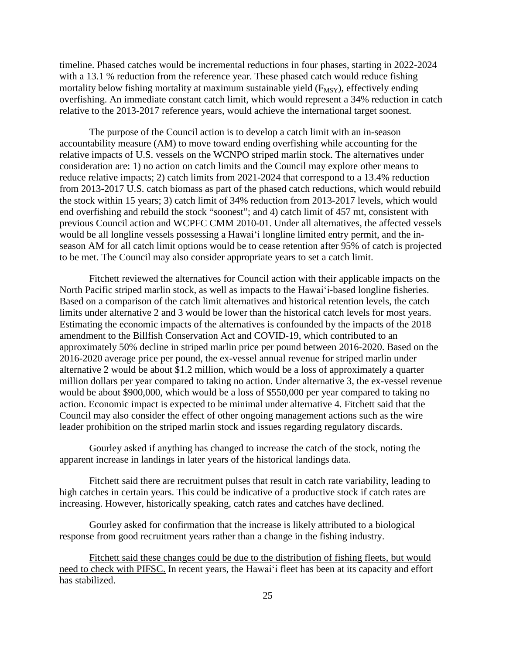timeline. Phased catches would be incremental reductions in four phases, starting in 2022-2024 with a 13.1 % reduction from the reference year. These phased catch would reduce fishing mortality below fishing mortality at maximum sustainable yield  $(F_{MSY})$ , effectively ending overfishing. An immediate constant catch limit, which would represent a 34% reduction in catch relative to the 2013-2017 reference years, would achieve the international target soonest.

The purpose of the Council action is to develop a catch limit with an in-season accountability measure (AM) to move toward ending overfishing while accounting for the relative impacts of U.S. vessels on the WCNPO striped marlin stock. The alternatives under consideration are: 1) no action on catch limits and the Council may explore other means to reduce relative impacts; 2) catch limits from 2021-2024 that correspond to a 13.4% reduction from 2013-2017 U.S. catch biomass as part of the phased catch reductions, which would rebuild the stock within 15 years; 3) catch limit of 34% reduction from 2013-2017 levels, which would end overfishing and rebuild the stock "soonest"; and 4) catch limit of 457 mt, consistent with previous Council action and WCPFC CMM 2010-01. Under all alternatives, the affected vessels would be all longline vessels possessing a Hawaiʻi longline limited entry permit, and the inseason AM for all catch limit options would be to cease retention after 95% of catch is projected to be met. The Council may also consider appropriate years to set a catch limit.

Fitchett reviewed the alternatives for Council action with their applicable impacts on the North Pacific striped marlin stock, as well as impacts to the Hawaiʻi-based longline fisheries. Based on a comparison of the catch limit alternatives and historical retention levels, the catch limits under alternative 2 and 3 would be lower than the historical catch levels for most years. Estimating the economic impacts of the alternatives is confounded by the impacts of the 2018 amendment to the Billfish Conservation Act and COVID-19, which contributed to an approximately 50% decline in striped marlin price per pound between 2016-2020. Based on the 2016-2020 average price per pound, the ex-vessel annual revenue for striped marlin under alternative 2 would be about \$1.2 million, which would be a loss of approximately a quarter million dollars per year compared to taking no action. Under alternative 3, the ex-vessel revenue would be about \$900,000, which would be a loss of \$550,000 per year compared to taking no action. Economic impact is expected to be minimal under alternative 4. Fitchett said that the Council may also consider the effect of other ongoing management actions such as the wire leader prohibition on the striped marlin stock and issues regarding regulatory discards.

Gourley asked if anything has changed to increase the catch of the stock, noting the apparent increase in landings in later years of the historical landings data.

Fitchett said there are recruitment pulses that result in catch rate variability, leading to high catches in certain years. This could be indicative of a productive stock if catch rates are increasing. However, historically speaking, catch rates and catches have declined.

Gourley asked for confirmation that the increase is likely attributed to a biological response from good recruitment years rather than a change in the fishing industry.

Fitchett said these changes could be due to the distribution of fishing fleets, but would need to check with PIFSC. In recent years, the Hawaiʻi fleet has been at its capacity and effort has stabilized.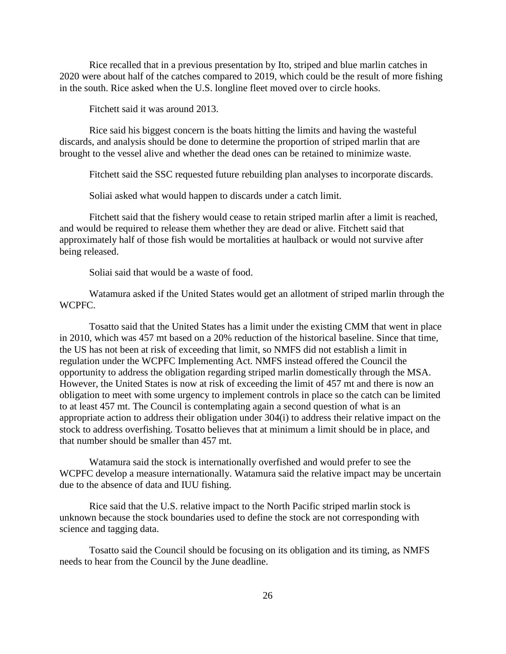Rice recalled that in a previous presentation by Ito, striped and blue marlin catches in 2020 were about half of the catches compared to 2019, which could be the result of more fishing in the south. Rice asked when the U.S. longline fleet moved over to circle hooks.

Fitchett said it was around 2013.

Rice said his biggest concern is the boats hitting the limits and having the wasteful discards, and analysis should be done to determine the proportion of striped marlin that are brought to the vessel alive and whether the dead ones can be retained to minimize waste.

Fitchett said the SSC requested future rebuilding plan analyses to incorporate discards.

Soliai asked what would happen to discards under a catch limit.

Fitchett said that the fishery would cease to retain striped marlin after a limit is reached, and would be required to release them whether they are dead or alive. Fitchett said that approximately half of those fish would be mortalities at haulback or would not survive after being released.

Soliai said that would be a waste of food.

Watamura asked if the United States would get an allotment of striped marlin through the WCPFC.

Tosatto said that the United States has a limit under the existing CMM that went in place in 2010, which was 457 mt based on a 20% reduction of the historical baseline. Since that time, the US has not been at risk of exceeding that limit, so NMFS did not establish a limit in regulation under the WCPFC Implementing Act. NMFS instead offered the Council the opportunity to address the obligation regarding striped marlin domestically through the MSA. However, the United States is now at risk of exceeding the limit of 457 mt and there is now an obligation to meet with some urgency to implement controls in place so the catch can be limited to at least 457 mt. The Council is contemplating again a second question of what is an appropriate action to address their obligation under 304(i) to address their relative impact on the stock to address overfishing. Tosatto believes that at minimum a limit should be in place, and that number should be smaller than 457 mt.

Watamura said the stock is internationally overfished and would prefer to see the WCPFC develop a measure internationally. Watamura said the relative impact may be uncertain due to the absence of data and IUU fishing.

Rice said that the U.S. relative impact to the North Pacific striped marlin stock is unknown because the stock boundaries used to define the stock are not corresponding with science and tagging data.

Tosatto said the Council should be focusing on its obligation and its timing, as NMFS needs to hear from the Council by the June deadline.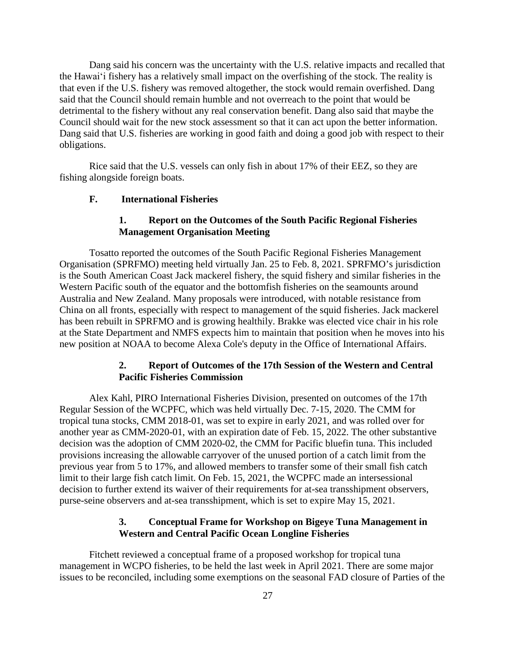Dang said his concern was the uncertainty with the U.S. relative impacts and recalled that the Hawaiʻi fishery has a relatively small impact on the overfishing of the stock. The reality is that even if the U.S. fishery was removed altogether, the stock would remain overfished. Dang said that the Council should remain humble and not overreach to the point that would be detrimental to the fishery without any real conservation benefit. Dang also said that maybe the Council should wait for the new stock assessment so that it can act upon the better information. Dang said that U.S. fisheries are working in good faith and doing a good job with respect to their obligations.

Rice said that the U.S. vessels can only fish in about 17% of their EEZ, so they are fishing alongside foreign boats.

#### **F. International Fisheries**

## **1. Report on the Outcomes of the South Pacific Regional Fisheries Management Organisation Meeting**

Tosatto reported the outcomes of the South Pacific Regional Fisheries Management Organisation (SPRFMO) meeting held virtually Jan. 25 to Feb. 8, 2021. SPRFMO's jurisdiction is the South American Coast Jack mackerel fishery, the squid fishery and similar fisheries in the Western Pacific south of the equator and the bottomfish fisheries on the seamounts around Australia and New Zealand. Many proposals were introduced, with notable resistance from China on all fronts, especially with respect to management of the squid fisheries. Jack mackerel has been rebuilt in SPRFMO and is growing healthily. Brakke was elected vice chair in his role at the State Department and NMFS expects him to maintain that position when he moves into his new position at NOAA to become Alexa Cole's deputy in the Office of International Affairs.

#### **2. Report of Outcomes of the 17th Session of the Western and Central Pacific Fisheries Commission**

Alex Kahl, PIRO International Fisheries Division, presented on outcomes of the 17th Regular Session of the WCPFC, which was held virtually Dec. 7-15, 2020. The CMM for tropical tuna stocks, CMM 2018-01, was set to expire in early 2021, and was rolled over for another year as CMM-2020-01, with an expiration date of Feb. 15, 2022. The other substantive decision was the adoption of CMM 2020-02, the CMM for Pacific bluefin tuna. This included provisions increasing the allowable carryover of the unused portion of a catch limit from the previous year from 5 to 17%, and allowed members to transfer some of their small fish catch limit to their large fish catch limit. On Feb. 15, 2021, the WCPFC made an intersessional decision to further extend its waiver of their requirements for at-sea transshipment observers, purse-seine observers and at-sea transshipment, which is set to expire May 15, 2021.

## **3. Conceptual Frame for Workshop on Bigeye Tuna Management in Western and Central Pacific Ocean Longline Fisheries**

Fitchett reviewed a conceptual frame of a proposed workshop for tropical tuna management in WCPO fisheries, to be held the last week in April 2021. There are some major issues to be reconciled, including some exemptions on the seasonal FAD closure of Parties of the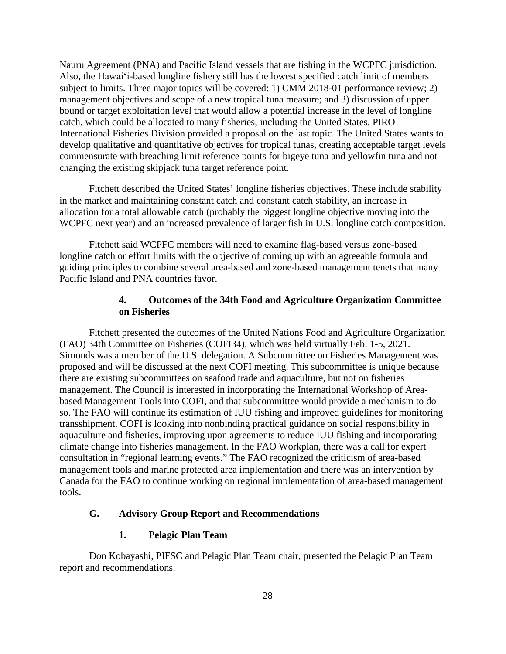Nauru Agreement (PNA) and Pacific Island vessels that are fishing in the WCPFC jurisdiction. Also, the Hawaiʻi-based longline fishery still has the lowest specified catch limit of members subject to limits. Three major topics will be covered: 1) CMM 2018-01 performance review; 2) management objectives and scope of a new tropical tuna measure; and 3) discussion of upper bound or target exploitation level that would allow a potential increase in the level of longline catch, which could be allocated to many fisheries, including the United States. PIRO International Fisheries Division provided a proposal on the last topic. The United States wants to develop qualitative and quantitative objectives for tropical tunas, creating acceptable target levels commensurate with breaching limit reference points for bigeye tuna and yellowfin tuna and not changing the existing skipjack tuna target reference point.

Fitchett described the United States' longline fisheries objectives. These include stability in the market and maintaining constant catch and constant catch stability, an increase in allocation for a total allowable catch (probably the biggest longline objective moving into the WCPFC next year) and an increased prevalence of larger fish in U.S. longline catch composition.

Fitchett said WCPFC members will need to examine flag-based versus zone-based longline catch or effort limits with the objective of coming up with an agreeable formula and guiding principles to combine several area-based and zone-based management tenets that many Pacific Island and PNA countries favor.

## **4. Outcomes of the 34th Food and Agriculture Organization Committee on Fisheries**

Fitchett presented the outcomes of the United Nations Food and Agriculture Organization (FAO) 34th Committee on Fisheries (COFI34), which was held virtually Feb. 1-5, 2021. Simonds was a member of the U.S. delegation. A Subcommittee on Fisheries Management was proposed and will be discussed at the next COFI meeting. This subcommittee is unique because there are existing subcommittees on seafood trade and aquaculture, but not on fisheries management. The Council is interested in incorporating the International Workshop of Areabased Management Tools into COFI, and that subcommittee would provide a mechanism to do so. The FAO will continue its estimation of IUU fishing and improved guidelines for monitoring transshipment. COFI is looking into nonbinding practical guidance on social responsibility in aquaculture and fisheries, improving upon agreements to reduce IUU fishing and incorporating climate change into fisheries management. In the FAO Workplan, there was a call for expert consultation in "regional learning events." The FAO recognized the criticism of area-based management tools and marine protected area implementation and there was an intervention by Canada for the FAO to continue working on regional implementation of area-based management tools.

## **G. Advisory Group Report and Recommendations**

#### **1. Pelagic Plan Team**

Don Kobayashi, PIFSC and Pelagic Plan Team chair, presented the Pelagic Plan Team report and recommendations.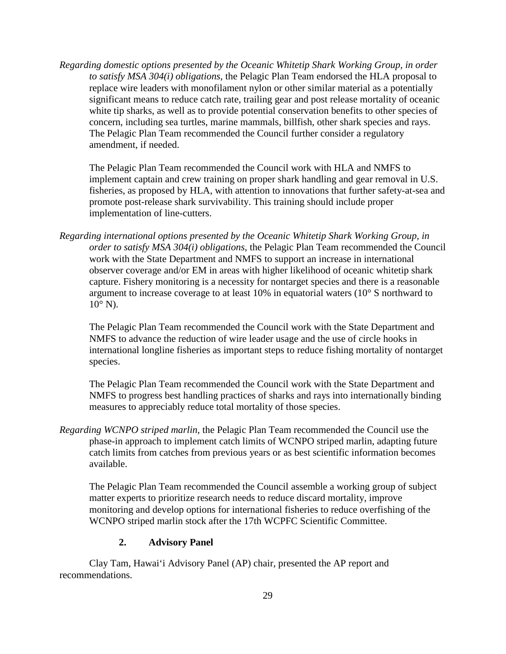*Regarding domestic options presented by the Oceanic Whitetip Shark Working Group, in order to satisfy MSA 304(i) obligations*, the Pelagic Plan Team endorsed the HLA proposal to replace wire leaders with monofilament nylon or other similar material as a potentially significant means to reduce catch rate, trailing gear and post release mortality of oceanic white tip sharks, as well as to provide potential conservation benefits to other species of concern, including sea turtles, marine mammals, billfish, other shark species and rays. The Pelagic Plan Team recommended the Council further consider a regulatory amendment, if needed.

The Pelagic Plan Team recommended the Council work with HLA and NMFS to implement captain and crew training on proper shark handling and gear removal in U.S. fisheries, as proposed by HLA, with attention to innovations that further safety-at-sea and promote post-release shark survivability. This training should include proper implementation of line-cutters.

*Regarding international options presented by the Oceanic Whitetip Shark Working Group, in order to satisfy MSA 304(i) obligations*, the Pelagic Plan Team recommended the Council work with the State Department and NMFS to support an increase in international observer coverage and/or EM in areas with higher likelihood of oceanic whitetip shark capture. Fishery monitoring is a necessity for nontarget species and there is a reasonable argument to increase coverage to at least 10% in equatorial waters (10° S northward to  $10^{\circ}$  N).

The Pelagic Plan Team recommended the Council work with the State Department and NMFS to advance the reduction of wire leader usage and the use of circle hooks in international longline fisheries as important steps to reduce fishing mortality of nontarget species.

The Pelagic Plan Team recommended the Council work with the State Department and NMFS to progress best handling practices of sharks and rays into internationally binding measures to appreciably reduce total mortality of those species.

*Regarding WCNPO striped marlin,* the Pelagic Plan Team recommended the Council use the phase-in approach to implement catch limits of WCNPO striped marlin, adapting future catch limits from catches from previous years or as best scientific information becomes available.

The Pelagic Plan Team recommended the Council assemble a working group of subject matter experts to prioritize research needs to reduce discard mortality, improve monitoring and develop options for international fisheries to reduce overfishing of the WCNPO striped marlin stock after the 17th WCPFC Scientific Committee.

## **2. Advisory Panel**

Clay Tam, Hawai'i Advisory Panel (AP) chair, presented the AP report and recommendations.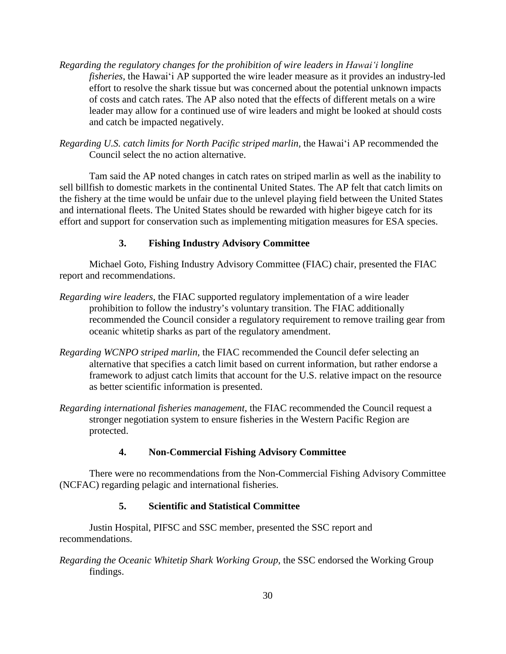- *Regarding the regulatory changes for the prohibition of wire leaders in Hawaiʻi longline fisheries,* the Hawaiʻi AP supported the wire leader measure as it provides an industry-led effort to resolve the shark tissue but was concerned about the potential unknown impacts of costs and catch rates. The AP also noted that the effects of different metals on a wire leader may allow for a continued use of wire leaders and might be looked at should costs and catch be impacted negatively.
- *Regarding U.S. catch limits for North Pacific striped marlin,* the Hawaiʻi AP recommended the Council select the no action alternative.

Tam said the AP noted changes in catch rates on striped marlin as well as the inability to sell billfish to domestic markets in the continental United States. The AP felt that catch limits on the fishery at the time would be unfair due to the unlevel playing field between the United States and international fleets. The United States should be rewarded with higher bigeye catch for its effort and support for conservation such as implementing mitigation measures for ESA species.

## **3. Fishing Industry Advisory Committee**

Michael Goto, Fishing Industry Advisory Committee (FIAC) chair, presented the FIAC report and recommendations.

- *Regarding wire leaders*, the FIAC supported regulatory implementation of a wire leader prohibition to follow the industry's voluntary transition. The FIAC additionally recommended the Council consider a regulatory requirement to remove trailing gear from oceanic whitetip sharks as part of the regulatory amendment.
- *Regarding WCNPO striped marlin,* the FIAC recommended the Council defer selecting an alternative that specifies a catch limit based on current information, but rather endorse a framework to adjust catch limits that account for the U.S. relative impact on the resource as better scientific information is presented.
- *Regarding international fisheries management*, the FIAC recommended the Council request a stronger negotiation system to ensure fisheries in the Western Pacific Region are protected.

## **4. Non-Commercial Fishing Advisory Committee**

There were no recommendations from the Non-Commercial Fishing Advisory Committee (NCFAC) regarding pelagic and international fisheries.

# **5. Scientific and Statistical Committee**

Justin Hospital, PIFSC and SSC member, presented the SSC report and recommendations.

*Regarding the Oceanic Whitetip Shark Working Group*, the SSC endorsed the Working Group findings.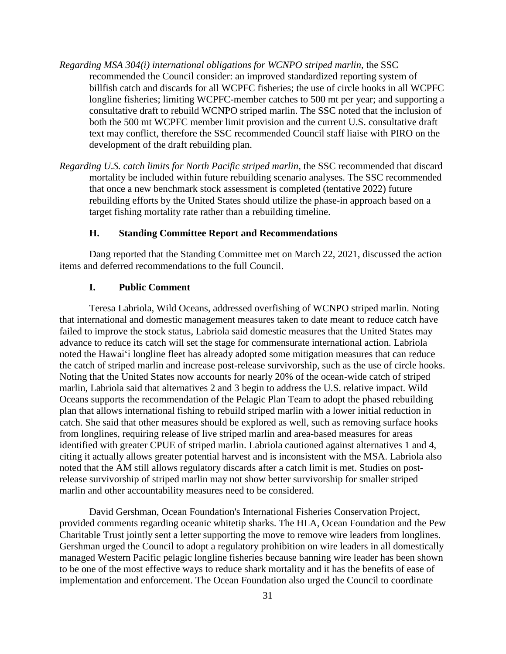- *Regarding MSA 304(i) international obligations for WCNPO striped marlin*, the SSC recommended the Council consider: an improved standardized reporting system of billfish catch and discards for all WCPFC fisheries; the use of circle hooks in all WCPFC longline fisheries; limiting WCPFC-member catches to 500 mt per year; and supporting a consultative draft to rebuild WCNPO striped marlin. The SSC noted that the inclusion of both the 500 mt WCPFC member limit provision and the current U.S. consultative draft text may conflict, therefore the SSC recommended Council staff liaise with PIRO on the development of the draft rebuilding plan.
- *Regarding U.S. catch limits for North Pacific striped marlin,* the SSC recommended that discard mortality be included within future rebuilding scenario analyses. The SSC recommended that once a new benchmark stock assessment is completed (tentative 2022) future rebuilding efforts by the United States should utilize the phase-in approach based on a target fishing mortality rate rather than a rebuilding timeline.

### **H. Standing Committee Report and Recommendations**

Dang reported that the Standing Committee met on March 22, 2021, discussed the action items and deferred recommendations to the full Council.

### **I. Public Comment**

Teresa Labriola, Wild Oceans, addressed overfishing of WCNPO striped marlin. Noting that international and domestic management measures taken to date meant to reduce catch have failed to improve the stock status, Labriola said domestic measures that the United States may advance to reduce its catch will set the stage for commensurate international action. Labriola noted the Hawaiʻi longline fleet has already adopted some mitigation measures that can reduce the catch of striped marlin and increase post-release survivorship, such as the use of circle hooks. Noting that the United States now accounts for nearly 20% of the ocean-wide catch of striped marlin, Labriola said that alternatives 2 and 3 begin to address the U.S. relative impact. Wild Oceans supports the recommendation of the Pelagic Plan Team to adopt the phased rebuilding plan that allows international fishing to rebuild striped marlin with a lower initial reduction in catch. She said that other measures should be explored as well, such as removing surface hooks from longlines, requiring release of live striped marlin and area-based measures for areas identified with greater CPUE of striped marlin. Labriola cautioned against alternatives 1 and 4, citing it actually allows greater potential harvest and is inconsistent with the MSA. Labriola also noted that the AM still allows regulatory discards after a catch limit is met. Studies on postrelease survivorship of striped marlin may not show better survivorship for smaller striped marlin and other accountability measures need to be considered.

David Gershman, Ocean Foundation's International Fisheries Conservation Project, provided comments regarding oceanic whitetip sharks. The HLA, Ocean Foundation and the Pew Charitable Trust jointly sent a letter supporting the move to remove wire leaders from longlines. Gershman urged the Council to adopt a regulatory prohibition on wire leaders in all domestically managed Western Pacific pelagic longline fisheries because banning wire leader has been shown to be one of the most effective ways to reduce shark mortality and it has the benefits of ease of implementation and enforcement. The Ocean Foundation also urged the Council to coordinate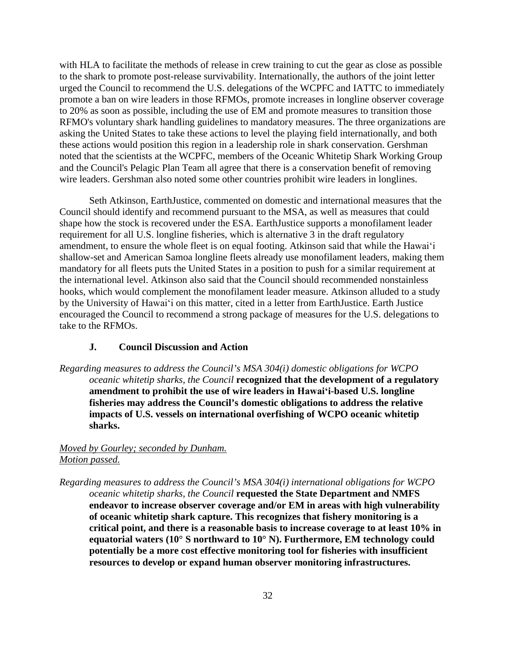with HLA to facilitate the methods of release in crew training to cut the gear as close as possible to the shark to promote post-release survivability. Internationally, the authors of the joint letter urged the Council to recommend the U.S. delegations of the WCPFC and IATTC to immediately promote a ban on wire leaders in those RFMOs, promote increases in longline observer coverage to 20% as soon as possible, including the use of EM and promote measures to transition those RFMO's voluntary shark handling guidelines to mandatory measures. The three organizations are asking the United States to take these actions to level the playing field internationally, and both these actions would position this region in a leadership role in shark conservation. Gershman noted that the scientists at the WCPFC, members of the Oceanic Whitetip Shark Working Group and the Council's Pelagic Plan Team all agree that there is a conservation benefit of removing wire leaders. Gershman also noted some other countries prohibit wire leaders in longlines.

Seth Atkinson, EarthJustice, commented on domestic and international measures that the Council should identify and recommend pursuant to the MSA, as well as measures that could shape how the stock is recovered under the ESA. EarthJustice supports a monofilament leader requirement for all U.S. longline fisheries, which is alternative 3 in the draft regulatory amendment, to ensure the whole fleet is on equal footing. Atkinson said that while the Hawaiʻi shallow-set and American Samoa longline fleets already use monofilament leaders, making them mandatory for all fleets puts the United States in a position to push for a similar requirement at the international level. Atkinson also said that the Council should recommended nonstainless hooks, which would complement the monofilament leader measure. Atkinson alluded to a study by the University of Hawaiʻi on this matter, cited in a letter from EarthJustice. Earth Justice encouraged the Council to recommend a strong package of measures for the U.S. delegations to take to the RFMOs.

### **J. Council Discussion and Action**

*Regarding measures to address the Council's MSA 304(i) domestic obligations for WCPO oceanic whitetip sharks, the Council* **recognized that the development of a regulatory amendment to prohibit the use of wire leaders in Hawaiʻi-based U.S. longline fisheries may address the Council's domestic obligations to address the relative impacts of U.S. vessels on international overfishing of WCPO oceanic whitetip sharks.**

## *Moved by Gourley; seconded by Dunham. Motion passed.*

*Regarding measures to address the Council's MSA 304(i) international obligations for WCPO oceanic whitetip sharks, the Council* **requested the State Department and NMFS endeavor to increase observer coverage and/or EM in areas with high vulnerability of oceanic whitetip shark capture. This recognizes that fishery monitoring is a critical point, and there is a reasonable basis to increase coverage to at least 10% in equatorial waters (10° S northward to 10° N). Furthermore, EM technology could potentially be a more cost effective monitoring tool for fisheries with insufficient resources to develop or expand human observer monitoring infrastructures.**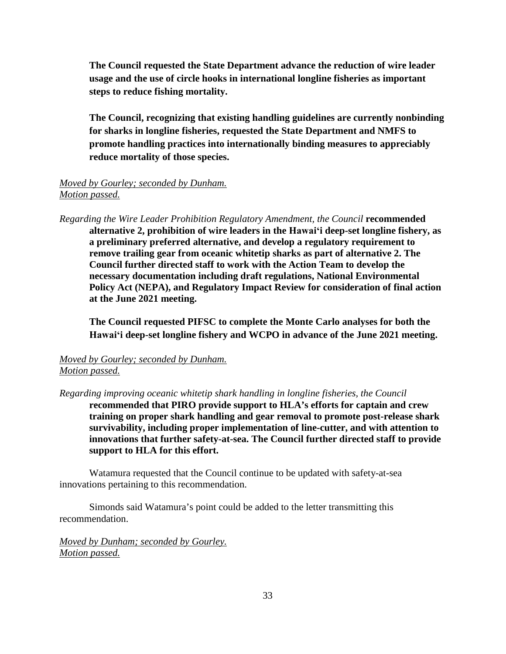**The Council requested the State Department advance the reduction of wire leader usage and the use of circle hooks in international longline fisheries as important steps to reduce fishing mortality.**

**The Council, recognizing that existing handling guidelines are currently nonbinding for sharks in longline fisheries, requested the State Department and NMFS to promote handling practices into internationally binding measures to appreciably reduce mortality of those species.** 

## *Moved by Gourley; seconded by Dunham. Motion passed.*

*Regarding the Wire Leader Prohibition Regulatory Amendment, the Council* **recommended alternative 2, prohibition of wire leaders in the Hawaiʻi deep-set longline fishery, as a preliminary preferred alternative, and develop a regulatory requirement to remove trailing gear from oceanic whitetip sharks as part of alternative 2. The Council further directed staff to work with the Action Team to develop the necessary documentation including draft regulations, National Environmental Policy Act (NEPA), and Regulatory Impact Review for consideration of final action at the June 2021 meeting.**

**The Council requested PIFSC to complete the Monte Carlo analyses for both the Hawaiʻi deep-set longline fishery and WCPO in advance of the June 2021 meeting.** 

# *Moved by Gourley; seconded by Dunham. Motion passed.*

*Regarding improving oceanic whitetip shark handling in longline fisheries, the Council*

**recommended that PIRO provide support to HLA's efforts for captain and crew training on proper shark handling and gear removal to promote post-release shark survivability, including proper implementation of line-cutter, and with attention to innovations that further safety-at-sea. The Council further directed staff to provide support to HLA for this effort.**

Watamura requested that the Council continue to be updated with safety-at-sea innovations pertaining to this recommendation.

Simonds said Watamura's point could be added to the letter transmitting this recommendation.

*Moved by Dunham; seconded by Gourley. Motion passed.*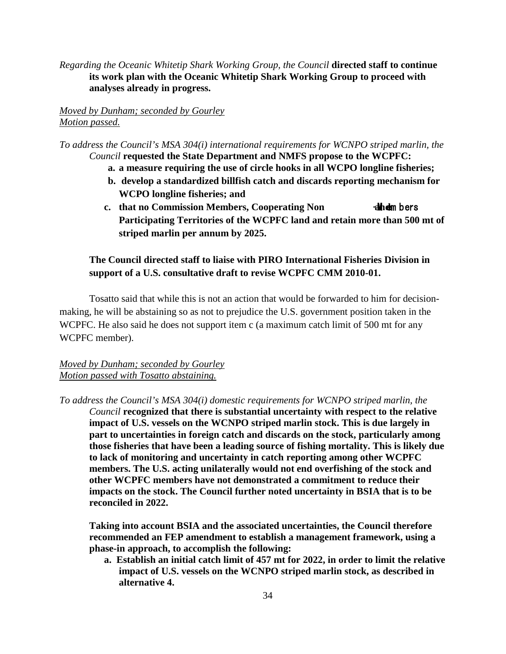*Regarding the Oceanic Whitetip Shark Working Group, the Council* **directed staff to continue its work plan with the Oceanic Whitetip Shark Working Group to proceed with analyses already in progress.**

*Moved by Dunham; seconded by Gourley Motion passed.*

*To address the Council's MSA 304(i) international requirements for WCNPO striped marlin, the Council* **requested the State Department and NMFS propose to the WCPFC:**

- **a. a measure requiring the use of circle hooks in all WCPO longline fisheries;**
- **b. develop a standardized billfish catch and discards reporting mechanism for WCPO longline fisheries; and**
- **c.** that no Commission Members, Cooperating Non **all a**m bers **Participating Territories of the WCPFC land and retain more than 500 mt of striped marlin per annum by 2025.**

# **The Council directed staff to liaise with PIRO International Fisheries Division in support of a U.S. consultative draft to revise WCPFC CMM 2010-01.**

Tosatto said that while this is not an action that would be forwarded to him for decisionmaking, he will be abstaining so as not to prejudice the U.S. government position taken in the WCPFC. He also said he does not support item c (a maximum catch limit of 500 mt for any WCPFC member).

# *Moved by Dunham; seconded by Gourley Motion passed with Tosatto abstaining.*

*To address the Council's MSA 304(i) domestic requirements for WCNPO striped marlin, the Council* **recognized that there is substantial uncertainty with respect to the relative impact of U.S. vessels on the WCNPO striped marlin stock. This is due largely in part to uncertainties in foreign catch and discards on the stock, particularly among those fisheries that have been a leading source of fishing mortality. This is likely due to lack of monitoring and uncertainty in catch reporting among other WCPFC members. The U.S. acting unilaterally would not end overfishing of the stock and other WCPFC members have not demonstrated a commitment to reduce their impacts on the stock. The Council further noted uncertainty in BSIA that is to be reconciled in 2022.** 

**Taking into account BSIA and the associated uncertainties, the Council therefore recommended an FEP amendment to establish a management framework, using a phase-in approach, to accomplish the following:**

**a. Establish an initial catch limit of 457 mt for 2022, in order to limit the relative impact of U.S. vessels on the WCNPO striped marlin stock, as described in alternative 4.**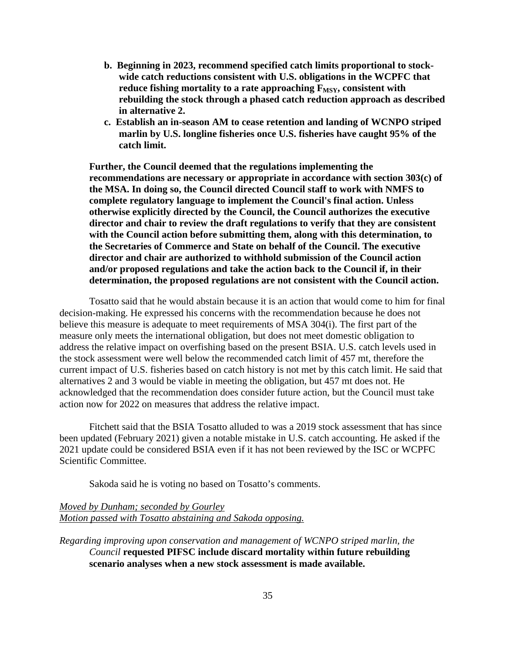- **b. Beginning in 2023, recommend specified catch limits proportional to stockwide catch reductions consistent with U.S. obligations in the WCPFC that**  reduce fishing mortality to a rate approaching F<sub>MSY</sub>, consistent with **rebuilding the stock through a phased catch reduction approach as described in alternative 2.**
- **c. Establish an in-season AM to cease retention and landing of WCNPO striped marlin by U.S. longline fisheries once U.S. fisheries have caught 95% of the catch limit.**

**Further, the Council deemed that the regulations implementing the recommendations are necessary or appropriate in accordance with section 303(c) of the MSA. In doing so, the Council directed Council staff to work with NMFS to complete regulatory language to implement the Council's final action. Unless otherwise explicitly directed by the Council, the Council authorizes the executive director and chair to review the draft regulations to verify that they are consistent with the Council action before submitting them, along with this determination, to the Secretaries of Commerce and State on behalf of the Council. The executive director and chair are authorized to withhold submission of the Council action and/or proposed regulations and take the action back to the Council if, in their determination, the proposed regulations are not consistent with the Council action.**

Tosatto said that he would abstain because it is an action that would come to him for final decision-making. He expressed his concerns with the recommendation because he does not believe this measure is adequate to meet requirements of MSA 304(i). The first part of the measure only meets the international obligation, but does not meet domestic obligation to address the relative impact on overfishing based on the present BSIA. U.S. catch levels used in the stock assessment were well below the recommended catch limit of 457 mt, therefore the current impact of U.S. fisheries based on catch history is not met by this catch limit. He said that alternatives 2 and 3 would be viable in meeting the obligation, but 457 mt does not. He acknowledged that the recommendation does consider future action, but the Council must take action now for 2022 on measures that address the relative impact.

Fitchett said that the BSIA Tosatto alluded to was a 2019 stock assessment that has since been updated (February 2021) given a notable mistake in U.S. catch accounting. He asked if the 2021 update could be considered BSIA even if it has not been reviewed by the ISC or WCPFC Scientific Committee.

Sakoda said he is voting no based on Tosatto's comments.

## *Moved by Dunham; seconded by Gourley Motion passed with Tosatto abstaining and Sakoda opposing.*

*Regarding improving upon conservation and management of WCNPO striped marlin, the Council* **requested PIFSC include discard mortality within future rebuilding scenario analyses when a new stock assessment is made available.**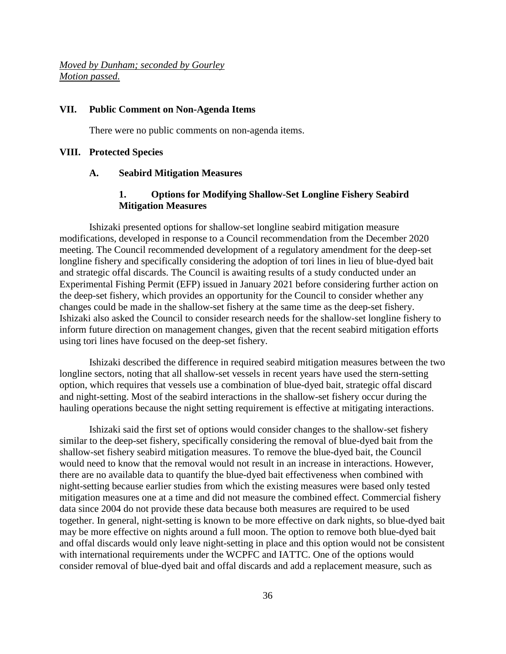*Moved by Dunham; seconded by Gourley Motion passed.* 

#### **VII. Public Comment on Non-Agenda Items**

There were no public comments on non-agenda items.

#### **VIII. Protected Species**

#### **A. Seabird Mitigation Measures**

## **1. Options for Modifying Shallow-Set Longline Fishery Seabird Mitigation Measures**

Ishizaki presented options for shallow-set longline seabird mitigation measure modifications, developed in response to a Council recommendation from the December 2020 meeting. The Council recommended development of a regulatory amendment for the deep-set longline fishery and specifically considering the adoption of tori lines in lieu of blue-dyed bait and strategic offal discards. The Council is awaiting results of a study conducted under an Experimental Fishing Permit (EFP) issued in January 2021 before considering further action on the deep-set fishery, which provides an opportunity for the Council to consider whether any changes could be made in the shallow-set fishery at the same time as the deep-set fishery. Ishizaki also asked the Council to consider research needs for the shallow-set longline fishery to inform future direction on management changes, given that the recent seabird mitigation efforts using tori lines have focused on the deep-set fishery.

Ishizaki described the difference in required seabird mitigation measures between the two longline sectors, noting that all shallow-set vessels in recent years have used the stern-setting option, which requires that vessels use a combination of blue-dyed bait, strategic offal discard and night-setting. Most of the seabird interactions in the shallow-set fishery occur during the hauling operations because the night setting requirement is effective at mitigating interactions.

Ishizaki said the first set of options would consider changes to the shallow-set fishery similar to the deep-set fishery, specifically considering the removal of blue-dyed bait from the shallow-set fishery seabird mitigation measures. To remove the blue-dyed bait, the Council would need to know that the removal would not result in an increase in interactions. However, there are no available data to quantify the blue-dyed bait effectiveness when combined with night-setting because earlier studies from which the existing measures were based only tested mitigation measures one at a time and did not measure the combined effect. Commercial fishery data since 2004 do not provide these data because both measures are required to be used together. In general, night-setting is known to be more effective on dark nights, so blue-dyed bait may be more effective on nights around a full moon. The option to remove both blue-dyed bait and offal discards would only leave night-setting in place and this option would not be consistent with international requirements under the WCPFC and IATTC. One of the options would consider removal of blue-dyed bait and offal discards and add a replacement measure, such as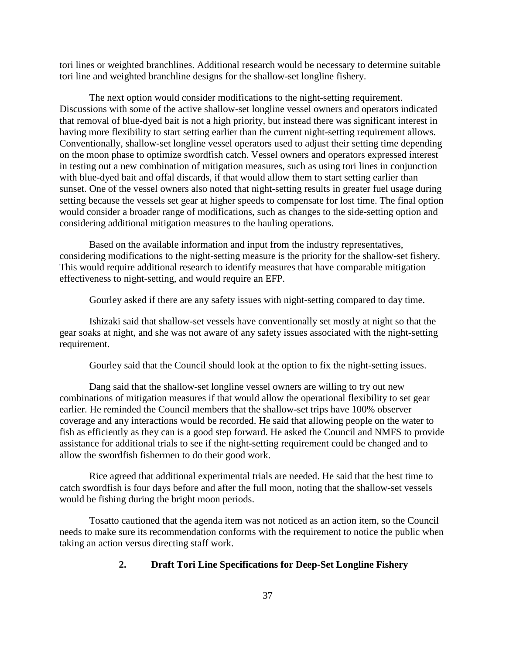tori lines or weighted branchlines. Additional research would be necessary to determine suitable tori line and weighted branchline designs for the shallow-set longline fishery.

The next option would consider modifications to the night-setting requirement. Discussions with some of the active shallow-set longline vessel owners and operators indicated that removal of blue-dyed bait is not a high priority, but instead there was significant interest in having more flexibility to start setting earlier than the current night-setting requirement allows. Conventionally, shallow-set longline vessel operators used to adjust their setting time depending on the moon phase to optimize swordfish catch. Vessel owners and operators expressed interest in testing out a new combination of mitigation measures, such as using tori lines in conjunction with blue-dyed bait and offal discards, if that would allow them to start setting earlier than sunset. One of the vessel owners also noted that night-setting results in greater fuel usage during setting because the vessels set gear at higher speeds to compensate for lost time. The final option would consider a broader range of modifications, such as changes to the side-setting option and considering additional mitigation measures to the hauling operations.

Based on the available information and input from the industry representatives, considering modifications to the night-setting measure is the priority for the shallow-set fishery. This would require additional research to identify measures that have comparable mitigation effectiveness to night-setting, and would require an EFP.

Gourley asked if there are any safety issues with night-setting compared to day time.

Ishizaki said that shallow-set vessels have conventionally set mostly at night so that the gear soaks at night, and she was not aware of any safety issues associated with the night-setting requirement.

Gourley said that the Council should look at the option to fix the night-setting issues.

Dang said that the shallow-set longline vessel owners are willing to try out new combinations of mitigation measures if that would allow the operational flexibility to set gear earlier. He reminded the Council members that the shallow-set trips have 100% observer coverage and any interactions would be recorded. He said that allowing people on the water to fish as efficiently as they can is a good step forward. He asked the Council and NMFS to provide assistance for additional trials to see if the night-setting requirement could be changed and to allow the swordfish fishermen to do their good work.

Rice agreed that additional experimental trials are needed. He said that the best time to catch swordfish is four days before and after the full moon, noting that the shallow-set vessels would be fishing during the bright moon periods.

Tosatto cautioned that the agenda item was not noticed as an action item, so the Council needs to make sure its recommendation conforms with the requirement to notice the public when taking an action versus directing staff work.

### **2. Draft Tori Line Specifications for Deep-Set Longline Fishery**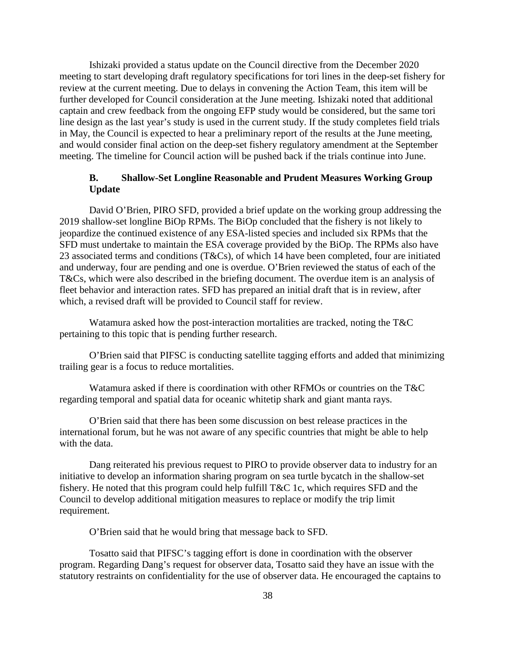Ishizaki provided a status update on the Council directive from the December 2020 meeting to start developing draft regulatory specifications for tori lines in the deep-set fishery for review at the current meeting. Due to delays in convening the Action Team, this item will be further developed for Council consideration at the June meeting. Ishizaki noted that additional captain and crew feedback from the ongoing EFP study would be considered, but the same tori line design as the last year's study is used in the current study. If the study completes field trials in May, the Council is expected to hear a preliminary report of the results at the June meeting, and would consider final action on the deep-set fishery regulatory amendment at the September meeting. The timeline for Council action will be pushed back if the trials continue into June.

# **B. Shallow-Set Longline Reasonable and Prudent Measures Working Group Update**

David O'Brien, PIRO SFD, provided a brief update on the working group addressing the 2019 shallow-set longline BiOp RPMs. The BiOp concluded that the fishery is not likely to jeopardize the continued existence of any ESA-listed species and included six RPMs that the SFD must undertake to maintain the ESA coverage provided by the BiOp. The RPMs also have 23 associated terms and conditions (T&Cs), of which 14 have been completed, four are initiated and underway, four are pending and one is overdue. O'Brien reviewed the status of each of the T&Cs, which were also described in the briefing document. The overdue item is an analysis of fleet behavior and interaction rates. SFD has prepared an initial draft that is in review, after which, a revised draft will be provided to Council staff for review.

Watamura asked how the post-interaction mortalities are tracked, noting the T&C pertaining to this topic that is pending further research.

O'Brien said that PIFSC is conducting satellite tagging efforts and added that minimizing trailing gear is a focus to reduce mortalities.

Watamura asked if there is coordination with other RFMOs or countries on the T&C regarding temporal and spatial data for oceanic whitetip shark and giant manta rays.

O'Brien said that there has been some discussion on best release practices in the international forum, but he was not aware of any specific countries that might be able to help with the data.

Dang reiterated his previous request to PIRO to provide observer data to industry for an initiative to develop an information sharing program on sea turtle bycatch in the shallow-set fishery. He noted that this program could help fulfill T&C 1c, which requires SFD and the Council to develop additional mitigation measures to replace or modify the trip limit requirement.

O'Brien said that he would bring that message back to SFD.

Tosatto said that PIFSC's tagging effort is done in coordination with the observer program. Regarding Dang's request for observer data, Tosatto said they have an issue with the statutory restraints on confidentiality for the use of observer data. He encouraged the captains to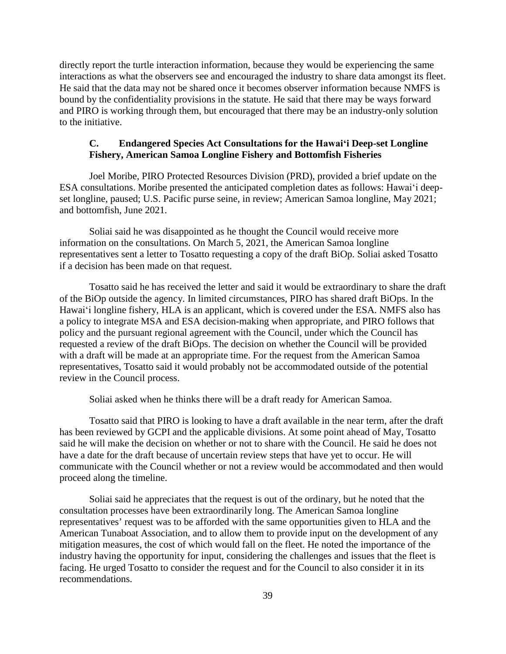directly report the turtle interaction information, because they would be experiencing the same interactions as what the observers see and encouraged the industry to share data amongst its fleet. He said that the data may not be shared once it becomes observer information because NMFS is bound by the confidentiality provisions in the statute. He said that there may be ways forward and PIRO is working through them, but encouraged that there may be an industry-only solution to the initiative.

## **C. Endangered Species Act Consultations for the Hawaiʻi Deep-set Longline Fishery, American Samoa Longline Fishery and Bottomfish Fisheries**

Joel Moribe, PIRO Protected Resources Division (PRD), provided a brief update on the ESA consultations. Moribe presented the anticipated completion dates as follows: Hawaiʻi deepset longline, paused; U.S. Pacific purse seine, in review; American Samoa longline, May 2021; and bottomfish, June 2021.

Soliai said he was disappointed as he thought the Council would receive more information on the consultations. On March 5, 2021, the American Samoa longline representatives sent a letter to Tosatto requesting a copy of the draft BiOp. Soliai asked Tosatto if a decision has been made on that request.

Tosatto said he has received the letter and said it would be extraordinary to share the draft of the BiOp outside the agency. In limited circumstances, PIRO has shared draft BiOps. In the Hawaiʻi longline fishery, HLA is an applicant, which is covered under the ESA. NMFS also has a policy to integrate MSA and ESA decision-making when appropriate, and PIRO follows that policy and the pursuant regional agreement with the Council, under which the Council has requested a review of the draft BiOps. The decision on whether the Council will be provided with a draft will be made at an appropriate time. For the request from the American Samoa representatives, Tosatto said it would probably not be accommodated outside of the potential review in the Council process.

Soliai asked when he thinks there will be a draft ready for American Samoa.

Tosatto said that PIRO is looking to have a draft available in the near term, after the draft has been reviewed by GCPI and the applicable divisions. At some point ahead of May, Tosatto said he will make the decision on whether or not to share with the Council. He said he does not have a date for the draft because of uncertain review steps that have yet to occur. He will communicate with the Council whether or not a review would be accommodated and then would proceed along the timeline.

Soliai said he appreciates that the request is out of the ordinary, but he noted that the consultation processes have been extraordinarily long. The American Samoa longline representatives' request was to be afforded with the same opportunities given to HLA and the American Tunaboat Association, and to allow them to provide input on the development of any mitigation measures, the cost of which would fall on the fleet. He noted the importance of the industry having the opportunity for input, considering the challenges and issues that the fleet is facing. He urged Tosatto to consider the request and for the Council to also consider it in its recommendations.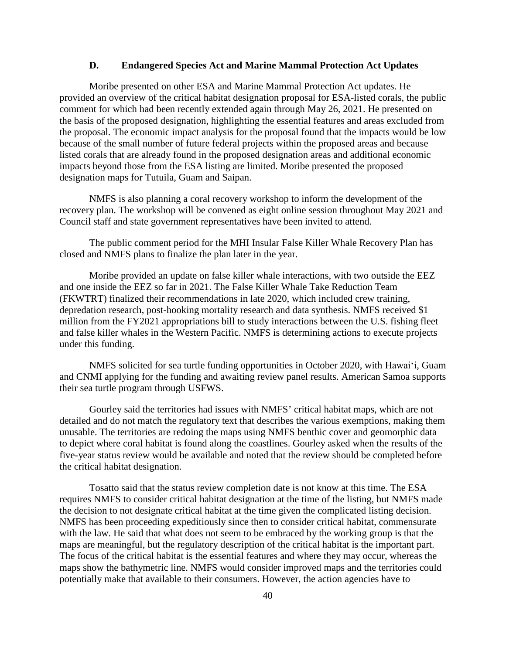#### **D. Endangered Species Act and Marine Mammal Protection Act Updates**

Moribe presented on other ESA and Marine Mammal Protection Act updates. He provided an overview of the critical habitat designation proposal for ESA-listed corals, the public comment for which had been recently extended again through May 26, 2021. He presented on the basis of the proposed designation, highlighting the essential features and areas excluded from the proposal. The economic impact analysis for the proposal found that the impacts would be low because of the small number of future federal projects within the proposed areas and because listed corals that are already found in the proposed designation areas and additional economic impacts beyond those from the ESA listing are limited. Moribe presented the proposed designation maps for Tutuila, Guam and Saipan.

NMFS is also planning a coral recovery workshop to inform the development of the recovery plan. The workshop will be convened as eight online session throughout May 2021 and Council staff and state government representatives have been invited to attend.

The public comment period for the MHI Insular False Killer Whale Recovery Plan has closed and NMFS plans to finalize the plan later in the year.

Moribe provided an update on false killer whale interactions, with two outside the EEZ and one inside the EEZ so far in 2021. The False Killer Whale Take Reduction Team (FKWTRT) finalized their recommendations in late 2020, which included crew training, depredation research, post-hooking mortality research and data synthesis. NMFS received \$1 million from the FY2021 appropriations bill to study interactions between the U.S. fishing fleet and false killer whales in the Western Pacific. NMFS is determining actions to execute projects under this funding.

NMFS solicited for sea turtle funding opportunities in October 2020, with Hawaiʻi, Guam and CNMI applying for the funding and awaiting review panel results. American Samoa supports their sea turtle program through USFWS.

Gourley said the territories had issues with NMFS' critical habitat maps, which are not detailed and do not match the regulatory text that describes the various exemptions, making them unusable. The territories are redoing the maps using NMFS benthic cover and geomorphic data to depict where coral habitat is found along the coastlines. Gourley asked when the results of the five-year status review would be available and noted that the review should be completed before the critical habitat designation.

Tosatto said that the status review completion date is not know at this time. The ESA requires NMFS to consider critical habitat designation at the time of the listing, but NMFS made the decision to not designate critical habitat at the time given the complicated listing decision. NMFS has been proceeding expeditiously since then to consider critical habitat, commensurate with the law. He said that what does not seem to be embraced by the working group is that the maps are meaningful, but the regulatory description of the critical habitat is the important part. The focus of the critical habitat is the essential features and where they may occur, whereas the maps show the bathymetric line. NMFS would consider improved maps and the territories could potentially make that available to their consumers. However, the action agencies have to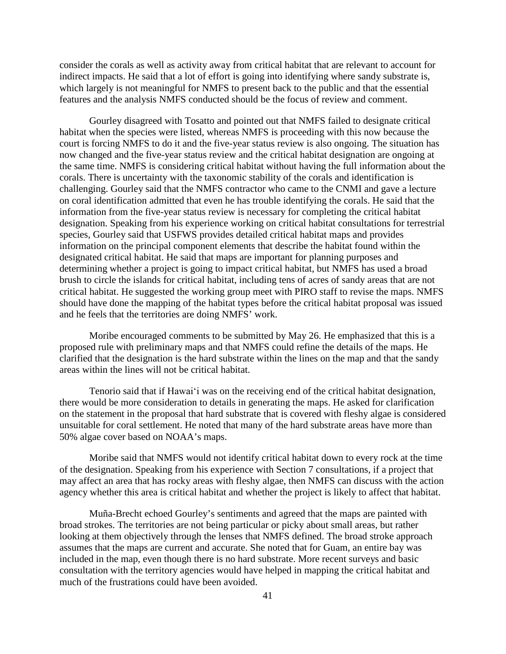consider the corals as well as activity away from critical habitat that are relevant to account for indirect impacts. He said that a lot of effort is going into identifying where sandy substrate is, which largely is not meaningful for NMFS to present back to the public and that the essential features and the analysis NMFS conducted should be the focus of review and comment.

Gourley disagreed with Tosatto and pointed out that NMFS failed to designate critical habitat when the species were listed, whereas NMFS is proceeding with this now because the court is forcing NMFS to do it and the five-year status review is also ongoing. The situation has now changed and the five-year status review and the critical habitat designation are ongoing at the same time. NMFS is considering critical habitat without having the full information about the corals. There is uncertainty with the taxonomic stability of the corals and identification is challenging. Gourley said that the NMFS contractor who came to the CNMI and gave a lecture on coral identification admitted that even he has trouble identifying the corals. He said that the information from the five-year status review is necessary for completing the critical habitat designation. Speaking from his experience working on critical habitat consultations for terrestrial species, Gourley said that USFWS provides detailed critical habitat maps and provides information on the principal component elements that describe the habitat found within the designated critical habitat. He said that maps are important for planning purposes and determining whether a project is going to impact critical habitat, but NMFS has used a broad brush to circle the islands for critical habitat, including tens of acres of sandy areas that are not critical habitat. He suggested the working group meet with PIRO staff to revise the maps. NMFS should have done the mapping of the habitat types before the critical habitat proposal was issued and he feels that the territories are doing NMFS' work.

Moribe encouraged comments to be submitted by May 26. He emphasized that this is a proposed rule with preliminary maps and that NMFS could refine the details of the maps. He clarified that the designation is the hard substrate within the lines on the map and that the sandy areas within the lines will not be critical habitat.

Tenorio said that if Hawaiʻi was on the receiving end of the critical habitat designation, there would be more consideration to details in generating the maps. He asked for clarification on the statement in the proposal that hard substrate that is covered with fleshy algae is considered unsuitable for coral settlement. He noted that many of the hard substrate areas have more than 50% algae cover based on NOAA's maps.

Moribe said that NMFS would not identify critical habitat down to every rock at the time of the designation. Speaking from his experience with Section 7 consultations, if a project that may affect an area that has rocky areas with fleshy algae, then NMFS can discuss with the action agency whether this area is critical habitat and whether the project is likely to affect that habitat.

Muña-Brecht echoed Gourley's sentiments and agreed that the maps are painted with broad strokes. The territories are not being particular or picky about small areas, but rather looking at them objectively through the lenses that NMFS defined. The broad stroke approach assumes that the maps are current and accurate. She noted that for Guam, an entire bay was included in the map, even though there is no hard substrate. More recent surveys and basic consultation with the territory agencies would have helped in mapping the critical habitat and much of the frustrations could have been avoided.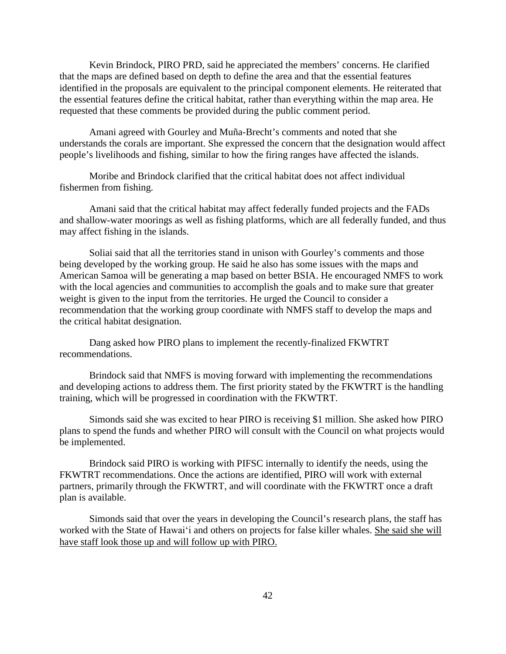Kevin Brindock, PIRO PRD, said he appreciated the members' concerns. He clarified that the maps are defined based on depth to define the area and that the essential features identified in the proposals are equivalent to the principal component elements. He reiterated that the essential features define the critical habitat, rather than everything within the map area. He requested that these comments be provided during the public comment period.

Amani agreed with Gourley and Muña-Brecht's comments and noted that she understands the corals are important. She expressed the concern that the designation would affect people's livelihoods and fishing, similar to how the firing ranges have affected the islands.

Moribe and Brindock clarified that the critical habitat does not affect individual fishermen from fishing.

Amani said that the critical habitat may affect federally funded projects and the FADs and shallow-water moorings as well as fishing platforms, which are all federally funded, and thus may affect fishing in the islands.

Soliai said that all the territories stand in unison with Gourley's comments and those being developed by the working group. He said he also has some issues with the maps and American Samoa will be generating a map based on better BSIA. He encouraged NMFS to work with the local agencies and communities to accomplish the goals and to make sure that greater weight is given to the input from the territories. He urged the Council to consider a recommendation that the working group coordinate with NMFS staff to develop the maps and the critical habitat designation.

Dang asked how PIRO plans to implement the recently-finalized FKWTRT recommendations.

Brindock said that NMFS is moving forward with implementing the recommendations and developing actions to address them. The first priority stated by the FKWTRT is the handling training, which will be progressed in coordination with the FKWTRT.

Simonds said she was excited to hear PIRO is receiving \$1 million. She asked how PIRO plans to spend the funds and whether PIRO will consult with the Council on what projects would be implemented.

Brindock said PIRO is working with PIFSC internally to identify the needs, using the FKWTRT recommendations. Once the actions are identified, PIRO will work with external partners, primarily through the FKWTRT, and will coordinate with the FKWTRT once a draft plan is available.

Simonds said that over the years in developing the Council's research plans, the staff has worked with the State of Hawaiʻi and others on projects for false killer whales. She said she will have staff look those up and will follow up with PIRO.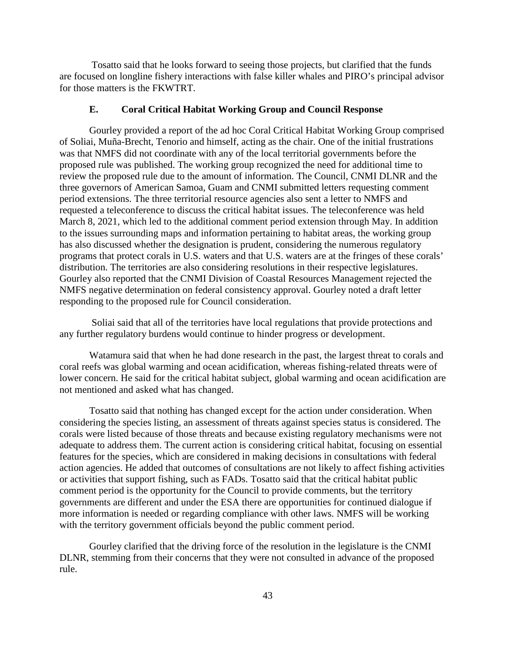Tosatto said that he looks forward to seeing those projects, but clarified that the funds are focused on longline fishery interactions with false killer whales and PIRO's principal advisor for those matters is the FKWTRT.

### **E. Coral Critical Habitat Working Group and Council Response**

Gourley provided a report of the ad hoc Coral Critical Habitat Working Group comprised of Soliai, Muña-Brecht, Tenorio and himself, acting as the chair. One of the initial frustrations was that NMFS did not coordinate with any of the local territorial governments before the proposed rule was published. The working group recognized the need for additional time to review the proposed rule due to the amount of information. The Council, CNMI DLNR and the three governors of American Samoa, Guam and CNMI submitted letters requesting comment period extensions. The three territorial resource agencies also sent a letter to NMFS and requested a teleconference to discuss the critical habitat issues. The teleconference was held March 8, 2021, which led to the additional comment period extension through May. In addition to the issues surrounding maps and information pertaining to habitat areas, the working group has also discussed whether the designation is prudent, considering the numerous regulatory programs that protect corals in U.S. waters and that U.S. waters are at the fringes of these corals' distribution. The territories are also considering resolutions in their respective legislatures. Gourley also reported that the CNMI Division of Coastal Resources Management rejected the NMFS negative determination on federal consistency approval. Gourley noted a draft letter responding to the proposed rule for Council consideration.

Soliai said that all of the territories have local regulations that provide protections and any further regulatory burdens would continue to hinder progress or development.

Watamura said that when he had done research in the past, the largest threat to corals and coral reefs was global warming and ocean acidification, whereas fishing-related threats were of lower concern. He said for the critical habitat subject, global warming and ocean acidification are not mentioned and asked what has changed.

Tosatto said that nothing has changed except for the action under consideration. When considering the species listing, an assessment of threats against species status is considered. The corals were listed because of those threats and because existing regulatory mechanisms were not adequate to address them. The current action is considering critical habitat, focusing on essential features for the species, which are considered in making decisions in consultations with federal action agencies. He added that outcomes of consultations are not likely to affect fishing activities or activities that support fishing, such as FADs. Tosatto said that the critical habitat public comment period is the opportunity for the Council to provide comments, but the territory governments are different and under the ESA there are opportunities for continued dialogue if more information is needed or regarding compliance with other laws. NMFS will be working with the territory government officials beyond the public comment period.

Gourley clarified that the driving force of the resolution in the legislature is the CNMI DLNR, stemming from their concerns that they were not consulted in advance of the proposed rule.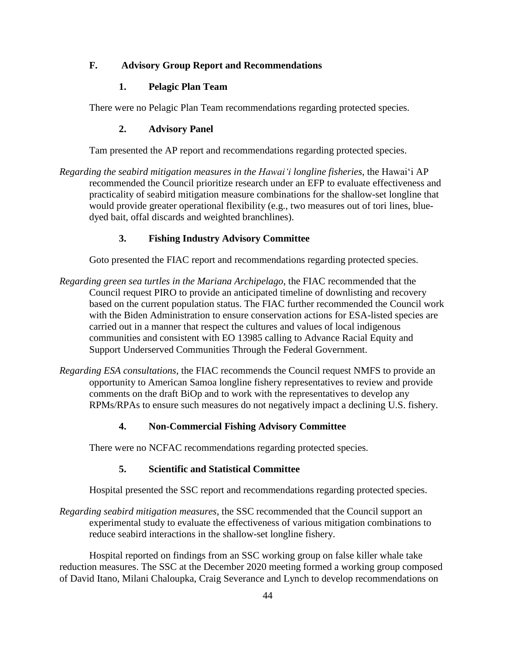# **F. Advisory Group Report and Recommendations**

# **1. Pelagic Plan Team**

There were no Pelagic Plan Team recommendations regarding protected species.

## **2. Advisory Panel**

Tam presented the AP report and recommendations regarding protected species.

*Regarding the seabird mitigation measures in the Hawaiʻi longline fisheries,* the Hawaiʻi AP recommended the Council prioritize research under an EFP to evaluate effectiveness and practicality of seabird mitigation measure combinations for the shallow-set longline that would provide greater operational flexibility (e.g., two measures out of tori lines, bluedyed bait, offal discards and weighted branchlines).

# **3. Fishing Industry Advisory Committee**

Goto presented the FIAC report and recommendations regarding protected species.

- *Regarding green sea turtles in the Mariana Archipelago*, the FIAC recommended that the Council request PIRO to provide an anticipated timeline of downlisting and recovery based on the current population status. The FIAC further recommended the Council work with the Biden Administration to ensure conservation actions for ESA-listed species are carried out in a manner that respect the cultures and values of local indigenous communities and consistent with EO 13985 calling to Advance Racial Equity and Support Underserved Communities Through the Federal Government.
- *Regarding ESA consultations*, the FIAC recommends the Council request NMFS to provide an opportunity to American Samoa longline fishery representatives to review and provide comments on the draft BiOp and to work with the representatives to develop any RPMs/RPAs to ensure such measures do not negatively impact a declining U.S. fishery.

# **4. Non-Commercial Fishing Advisory Committee**

There were no NCFAC recommendations regarding protected species.

## **5. Scientific and Statistical Committee**

Hospital presented the SSC report and recommendations regarding protected species.

*Regarding seabird mitigation measures,* the SSC recommended that the Council support an experimental study to evaluate the effectiveness of various mitigation combinations to reduce seabird interactions in the shallow-set longline fishery.

Hospital reported on findings from an SSC working group on false killer whale take reduction measures. The SSC at the December 2020 meeting formed a working group composed of David Itano, Milani Chaloupka, Craig Severance and Lynch to develop recommendations on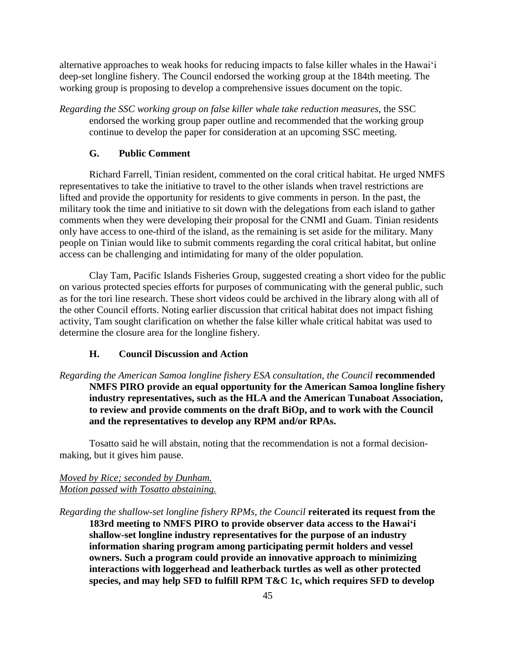alternative approaches to weak hooks for reducing impacts to false killer whales in the Hawaiʻi deep-set longline fishery. The Council endorsed the working group at the 184th meeting. The working group is proposing to develop a comprehensive issues document on the topic.

*Regarding the SSC working group on false killer whale take reduction measures,* the SSC endorsed the working group paper outline and recommended that the working group continue to develop the paper for consideration at an upcoming SSC meeting.

#### **G. Public Comment**

Richard Farrell, Tinian resident, commented on the coral critical habitat. He urged NMFS representatives to take the initiative to travel to the other islands when travel restrictions are lifted and provide the opportunity for residents to give comments in person. In the past, the military took the time and initiative to sit down with the delegations from each island to gather comments when they were developing their proposal for the CNMI and Guam. Tinian residents only have access to one-third of the island, as the remaining is set aside for the military. Many people on Tinian would like to submit comments regarding the coral critical habitat, but online access can be challenging and intimidating for many of the older population.

Clay Tam, Pacific Islands Fisheries Group, suggested creating a short video for the public on various protected species efforts for purposes of communicating with the general public, such as for the tori line research. These short videos could be archived in the library along with all of the other Council efforts. Noting earlier discussion that critical habitat does not impact fishing activity, Tam sought clarification on whether the false killer whale critical habitat was used to determine the closure area for the longline fishery.

### **H. Council Discussion and Action**

# *Regarding the American Samoa longline fishery ESA consultation, the Council* **recommended NMFS PIRO provide an equal opportunity for the American Samoa longline fishery industry representatives, such as the HLA and the American Tunaboat Association, to review and provide comments on the draft BiOp, and to work with the Council and the representatives to develop any RPM and/or RPAs.**

Tosatto said he will abstain, noting that the recommendation is not a formal decisionmaking, but it gives him pause.

## *Moved by Rice; seconded by Dunham. Motion passed with Tosatto abstaining.*

*Regarding the shallow-set longline fishery RPMs, the Council* **reiterated its request from the 183rd meeting to NMFS PIRO to provide observer data access to the Hawaiʻi shallow-set longline industry representatives for the purpose of an industry information sharing program among participating permit holders and vessel owners. Such a program could provide an innovative approach to minimizing interactions with loggerhead and leatherback turtles as well as other protected species, and may help SFD to fulfill RPM T&C 1c, which requires SFD to develop**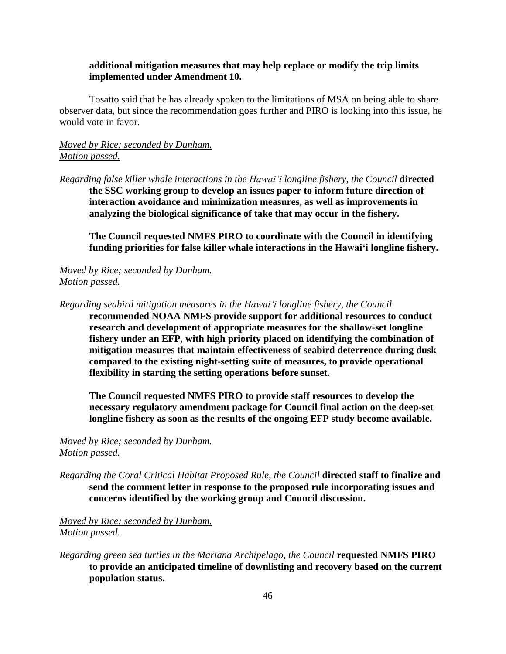### **additional mitigation measures that may help replace or modify the trip limits implemented under Amendment 10.**

Tosatto said that he has already spoken to the limitations of MSA on being able to share observer data, but since the recommendation goes further and PIRO is looking into this issue, he would vote in favor.

## *Moved by Rice; seconded by Dunham. Motion passed.*

*Regarding false killer whale interactions in the Hawaiʻi longline fishery, the Council* **directed the SSC working group to develop an issues paper to inform future direction of interaction avoidance and minimization measures, as well as improvements in analyzing the biological significance of take that may occur in the fishery.**

**The Council requested NMFS PIRO to coordinate with the Council in identifying funding priorities for false killer whale interactions in the Hawaiʻi longline fishery.**

## *Moved by Rice; seconded by Dunham. Motion passed.*

*Regarding seabird mitigation measures in the Hawaiʻi longline fishery, the Council*

**recommended NOAA NMFS provide support for additional resources to conduct research and development of appropriate measures for the shallow-set longline fishery under an EFP, with high priority placed on identifying the combination of mitigation measures that maintain effectiveness of seabird deterrence during dusk compared to the existing night-setting suite of measures, to provide operational flexibility in starting the setting operations before sunset.** 

**The Council requested NMFS PIRO to provide staff resources to develop the necessary regulatory amendment package for Council final action on the deep-set longline fishery as soon as the results of the ongoing EFP study become available.**

## *Moved by Rice; seconded by Dunham. Motion passed.*

*Regarding the Coral Critical Habitat Proposed Rule, the Council* **directed staff to finalize and send the comment letter in response to the proposed rule incorporating issues and concerns identified by the working group and Council discussion.** 

*Moved by Rice; seconded by Dunham. Motion passed.*

*Regarding green sea turtles in the Mariana Archipelago, the Council* **requested NMFS PIRO to provide an anticipated timeline of downlisting and recovery based on the current population status.**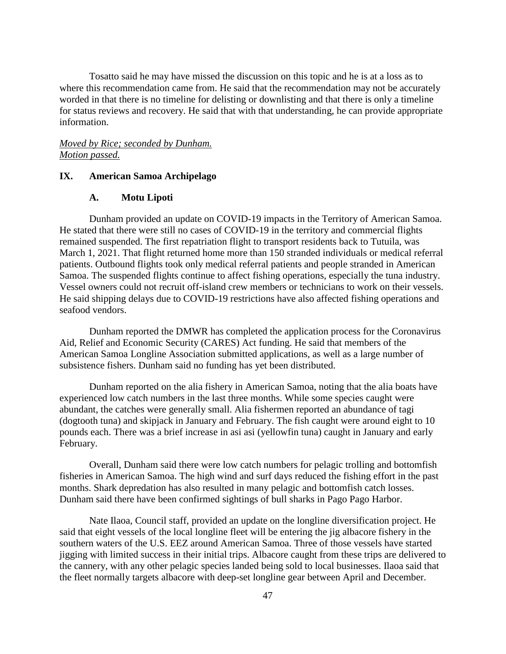Tosatto said he may have missed the discussion on this topic and he is at a loss as to where this recommendation came from. He said that the recommendation may not be accurately worded in that there is no timeline for delisting or downlisting and that there is only a timeline for status reviews and recovery. He said that with that understanding, he can provide appropriate information.

### *Moved by Rice; seconded by Dunham. Motion passed.*

#### **IX. American Samoa Archipelago**

## **A. Motu Lipoti**

Dunham provided an update on COVID-19 impacts in the Territory of American Samoa. He stated that there were still no cases of COVID-19 in the territory and commercial flights remained suspended. The first repatriation flight to transport residents back to Tutuila, was March 1, 2021. That flight returned home more than 150 stranded individuals or medical referral patients. Outbound flights took only medical referral patients and people stranded in American Samoa. The suspended flights continue to affect fishing operations, especially the tuna industry. Vessel owners could not recruit off-island crew members or technicians to work on their vessels. He said shipping delays due to COVID-19 restrictions have also affected fishing operations and seafood vendors.

Dunham reported the DMWR has completed the application process for the Coronavirus Aid, Relief and Economic Security (CARES) Act funding. He said that members of the American Samoa Longline Association submitted applications, as well as a large number of subsistence fishers. Dunham said no funding has yet been distributed.

Dunham reported on the alia fishery in American Samoa, noting that the alia boats have experienced low catch numbers in the last three months. While some species caught were abundant, the catches were generally small. Alia fishermen reported an abundance of tagi (dogtooth tuna) and skipjack in January and February. The fish caught were around eight to 10 pounds each. There was a brief increase in asi asi (yellowfin tuna) caught in January and early February.

Overall, Dunham said there were low catch numbers for pelagic trolling and bottomfish fisheries in American Samoa. The high wind and surf days reduced the fishing effort in the past months. Shark depredation has also resulted in many pelagic and bottomfish catch losses. Dunham said there have been confirmed sightings of bull sharks in Pago Pago Harbor.

Nate Ilaoa, Council staff, provided an update on the longline diversification project. He said that eight vessels of the local longline fleet will be entering the jig albacore fishery in the southern waters of the U.S. EEZ around American Samoa. Three of those vessels have started jigging with limited success in their initial trips. Albacore caught from these trips are delivered to the cannery, with any other pelagic species landed being sold to local businesses. Ilaoa said that the fleet normally targets albacore with deep-set longline gear between April and December.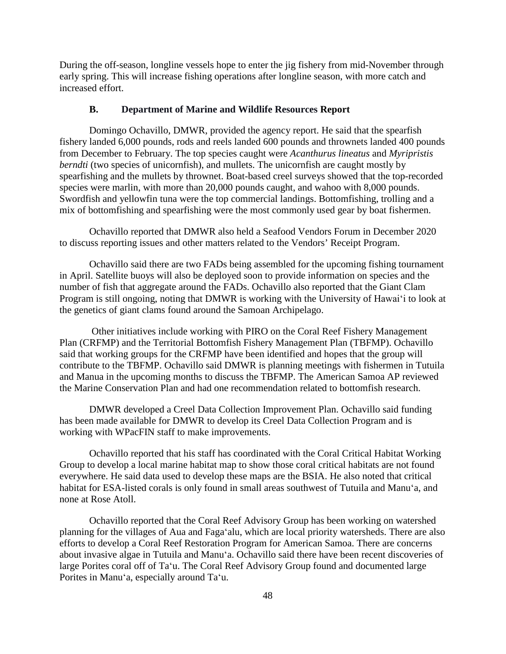During the off-season, longline vessels hope to enter the jig fishery from mid-November through early spring. This will increase fishing operations after longline season, with more catch and increased effort.

### **B. Department of Marine and Wildlife Resources Report**

Domingo Ochavillo, DMWR, provided the agency report. He said that the spearfish fishery landed 6,000 pounds, rods and reels landed 600 pounds and thrownets landed 400 pounds from December to February. The top species caught were *Acanthurus lineatus* and *Myripristis berndti* (two species of unicornfish), and mullets. The unicornfish are caught mostly by spearfishing and the mullets by thrownet. Boat-based creel surveys showed that the top-recorded species were marlin, with more than 20,000 pounds caught, and wahoo with 8,000 pounds. Swordfish and yellowfin tuna were the top commercial landings. Bottomfishing, trolling and a mix of bottomfishing and spearfishing were the most commonly used gear by boat fishermen.

Ochavillo reported that DMWR also held a Seafood Vendors Forum in December 2020 to discuss reporting issues and other matters related to the Vendors' Receipt Program.

Ochavillo said there are two FADs being assembled for the upcoming fishing tournament in April. Satellite buoys will also be deployed soon to provide information on species and the number of fish that aggregate around the FADs. Ochavillo also reported that the Giant Clam Program is still ongoing, noting that DMWR is working with the University of Hawaiʻi to look at the genetics of giant clams found around the Samoan Archipelago.

Other initiatives include working with PIRO on the Coral Reef Fishery Management Plan (CRFMP) and the Territorial Bottomfish Fishery Management Plan (TBFMP). Ochavillo said that working groups for the CRFMP have been identified and hopes that the group will contribute to the TBFMP. Ochavillo said DMWR is planning meetings with fishermen in Tutuila and Manua in the upcoming months to discuss the TBFMP. The American Samoa AP reviewed the Marine Conservation Plan and had one recommendation related to bottomfish research.

DMWR developed a Creel Data Collection Improvement Plan. Ochavillo said funding has been made available for DMWR to develop its Creel Data Collection Program and is working with WPacFIN staff to make improvements.

Ochavillo reported that his staff has coordinated with the Coral Critical Habitat Working Group to develop a local marine habitat map to show those coral critical habitats are not found everywhere. He said data used to develop these maps are the BSIA. He also noted that critical habitat for ESA-listed corals is only found in small areas southwest of Tutuila and Manuʻa, and none at Rose Atoll.

Ochavillo reported that the Coral Reef Advisory Group has been working on watershed planning for the villages of Aua and Fagaʻalu, which are local priority watersheds. There are also efforts to develop a Coral Reef Restoration Program for American Samoa. There are concerns about invasive algae in Tutuila and Manuʻa. Ochavillo said there have been recent discoveries of large Porites coral off of Taʻu. The Coral Reef Advisory Group found and documented large Porites in Manuʻa, especially around Taʻu.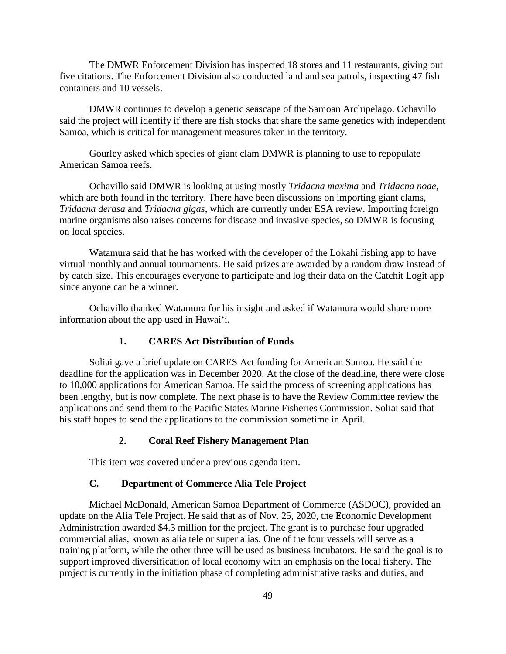The DMWR Enforcement Division has inspected 18 stores and 11 restaurants, giving out five citations. The Enforcement Division also conducted land and sea patrols, inspecting 47 fish containers and 10 vessels.

DMWR continues to develop a genetic seascape of the Samoan Archipelago. Ochavillo said the project will identify if there are fish stocks that share the same genetics with independent Samoa, which is critical for management measures taken in the territory.

Gourley asked which species of giant clam DMWR is planning to use to repopulate American Samoa reefs.

Ochavillo said DMWR is looking at using mostly *Tridacna maxima* and *Tridacna noae*, which are both found in the territory. There have been discussions on importing giant clams, *Tridacna derasa* and *Tridacna gigas*, which are currently under ESA review. Importing foreign marine organisms also raises concerns for disease and invasive species, so DMWR is focusing on local species.

Watamura said that he has worked with the developer of the Lokahi fishing app to have virtual monthly and annual tournaments. He said prizes are awarded by a random draw instead of by catch size. This encourages everyone to participate and log their data on the Catchit Logit app since anyone can be a winner.

Ochavillo thanked Watamura for his insight and asked if Watamura would share more information about the app used in Hawaiʻi.

## **1. CARES Act Distribution of Funds**

Soliai gave a brief update on CARES Act funding for American Samoa. He said the deadline for the application was in December 2020. At the close of the deadline, there were close to 10,000 applications for American Samoa. He said the process of screening applications has been lengthy, but is now complete. The next phase is to have the Review Committee review the applications and send them to the Pacific States Marine Fisheries Commission. Soliai said that his staff hopes to send the applications to the commission sometime in April.

### **2. Coral Reef Fishery Management Plan**

This item was covered under a previous agenda item.

### **C. Department of Commerce Alia Tele Project**

Michael McDonald, American Samoa Department of Commerce (ASDOC), provided an update on the Alia Tele Project. He said that as of Nov. 25, 2020, the Economic Development Administration awarded \$4.3 million for the project. The grant is to purchase four upgraded commercial alias, known as alia tele or super alias. One of the four vessels will serve as a training platform, while the other three will be used as business incubators. He said the goal is to support improved diversification of local economy with an emphasis on the local fishery. The project is currently in the initiation phase of completing administrative tasks and duties, and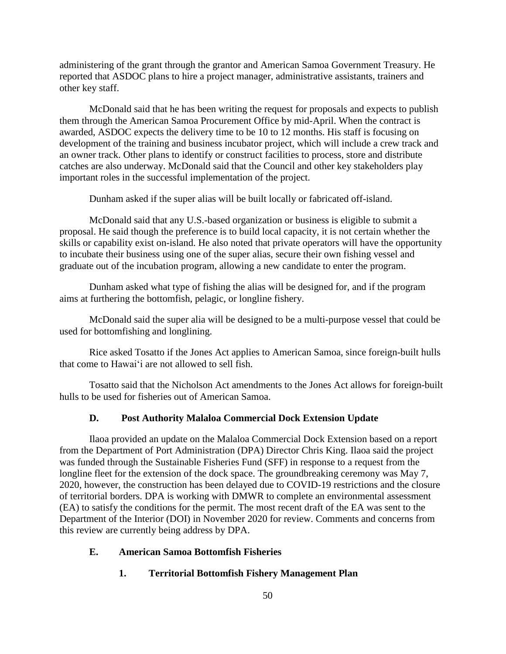administering of the grant through the grantor and American Samoa Government Treasury. He reported that ASDOC plans to hire a project manager, administrative assistants, trainers and other key staff.

McDonald said that he has been writing the request for proposals and expects to publish them through the American Samoa Procurement Office by mid-April. When the contract is awarded, ASDOC expects the delivery time to be 10 to 12 months. His staff is focusing on development of the training and business incubator project, which will include a crew track and an owner track. Other plans to identify or construct facilities to process, store and distribute catches are also underway. McDonald said that the Council and other key stakeholders play important roles in the successful implementation of the project.

Dunham asked if the super alias will be built locally or fabricated off-island.

McDonald said that any U.S.-based organization or business is eligible to submit a proposal. He said though the preference is to build local capacity, it is not certain whether the skills or capability exist on-island. He also noted that private operators will have the opportunity to incubate their business using one of the super alias, secure their own fishing vessel and graduate out of the incubation program, allowing a new candidate to enter the program.

Dunham asked what type of fishing the alias will be designed for, and if the program aims at furthering the bottomfish, pelagic, or longline fishery.

McDonald said the super alia will be designed to be a multi-purpose vessel that could be used for bottomfishing and longlining.

Rice asked Tosatto if the Jones Act applies to American Samoa, since foreign-built hulls that come to Hawaiʻi are not allowed to sell fish.

Tosatto said that the Nicholson Act amendments to the Jones Act allows for foreign-built hulls to be used for fisheries out of American Samoa.

### **D. Post Authority Malaloa Commercial Dock Extension Update**

Ilaoa provided an update on the Malaloa Commercial Dock Extension based on a report from the Department of Port Administration (DPA) Director Chris King. Ilaoa said the project was funded through the Sustainable Fisheries Fund (SFF) in response to a request from the longline fleet for the extension of the dock space. The groundbreaking ceremony was May 7, 2020, however, the construction has been delayed due to COVID-19 restrictions and the closure of territorial borders. DPA is working with DMWR to complete an environmental assessment (EA) to satisfy the conditions for the permit. The most recent draft of the EA was sent to the Department of the Interior (DOI) in November 2020 for review. Comments and concerns from this review are currently being address by DPA.

### **E. American Samoa Bottomfish Fisheries**

#### **1. Territorial Bottomfish Fishery Management Plan**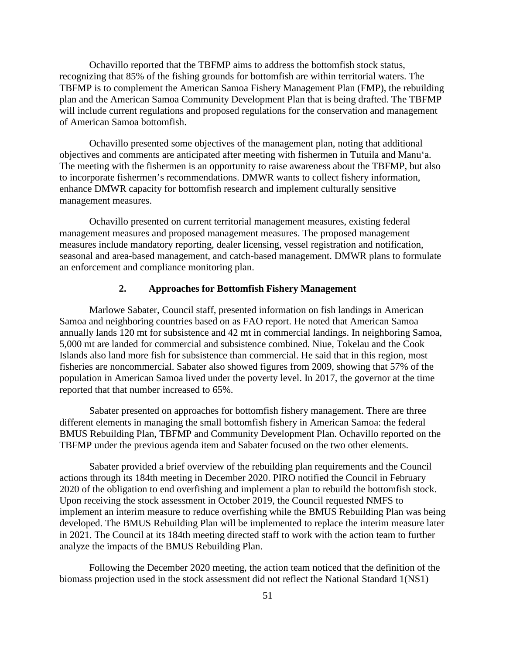Ochavillo reported that the TBFMP aims to address the bottomfish stock status, recognizing that 85% of the fishing grounds for bottomfish are within territorial waters. The TBFMP is to complement the American Samoa Fishery Management Plan (FMP), the rebuilding plan and the American Samoa Community Development Plan that is being drafted. The TBFMP will include current regulations and proposed regulations for the conservation and management of American Samoa bottomfish.

Ochavillo presented some objectives of the management plan, noting that additional objectives and comments are anticipated after meeting with fishermen in Tutuila and Manuʻa. The meeting with the fishermen is an opportunity to raise awareness about the TBFMP, but also to incorporate fishermen's recommendations. DMWR wants to collect fishery information, enhance DMWR capacity for bottomfish research and implement culturally sensitive management measures.

Ochavillo presented on current territorial management measures, existing federal management measures and proposed management measures. The proposed management measures include mandatory reporting, dealer licensing, vessel registration and notification, seasonal and area-based management, and catch-based management. DMWR plans to formulate an enforcement and compliance monitoring plan.

#### **2. Approaches for Bottomfish Fishery Management**

Marlowe Sabater, Council staff, presented information on fish landings in American Samoa and neighboring countries based on as FAO report. He noted that American Samoa annually lands 120 mt for subsistence and 42 mt in commercial landings. In neighboring Samoa, 5,000 mt are landed for commercial and subsistence combined. Niue, Tokelau and the Cook Islands also land more fish for subsistence than commercial. He said that in this region, most fisheries are noncommercial. Sabater also showed figures from 2009, showing that 57% of the population in American Samoa lived under the poverty level. In 2017, the governor at the time reported that that number increased to 65%.

Sabater presented on approaches for bottomfish fishery management. There are three different elements in managing the small bottomfish fishery in American Samoa: the federal BMUS Rebuilding Plan, TBFMP and Community Development Plan. Ochavillo reported on the TBFMP under the previous agenda item and Sabater focused on the two other elements.

Sabater provided a brief overview of the rebuilding plan requirements and the Council actions through its 184th meeting in December 2020. PIRO notified the Council in February 2020 of the obligation to end overfishing and implement a plan to rebuild the bottomfish stock. Upon receiving the stock assessment in October 2019, the Council requested NMFS to implement an interim measure to reduce overfishing while the BMUS Rebuilding Plan was being developed. The BMUS Rebuilding Plan will be implemented to replace the interim measure later in 2021. The Council at its 184th meeting directed staff to work with the action team to further analyze the impacts of the BMUS Rebuilding Plan.

Following the December 2020 meeting, the action team noticed that the definition of the biomass projection used in the stock assessment did not reflect the National Standard 1(NS1)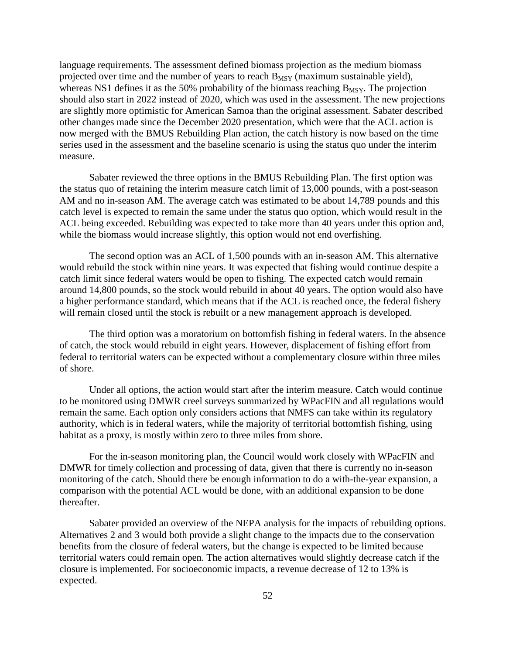language requirements. The assessment defined biomass projection as the medium biomass projected over time and the number of years to reach  $B_{MSY}$  (maximum sustainable yield), whereas NS1 defines it as the 50% probability of the biomass reaching  $B_{MSY}$ . The projection should also start in 2022 instead of 2020, which was used in the assessment. The new projections are slightly more optimistic for American Samoa than the original assessment. Sabater described other changes made since the December 2020 presentation, which were that the ACL action is now merged with the BMUS Rebuilding Plan action, the catch history is now based on the time series used in the assessment and the baseline scenario is using the status quo under the interim measure.

Sabater reviewed the three options in the BMUS Rebuilding Plan. The first option was the status quo of retaining the interim measure catch limit of 13,000 pounds, with a post-season AM and no in-season AM. The average catch was estimated to be about 14,789 pounds and this catch level is expected to remain the same under the status quo option, which would result in the ACL being exceeded. Rebuilding was expected to take more than 40 years under this option and, while the biomass would increase slightly, this option would not end overfishing.

The second option was an ACL of 1,500 pounds with an in-season AM. This alternative would rebuild the stock within nine years. It was expected that fishing would continue despite a catch limit since federal waters would be open to fishing. The expected catch would remain around 14,800 pounds, so the stock would rebuild in about 40 years. The option would also have a higher performance standard, which means that if the ACL is reached once, the federal fishery will remain closed until the stock is rebuilt or a new management approach is developed.

The third option was a moratorium on bottomfish fishing in federal waters. In the absence of catch, the stock would rebuild in eight years. However, displacement of fishing effort from federal to territorial waters can be expected without a complementary closure within three miles of shore.

Under all options, the action would start after the interim measure. Catch would continue to be monitored using DMWR creel surveys summarized by WPacFIN and all regulations would remain the same. Each option only considers actions that NMFS can take within its regulatory authority, which is in federal waters, while the majority of territorial bottomfish fishing, using habitat as a proxy, is mostly within zero to three miles from shore.

For the in-season monitoring plan, the Council would work closely with WPacFIN and DMWR for timely collection and processing of data, given that there is currently no in-season monitoring of the catch. Should there be enough information to do a with-the-year expansion, a comparison with the potential ACL would be done, with an additional expansion to be done thereafter.

Sabater provided an overview of the NEPA analysis for the impacts of rebuilding options. Alternatives 2 and 3 would both provide a slight change to the impacts due to the conservation benefits from the closure of federal waters, but the change is expected to be limited because territorial waters could remain open. The action alternatives would slightly decrease catch if the closure is implemented. For socioeconomic impacts, a revenue decrease of 12 to 13% is expected.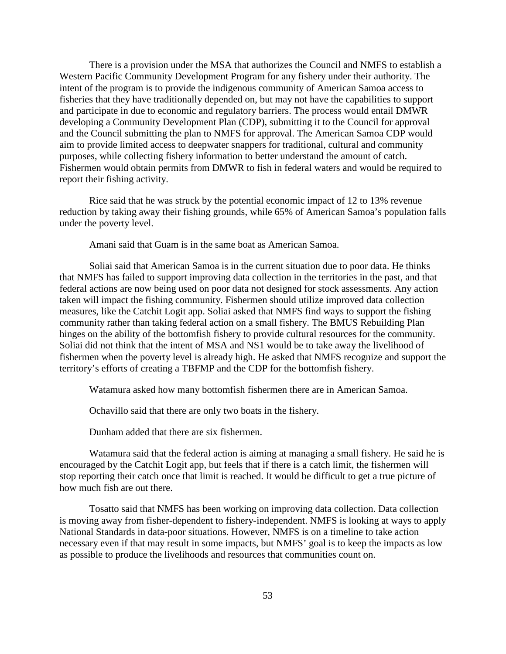There is a provision under the MSA that authorizes the Council and NMFS to establish a Western Pacific Community Development Program for any fishery under their authority. The intent of the program is to provide the indigenous community of American Samoa access to fisheries that they have traditionally depended on, but may not have the capabilities to support and participate in due to economic and regulatory barriers. The process would entail DMWR developing a Community Development Plan (CDP), submitting it to the Council for approval and the Council submitting the plan to NMFS for approval. The American Samoa CDP would aim to provide limited access to deepwater snappers for traditional, cultural and community purposes, while collecting fishery information to better understand the amount of catch. Fishermen would obtain permits from DMWR to fish in federal waters and would be required to report their fishing activity.

Rice said that he was struck by the potential economic impact of 12 to 13% revenue reduction by taking away their fishing grounds, while 65% of American Samoa's population falls under the poverty level.

Amani said that Guam is in the same boat as American Samoa.

Soliai said that American Samoa is in the current situation due to poor data. He thinks that NMFS has failed to support improving data collection in the territories in the past, and that federal actions are now being used on poor data not designed for stock assessments. Any action taken will impact the fishing community. Fishermen should utilize improved data collection measures, like the Catchit Logit app. Soliai asked that NMFS find ways to support the fishing community rather than taking federal action on a small fishery. The BMUS Rebuilding Plan hinges on the ability of the bottomfish fishery to provide cultural resources for the community. Soliai did not think that the intent of MSA and NS1 would be to take away the livelihood of fishermen when the poverty level is already high. He asked that NMFS recognize and support the territory's efforts of creating a TBFMP and the CDP for the bottomfish fishery.

Watamura asked how many bottomfish fishermen there are in American Samoa.

Ochavillo said that there are only two boats in the fishery.

Dunham added that there are six fishermen.

Watamura said that the federal action is aiming at managing a small fishery. He said he is encouraged by the Catchit Logit app, but feels that if there is a catch limit, the fishermen will stop reporting their catch once that limit is reached. It would be difficult to get a true picture of how much fish are out there.

Tosatto said that NMFS has been working on improving data collection. Data collection is moving away from fisher-dependent to fishery-independent. NMFS is looking at ways to apply National Standards in data-poor situations. However, NMFS is on a timeline to take action necessary even if that may result in some impacts, but NMFS' goal is to keep the impacts as low as possible to produce the livelihoods and resources that communities count on.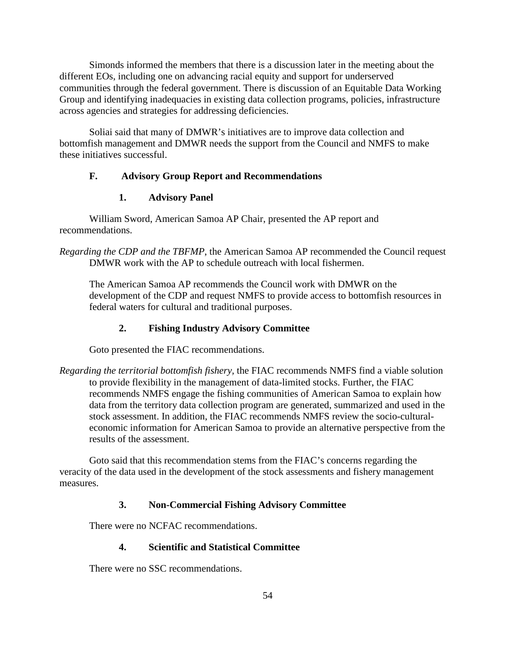Simonds informed the members that there is a discussion later in the meeting about the different EOs, including one on advancing racial equity and support for underserved communities through the federal government. There is discussion of an Equitable Data Working Group and identifying inadequacies in existing data collection programs, policies, infrastructure across agencies and strategies for addressing deficiencies.

Soliai said that many of DMWR's initiatives are to improve data collection and bottomfish management and DMWR needs the support from the Council and NMFS to make these initiatives successful.

### **F. Advisory Group Report and Recommendations**

### **1. Advisory Panel**

William Sword, American Samoa AP Chair, presented the AP report and recommendations.

*Regarding the CDP and the TBFMP*, the American Samoa AP recommended the Council request DMWR work with the AP to schedule outreach with local fishermen.

The American Samoa AP recommends the Council work with DMWR on the development of the CDP and request NMFS to provide access to bottomfish resources in federal waters for cultural and traditional purposes.

## **2. Fishing Industry Advisory Committee**

Goto presented the FIAC recommendations.

*Regarding the territorial bottomfish fishery,* the FIAC recommends NMFS find a viable solution to provide flexibility in the management of data-limited stocks. Further, the FIAC recommends NMFS engage the fishing communities of American Samoa to explain how data from the territory data collection program are generated, summarized and used in the stock assessment. In addition, the FIAC recommends NMFS review the socio-culturaleconomic information for American Samoa to provide an alternative perspective from the results of the assessment.

Goto said that this recommendation stems from the FIAC's concerns regarding the veracity of the data used in the development of the stock assessments and fishery management measures.

# **3. Non-Commercial Fishing Advisory Committee**

There were no NCFAC recommendations.

## **4. Scientific and Statistical Committee**

There were no SSC recommendations.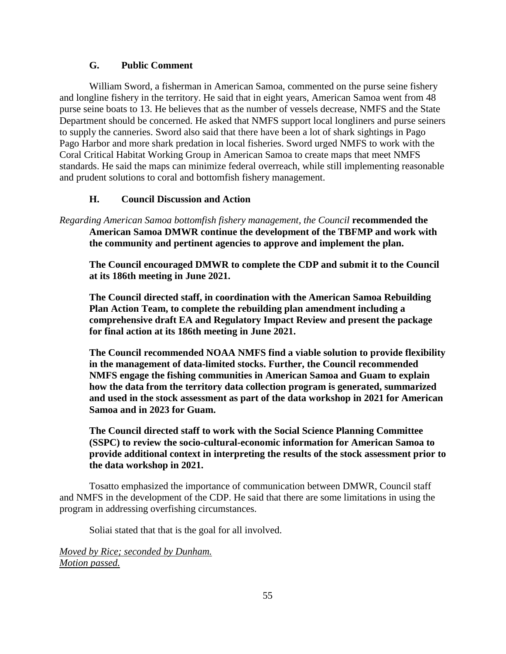## **G. Public Comment**

William Sword, a fisherman in American Samoa, commented on the purse seine fishery and longline fishery in the territory. He said that in eight years, American Samoa went from 48 purse seine boats to 13. He believes that as the number of vessels decrease, NMFS and the State Department should be concerned. He asked that NMFS support local longliners and purse seiners to supply the canneries. Sword also said that there have been a lot of shark sightings in Pago Pago Harbor and more shark predation in local fisheries. Sword urged NMFS to work with the Coral Critical Habitat Working Group in American Samoa to create maps that meet NMFS standards. He said the maps can minimize federal overreach, while still implementing reasonable and prudent solutions to coral and bottomfish fishery management.

## **H. Council Discussion and Action**

*Regarding American Samoa bottomfish fishery management, the Council* **recommended the American Samoa DMWR continue the development of the TBFMP and work with the community and pertinent agencies to approve and implement the plan.**

**The Council encouraged DMWR to complete the CDP and submit it to the Council at its 186th meeting in June 2021.**

**The Council directed staff, in coordination with the American Samoa Rebuilding Plan Action Team, to complete the rebuilding plan amendment including a comprehensive draft EA and Regulatory Impact Review and present the package for final action at its 186th meeting in June 2021.**

**The Council recommended NOAA NMFS find a viable solution to provide flexibility in the management of data-limited stocks. Further, the Council recommended NMFS engage the fishing communities in American Samoa and Guam to explain how the data from the territory data collection program is generated, summarized and used in the stock assessment as part of the data workshop in 2021 for American Samoa and in 2023 for Guam.**

**The Council directed staff to work with the Social Science Planning Committee (SSPC) to review the socio-cultural-economic information for American Samoa to provide additional context in interpreting the results of the stock assessment prior to the data workshop in 2021.**

Tosatto emphasized the importance of communication between DMWR, Council staff and NMFS in the development of the CDP. He said that there are some limitations in using the program in addressing overfishing circumstances.

Soliai stated that that is the goal for all involved.

*Moved by Rice; seconded by Dunham. Motion passed.*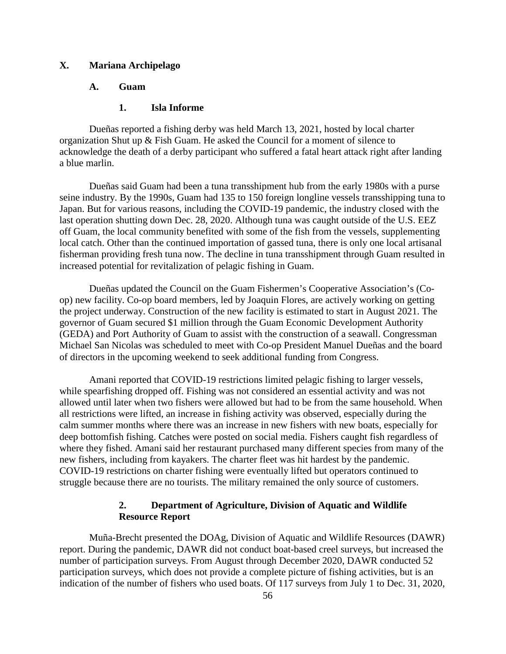## **X. Mariana Archipelago**

### **A. Guam**

#### **1. Isla Informe**

Dueñas reported a fishing derby was held March 13, 2021, hosted by local charter organization Shut up & Fish Guam. He asked the Council for a moment of silence to acknowledge the death of a derby participant who suffered a fatal heart attack right after landing a blue marlin.

Dueñas said Guam had been a tuna transshipment hub from the early 1980s with a purse seine industry. By the 1990s, Guam had 135 to 150 foreign longline vessels transshipping tuna to Japan. But for various reasons, including the COVID-19 pandemic, the industry closed with the last operation shutting down Dec. 28, 2020. Although tuna was caught outside of the U.S. EEZ off Guam, the local community benefited with some of the fish from the vessels, supplementing local catch. Other than the continued importation of gassed tuna, there is only one local artisanal fisherman providing fresh tuna now. The decline in tuna transshipment through Guam resulted in increased potential for revitalization of pelagic fishing in Guam.

Dueñas updated the Council on the Guam Fishermen's Cooperative Association's (Coop) new facility. Co-op board members, led by Joaquin Flores, are actively working on getting the project underway. Construction of the new facility is estimated to start in August 2021. The governor of Guam secured \$1 million through the Guam Economic Development Authority (GEDA) and Port Authority of Guam to assist with the construction of a seawall. Congressman Michael San Nicolas was scheduled to meet with Co-op President Manuel Dueñas and the board of directors in the upcoming weekend to seek additional funding from Congress.

Amani reported that COVID-19 restrictions limited pelagic fishing to larger vessels, while spearfishing dropped off. Fishing was not considered an essential activity and was not allowed until later when two fishers were allowed but had to be from the same household. When all restrictions were lifted, an increase in fishing activity was observed, especially during the calm summer months where there was an increase in new fishers with new boats, especially for deep bottomfish fishing. Catches were posted on social media. Fishers caught fish regardless of where they fished. Amani said her restaurant purchased many different species from many of the new fishers, including from kayakers. The charter fleet was hit hardest by the pandemic. COVID-19 restrictions on charter fishing were eventually lifted but operators continued to struggle because there are no tourists. The military remained the only source of customers.

## **2. Department of Agriculture, Division of Aquatic and Wildlife Resource Report**

Muña-Brecht presented the DOAg, Division of Aquatic and Wildlife Resources (DAWR) report. During the pandemic, DAWR did not conduct boat-based creel surveys, but increased the number of participation surveys. From August through December 2020, DAWR conducted 52 participation surveys, which does not provide a complete picture of fishing activities, but is an indication of the number of fishers who used boats. Of 117 surveys from July 1 to Dec. 31, 2020,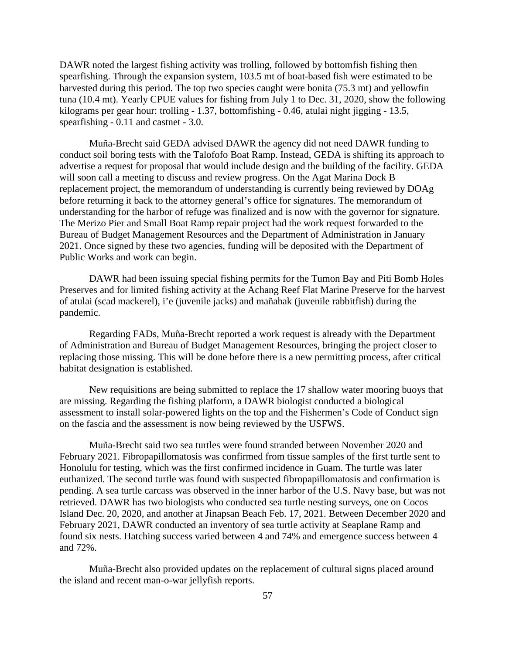DAWR noted the largest fishing activity was trolling, followed by bottomfish fishing then spearfishing. Through the expansion system, 103.5 mt of boat-based fish were estimated to be harvested during this period. The top two species caught were bonita (75.3 mt) and yellowfin tuna (10.4 mt). Yearly CPUE values for fishing from July 1 to Dec. 31, 2020, show the following kilograms per gear hour: trolling - 1.37, bottomfishing - 0.46, atulai night jigging - 13.5, spearfishing - 0.11 and castnet - 3.0.

Muña-Brecht said GEDA advised DAWR the agency did not need DAWR funding to conduct soil boring tests with the Talofofo Boat Ramp. Instead, GEDA is shifting its approach to advertise a request for proposal that would include design and the building of the facility. GEDA will soon call a meeting to discuss and review progress. On the Agat Marina Dock B replacement project, the memorandum of understanding is currently being reviewed by DOAg before returning it back to the attorney general's office for signatures. The memorandum of understanding for the harbor of refuge was finalized and is now with the governor for signature. The Merizo Pier and Small Boat Ramp repair project had the work request forwarded to the Bureau of Budget Management Resources and the Department of Administration in January 2021. Once signed by these two agencies, funding will be deposited with the Department of Public Works and work can begin.

DAWR had been issuing special fishing permits for the Tumon Bay and Piti Bomb Holes Preserves and for limited fishing activity at the Achang Reef Flat Marine Preserve for the harvest of atulai (scad mackerel), i'e (juvenile jacks) and mañahak (juvenile rabbitfish) during the pandemic.

Regarding FADs, Muña-Brecht reported a work request is already with the Department of Administration and Bureau of Budget Management Resources, bringing the project closer to replacing those missing. This will be done before there is a new permitting process, after critical habitat designation is established.

New requisitions are being submitted to replace the 17 shallow water mooring buoys that are missing. Regarding the fishing platform, a DAWR biologist conducted a biological assessment to install solar-powered lights on the top and the Fishermen's Code of Conduct sign on the fascia and the assessment is now being reviewed by the USFWS.

Muña-Brecht said two sea turtles were found stranded between November 2020 and February 2021. Fibropapillomatosis was confirmed from tissue samples of the first turtle sent to Honolulu for testing, which was the first confirmed incidence in Guam. The turtle was later euthanized. The second turtle was found with suspected fibropapillomatosis and confirmation is pending. A sea turtle carcass was observed in the inner harbor of the U.S. Navy base, but was not retrieved. DAWR has two biologists who conducted sea turtle nesting surveys, one on Cocos Island Dec. 20, 2020, and another at Jinapsan Beach Feb. 17, 2021. Between December 2020 and February 2021, DAWR conducted an inventory of sea turtle activity at Seaplane Ramp and found six nests. Hatching success varied between 4 and 74% and emergence success between 4 and 72%.

Muña-Brecht also provided updates on the replacement of cultural signs placed around the island and recent man-o-war jellyfish reports.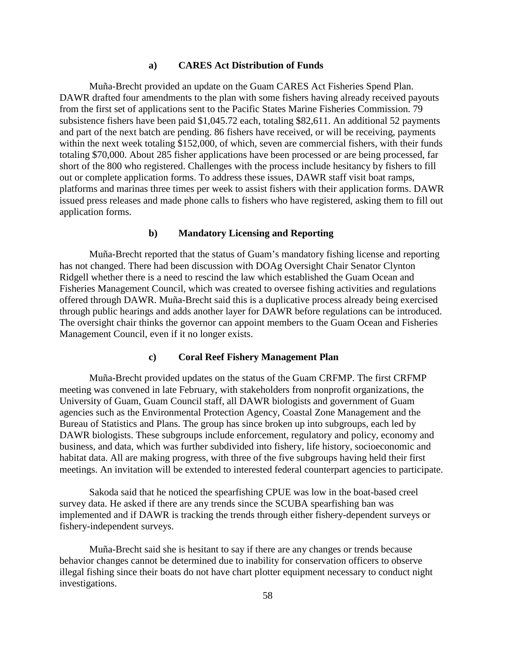#### **a) CARES Act Distribution of Funds**

Muña-Brecht provided an update on the Guam CARES Act Fisheries Spend Plan. DAWR drafted four amendments to the plan with some fishers having already received payouts from the first set of applications sent to the Pacific States Marine Fisheries Commission. 79 subsistence fishers have been paid \$1,045.72 each, totaling \$82,611. An additional 52 payments and part of the next batch are pending. 86 fishers have received, or will be receiving, payments within the next week totaling \$152,000, of which, seven are commercial fishers, with their funds totaling \$70,000. About 285 fisher applications have been processed or are being processed, far short of the 800 who registered. Challenges with the process include hesitancy by fishers to fill out or complete application forms. To address these issues, DAWR staff visit boat ramps, platforms and marinas three times per week to assist fishers with their application forms. DAWR issued press releases and made phone calls to fishers who have registered, asking them to fill out application forms.

#### **b) Mandatory Licensing and Reporting**

Muña-Brecht reported that the status of Guam's mandatory fishing license and reporting has not changed. There had been discussion with DOAg Oversight Chair Senator Clynton Ridgell whether there is a need to rescind the law which established the Guam Ocean and Fisheries Management Council, which was created to oversee fishing activities and regulations offered through DAWR. Muña-Brecht said this is a duplicative process already being exercised through public hearings and adds another layer for DAWR before regulations can be introduced. The oversight chair thinks the governor can appoint members to the Guam Ocean and Fisheries Management Council, even if it no longer exists.

#### **c) Coral Reef Fishery Management Plan**

Muña-Brecht provided updates on the status of the Guam CRFMP. The first CRFMP meeting was convened in late February, with stakeholders from nonprofit organizations, the University of Guam, Guam Council staff, all DAWR biologists and government of Guam agencies such as the Environmental Protection Agency, Coastal Zone Management and the Bureau of Statistics and Plans. The group has since broken up into subgroups, each led by DAWR biologists. These subgroups include enforcement, regulatory and policy, economy and business, and data, which was further subdivided into fishery, life history, socioeconomic and habitat data. All are making progress, with three of the five subgroups having held their first meetings. An invitation will be extended to interested federal counterpart agencies to participate.

Sakoda said that he noticed the spearfishing CPUE was low in the boat-based creel survey data. He asked if there are any trends since the SCUBA spearfishing ban was implemented and if DAWR is tracking the trends through either fishery-dependent surveys or fishery-independent surveys.

Muña-Brecht said she is hesitant to say if there are any changes or trends because behavior changes cannot be determined due to inability for conservation officers to observe illegal fishing since their boats do not have chart plotter equipment necessary to conduct night investigations.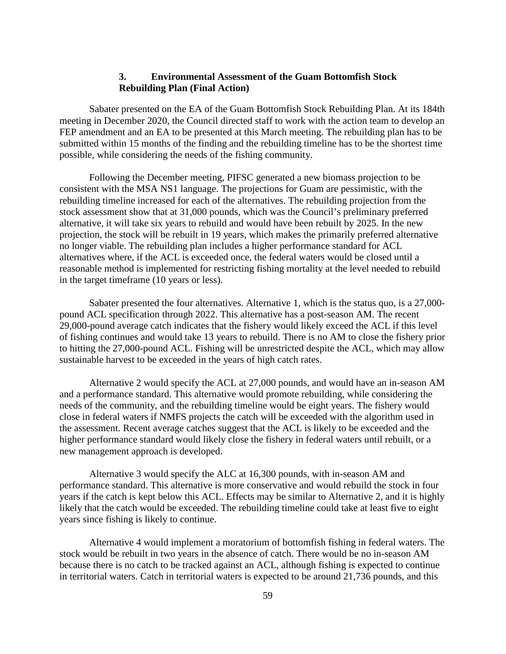## **3. Environmental Assessment of the Guam Bottomfish Stock Rebuilding Plan (Final Action)**

Sabater presented on the EA of the Guam Bottomfish Stock Rebuilding Plan. At its 184th meeting in December 2020, the Council directed staff to work with the action team to develop an FEP amendment and an EA to be presented at this March meeting. The rebuilding plan has to be submitted within 15 months of the finding and the rebuilding timeline has to be the shortest time possible, while considering the needs of the fishing community.

Following the December meeting, PIFSC generated a new biomass projection to be consistent with the MSA NS1 language. The projections for Guam are pessimistic, with the rebuilding timeline increased for each of the alternatives. The rebuilding projection from the stock assessment show that at 31,000 pounds, which was the Council's preliminary preferred alternative, it will take six years to rebuild and would have been rebuilt by 2025. In the new projection, the stock will be rebuilt in 19 years, which makes the primarily preferred alternative no longer viable. The rebuilding plan includes a higher performance standard for ACL alternatives where, if the ACL is exceeded once, the federal waters would be closed until a reasonable method is implemented for restricting fishing mortality at the level needed to rebuild in the target timeframe (10 years or less).

Sabater presented the four alternatives. Alternative 1, which is the status quo, is a 27,000 pound ACL specification through 2022. This alternative has a post-season AM. The recent 29,000-pound average catch indicates that the fishery would likely exceed the ACL if this level of fishing continues and would take 13 years to rebuild. There is no AM to close the fishery prior to hitting the 27,000-pound ACL. Fishing will be unrestricted despite the ACL, which may allow sustainable harvest to be exceeded in the years of high catch rates.

Alternative 2 would specify the ACL at 27,000 pounds, and would have an in-season AM and a performance standard. This alternative would promote rebuilding, while considering the needs of the community, and the rebuilding timeline would be eight years. The fishery would close in federal waters if NMFS projects the catch will be exceeded with the algorithm used in the assessment. Recent average catches suggest that the ACL is likely to be exceeded and the higher performance standard would likely close the fishery in federal waters until rebuilt, or a new management approach is developed.

Alternative 3 would specify the ALC at 16,300 pounds, with in-season AM and performance standard. This alternative is more conservative and would rebuild the stock in four years if the catch is kept below this ACL. Effects may be similar to Alternative 2, and it is highly likely that the catch would be exceeded. The rebuilding timeline could take at least five to eight years since fishing is likely to continue.

Alternative 4 would implement a moratorium of bottomfish fishing in federal waters. The stock would be rebuilt in two years in the absence of catch. There would be no in-season AM because there is no catch to be tracked against an ACL, although fishing is expected to continue in territorial waters. Catch in territorial waters is expected to be around 21,736 pounds, and this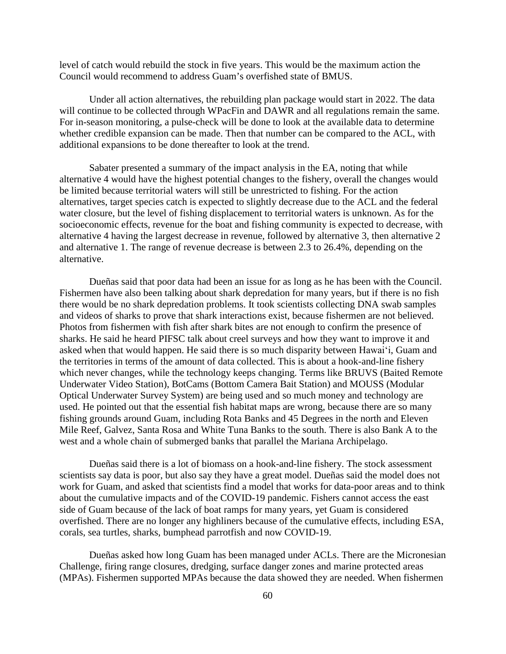level of catch would rebuild the stock in five years. This would be the maximum action the Council would recommend to address Guam's overfished state of BMUS.

Under all action alternatives, the rebuilding plan package would start in 2022. The data will continue to be collected through WPacFin and DAWR and all regulations remain the same. For in-season monitoring, a pulse-check will be done to look at the available data to determine whether credible expansion can be made. Then that number can be compared to the ACL, with additional expansions to be done thereafter to look at the trend.

Sabater presented a summary of the impact analysis in the EA, noting that while alternative 4 would have the highest potential changes to the fishery, overall the changes would be limited because territorial waters will still be unrestricted to fishing. For the action alternatives, target species catch is expected to slightly decrease due to the ACL and the federal water closure, but the level of fishing displacement to territorial waters is unknown. As for the socioeconomic effects, revenue for the boat and fishing community is expected to decrease, with alternative 4 having the largest decrease in revenue, followed by alternative 3, then alternative 2 and alternative 1. The range of revenue decrease is between 2.3 to 26.4%, depending on the alternative.

Dueñas said that poor data had been an issue for as long as he has been with the Council. Fishermen have also been talking about shark depredation for many years, but if there is no fish there would be no shark depredation problems. It took scientists collecting DNA swab samples and videos of sharks to prove that shark interactions exist, because fishermen are not believed. Photos from fishermen with fish after shark bites are not enough to confirm the presence of sharks. He said he heard PIFSC talk about creel surveys and how they want to improve it and asked when that would happen. He said there is so much disparity between Hawaiʻi, Guam and the territories in terms of the amount of data collected. This is about a hook-and-line fishery which never changes, while the technology keeps changing. Terms like BRUVS (Baited Remote Underwater Video Station), BotCams (Bottom Camera Bait Station) and MOUSS (Modular Optical Underwater Survey System) are being used and so much money and technology are used. He pointed out that the essential fish habitat maps are wrong, because there are so many fishing grounds around Guam, including Rota Banks and 45 Degrees in the north and Eleven Mile Reef, Galvez, Santa Rosa and White Tuna Banks to the south. There is also Bank A to the west and a whole chain of submerged banks that parallel the Mariana Archipelago.

Dueñas said there is a lot of biomass on a hook-and-line fishery. The stock assessment scientists say data is poor, but also say they have a great model. Dueñas said the model does not work for Guam, and asked that scientists find a model that works for data-poor areas and to think about the cumulative impacts and of the COVID-19 pandemic. Fishers cannot access the east side of Guam because of the lack of boat ramps for many years, yet Guam is considered overfished. There are no longer any highliners because of the cumulative effects, including ESA, corals, sea turtles, sharks, bumphead parrotfish and now COVID-19.

Dueñas asked how long Guam has been managed under ACLs. There are the Micronesian Challenge, firing range closures, dredging, surface danger zones and marine protected areas (MPAs). Fishermen supported MPAs because the data showed they are needed. When fishermen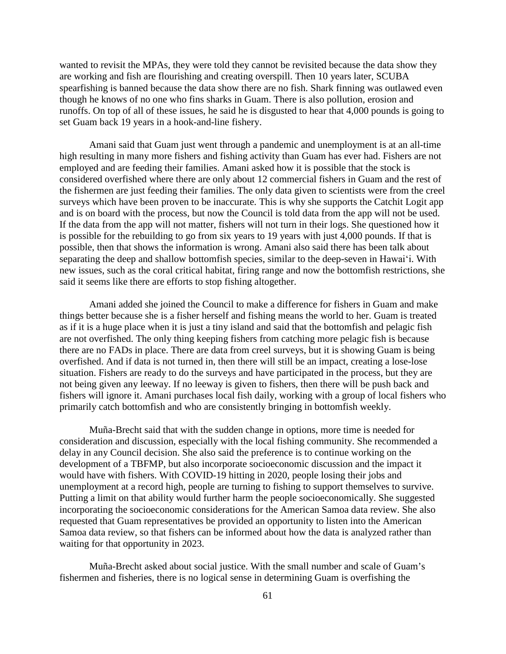wanted to revisit the MPAs, they were told they cannot be revisited because the data show they are working and fish are flourishing and creating overspill. Then 10 years later, SCUBA spearfishing is banned because the data show there are no fish. Shark finning was outlawed even though he knows of no one who fins sharks in Guam. There is also pollution, erosion and runoffs. On top of all of these issues, he said he is disgusted to hear that 4,000 pounds is going to set Guam back 19 years in a hook-and-line fishery.

Amani said that Guam just went through a pandemic and unemployment is at an all-time high resulting in many more fishers and fishing activity than Guam has ever had. Fishers are not employed and are feeding their families. Amani asked how it is possible that the stock is considered overfished where there are only about 12 commercial fishers in Guam and the rest of the fishermen are just feeding their families. The only data given to scientists were from the creel surveys which have been proven to be inaccurate. This is why she supports the Catchit Logit app and is on board with the process, but now the Council is told data from the app will not be used. If the data from the app will not matter, fishers will not turn in their logs. She questioned how it is possible for the rebuilding to go from six years to 19 years with just 4,000 pounds. If that is possible, then that shows the information is wrong. Amani also said there has been talk about separating the deep and shallow bottomfish species, similar to the deep-seven in Hawaiʻi. With new issues, such as the coral critical habitat, firing range and now the bottomfish restrictions, she said it seems like there are efforts to stop fishing altogether.

Amani added she joined the Council to make a difference for fishers in Guam and make things better because she is a fisher herself and fishing means the world to her. Guam is treated as if it is a huge place when it is just a tiny island and said that the bottomfish and pelagic fish are not overfished. The only thing keeping fishers from catching more pelagic fish is because there are no FADs in place. There are data from creel surveys, but it is showing Guam is being overfished. And if data is not turned in, then there will still be an impact, creating a lose-lose situation. Fishers are ready to do the surveys and have participated in the process, but they are not being given any leeway. If no leeway is given to fishers, then there will be push back and fishers will ignore it. Amani purchases local fish daily, working with a group of local fishers who primarily catch bottomfish and who are consistently bringing in bottomfish weekly.

Muña-Brecht said that with the sudden change in options, more time is needed for consideration and discussion, especially with the local fishing community. She recommended a delay in any Council decision. She also said the preference is to continue working on the development of a TBFMP, but also incorporate socioeconomic discussion and the impact it would have with fishers. With COVID-19 hitting in 2020, people losing their jobs and unemployment at a record high, people are turning to fishing to support themselves to survive. Putting a limit on that ability would further harm the people socioeconomically. She suggested incorporating the socioeconomic considerations for the American Samoa data review. She also requested that Guam representatives be provided an opportunity to listen into the American Samoa data review, so that fishers can be informed about how the data is analyzed rather than waiting for that opportunity in 2023.

Muña-Brecht asked about social justice. With the small number and scale of Guam's fishermen and fisheries, there is no logical sense in determining Guam is overfishing the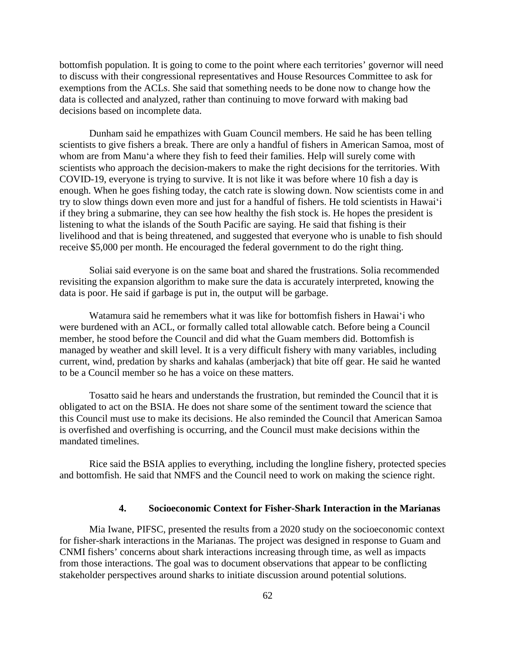bottomfish population. It is going to come to the point where each territories' governor will need to discuss with their congressional representatives and House Resources Committee to ask for exemptions from the ACLs. She said that something needs to be done now to change how the data is collected and analyzed, rather than continuing to move forward with making bad decisions based on incomplete data.

Dunham said he empathizes with Guam Council members. He said he has been telling scientists to give fishers a break. There are only a handful of fishers in American Samoa, most of whom are from Manuʻa where they fish to feed their families. Help will surely come with scientists who approach the decision-makers to make the right decisions for the territories. With COVID-19, everyone is trying to survive. It is not like it was before where 10 fish a day is enough. When he goes fishing today, the catch rate is slowing down. Now scientists come in and try to slow things down even more and just for a handful of fishers. He told scientists in Hawaiʻi if they bring a submarine, they can see how healthy the fish stock is. He hopes the president is listening to what the islands of the South Pacific are saying. He said that fishing is their livelihood and that is being threatened, and suggested that everyone who is unable to fish should receive \$5,000 per month. He encouraged the federal government to do the right thing.

Soliai said everyone is on the same boat and shared the frustrations. Solia recommended revisiting the expansion algorithm to make sure the data is accurately interpreted, knowing the data is poor. He said if garbage is put in, the output will be garbage.

Watamura said he remembers what it was like for bottomfish fishers in Hawaiʻi who were burdened with an ACL, or formally called total allowable catch. Before being a Council member, he stood before the Council and did what the Guam members did. Bottomfish is managed by weather and skill level. It is a very difficult fishery with many variables, including current, wind, predation by sharks and kahalas (amberjack) that bite off gear. He said he wanted to be a Council member so he has a voice on these matters.

Tosatto said he hears and understands the frustration, but reminded the Council that it is obligated to act on the BSIA. He does not share some of the sentiment toward the science that this Council must use to make its decisions. He also reminded the Council that American Samoa is overfished and overfishing is occurring, and the Council must make decisions within the mandated timelines.

Rice said the BSIA applies to everything, including the longline fishery, protected species and bottomfish. He said that NMFS and the Council need to work on making the science right.

#### **4. Socioeconomic Context for Fisher-Shark Interaction in the Marianas**

Mia Iwane, PIFSC, presented the results from a 2020 study on the socioeconomic context for fisher-shark interactions in the Marianas. The project was designed in response to Guam and CNMI fishers' concerns about shark interactions increasing through time, as well as impacts from those interactions. The goal was to document observations that appear to be conflicting stakeholder perspectives around sharks to initiate discussion around potential solutions.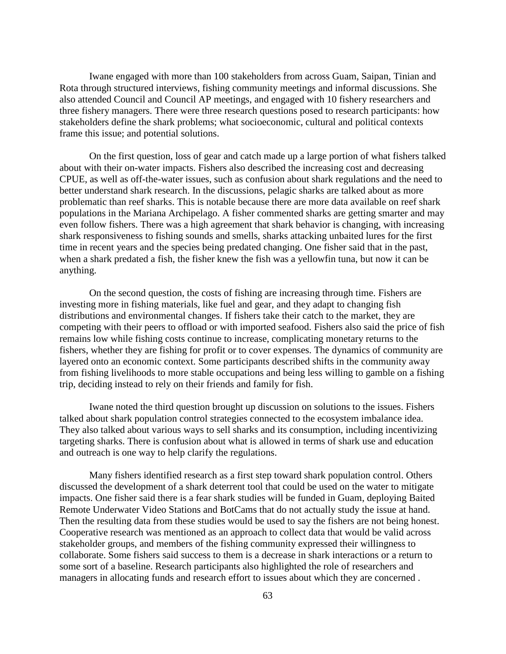Iwane engaged with more than 100 stakeholders from across Guam, Saipan, Tinian and Rota through structured interviews, fishing community meetings and informal discussions. She also attended Council and Council AP meetings, and engaged with 10 fishery researchers and three fishery managers. There were three research questions posed to research participants: how stakeholders define the shark problems; what socioeconomic, cultural and political contexts frame this issue; and potential solutions.

On the first question, loss of gear and catch made up a large portion of what fishers talked about with their on-water impacts. Fishers also described the increasing cost and decreasing CPUE, as well as off-the-water issues, such as confusion about shark regulations and the need to better understand shark research. In the discussions, pelagic sharks are talked about as more problematic than reef sharks. This is notable because there are more data available on reef shark populations in the Mariana Archipelago. A fisher commented sharks are getting smarter and may even follow fishers. There was a high agreement that shark behavior is changing, with increasing shark responsiveness to fishing sounds and smells, sharks attacking unbaited lures for the first time in recent years and the species being predated changing. One fisher said that in the past, when a shark predated a fish, the fisher knew the fish was a yellowfin tuna, but now it can be anything.

On the second question, the costs of fishing are increasing through time. Fishers are investing more in fishing materials, like fuel and gear, and they adapt to changing fish distributions and environmental changes. If fishers take their catch to the market, they are competing with their peers to offload or with imported seafood. Fishers also said the price of fish remains low while fishing costs continue to increase, complicating monetary returns to the fishers, whether they are fishing for profit or to cover expenses. The dynamics of community are layered onto an economic context. Some participants described shifts in the community away from fishing livelihoods to more stable occupations and being less willing to gamble on a fishing trip, deciding instead to rely on their friends and family for fish.

Iwane noted the third question brought up discussion on solutions to the issues. Fishers talked about shark population control strategies connected to the ecosystem imbalance idea. They also talked about various ways to sell sharks and its consumption, including incentivizing targeting sharks. There is confusion about what is allowed in terms of shark use and education and outreach is one way to help clarify the regulations.

Many fishers identified research as a first step toward shark population control. Others discussed the development of a shark deterrent tool that could be used on the water to mitigate impacts. One fisher said there is a fear shark studies will be funded in Guam, deploying Baited Remote Underwater Video Stations and BotCams that do not actually study the issue at hand. Then the resulting data from these studies would be used to say the fishers are not being honest. Cooperative research was mentioned as an approach to collect data that would be valid across stakeholder groups, and members of the fishing community expressed their willingness to collaborate. Some fishers said success to them is a decrease in shark interactions or a return to some sort of a baseline. Research participants also highlighted the role of researchers and managers in allocating funds and research effort to issues about which they are concerned .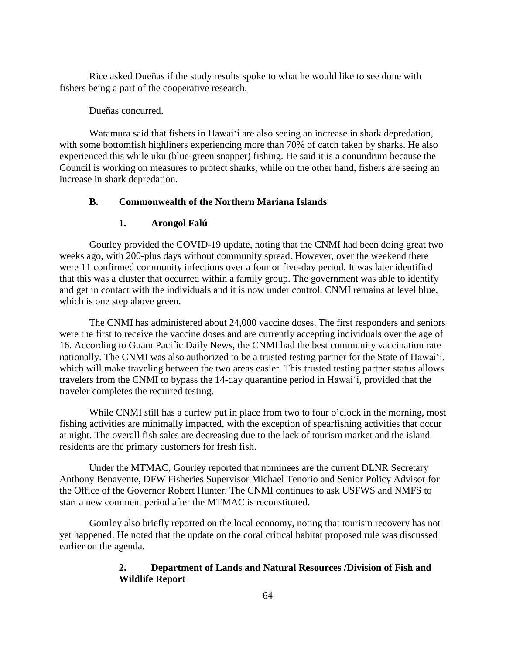Rice asked Dueñas if the study results spoke to what he would like to see done with fishers being a part of the cooperative research.

#### Dueñas concurred.

Watamura said that fishers in Hawaiʻi are also seeing an increase in shark depredation, with some bottomfish highliners experiencing more than 70% of catch taken by sharks. He also experienced this while uku (blue-green snapper) fishing. He said it is a conundrum because the Council is working on measures to protect sharks, while on the other hand, fishers are seeing an increase in shark depredation.

### **B. Commonwealth of the Northern Mariana Islands**

#### **1. Arongol Falú**

Gourley provided the COVID-19 update, noting that the CNMI had been doing great two weeks ago, with 200-plus days without community spread. However, over the weekend there were 11 confirmed community infections over a four or five-day period. It was later identified that this was a cluster that occurred within a family group. The government was able to identify and get in contact with the individuals and it is now under control. CNMI remains at level blue, which is one step above green.

The CNMI has administered about 24,000 vaccine doses. The first responders and seniors were the first to receive the vaccine doses and are currently accepting individuals over the age of 16. According to Guam Pacific Daily News, the CNMI had the best community vaccination rate nationally. The CNMI was also authorized to be a trusted testing partner for the State of Hawaiʻi, which will make traveling between the two areas easier. This trusted testing partner status allows travelers from the CNMI to bypass the 14-day quarantine period in Hawaiʻi, provided that the traveler completes the required testing.

While CNMI still has a curfew put in place from two to four o'clock in the morning, most fishing activities are minimally impacted, with the exception of spearfishing activities that occur at night. The overall fish sales are decreasing due to the lack of tourism market and the island residents are the primary customers for fresh fish.

Under the MTMAC, Gourley reported that nominees are the current DLNR Secretary Anthony Benavente, DFW Fisheries Supervisor Michael Tenorio and Senior Policy Advisor for the Office of the Governor Robert Hunter. The CNMI continues to ask USFWS and NMFS to start a new comment period after the MTMAC is reconstituted.

Gourley also briefly reported on the local economy, noting that tourism recovery has not yet happened. He noted that the update on the coral critical habitat proposed rule was discussed earlier on the agenda.

## **2. Department of Lands and Natural Resources /Division of Fish and Wildlife Report**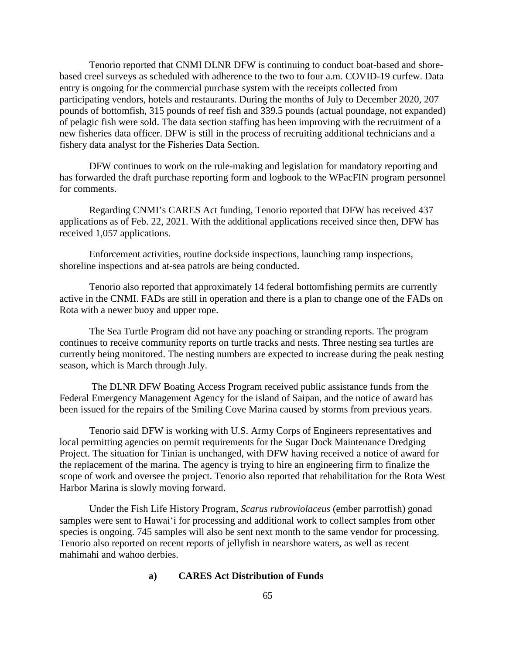Tenorio reported that CNMI DLNR DFW is continuing to conduct boat-based and shorebased creel surveys as scheduled with adherence to the two to four a.m. COVID-19 curfew. Data entry is ongoing for the commercial purchase system with the receipts collected from participating vendors, hotels and restaurants. During the months of July to December 2020, 207 pounds of bottomfish, 315 pounds of reef fish and 339.5 pounds (actual poundage, not expanded) of pelagic fish were sold. The data section staffing has been improving with the recruitment of a new fisheries data officer. DFW is still in the process of recruiting additional technicians and a fishery data analyst for the Fisheries Data Section.

DFW continues to work on the rule-making and legislation for mandatory reporting and has forwarded the draft purchase reporting form and logbook to the WPacFIN program personnel for comments.

Regarding CNMI's CARES Act funding, Tenorio reported that DFW has received 437 applications as of Feb. 22, 2021. With the additional applications received since then, DFW has received 1,057 applications.

Enforcement activities, routine dockside inspections, launching ramp inspections, shoreline inspections and at-sea patrols are being conducted.

Tenorio also reported that approximately 14 federal bottomfishing permits are currently active in the CNMI. FADs are still in operation and there is a plan to change one of the FADs on Rota with a newer buoy and upper rope.

The Sea Turtle Program did not have any poaching or stranding reports. The program continues to receive community reports on turtle tracks and nests. Three nesting sea turtles are currently being monitored. The nesting numbers are expected to increase during the peak nesting season, which is March through July.

The DLNR DFW Boating Access Program received public assistance funds from the Federal Emergency Management Agency for the island of Saipan, and the notice of award has been issued for the repairs of the Smiling Cove Marina caused by storms from previous years.

Tenorio said DFW is working with U.S. Army Corps of Engineers representatives and local permitting agencies on permit requirements for the Sugar Dock Maintenance Dredging Project. The situation for Tinian is unchanged, with DFW having received a notice of award for the replacement of the marina. The agency is trying to hire an engineering firm to finalize the scope of work and oversee the project. Tenorio also reported that rehabilitation for the Rota West Harbor Marina is slowly moving forward.

Under the Fish Life History Program, *Scarus rubroviolaceus* (ember parrotfish) gonad samples were sent to Hawaiʻi for processing and additional work to collect samples from other species is ongoing. 745 samples will also be sent next month to the same vendor for processing. Tenorio also reported on recent reports of jellyfish in nearshore waters, as well as recent mahimahi and wahoo derbies.

# **a) CARES Act Distribution of Funds**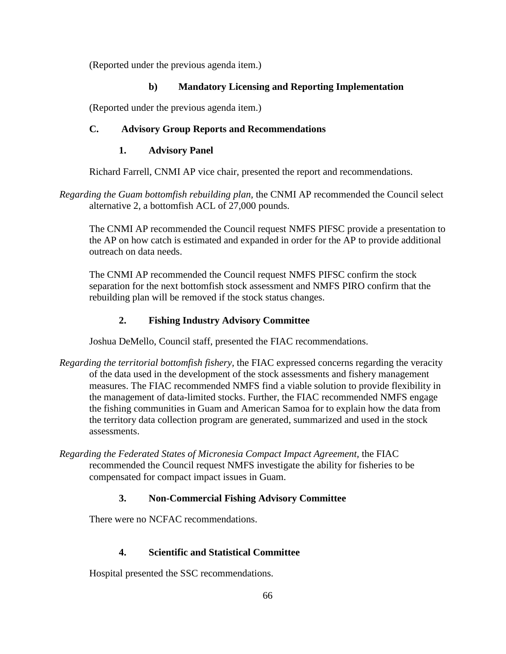(Reported under the previous agenda item.)

# **b) Mandatory Licensing and Reporting Implementation**

(Reported under the previous agenda item.)

# **C. Advisory Group Reports and Recommendations**

## **1. Advisory Panel**

Richard Farrell, CNMI AP vice chair, presented the report and recommendations.

*Regarding the Guam bottomfish rebuilding plan,* the CNMI AP recommended the Council select alternative 2, a bottomfish ACL of 27,000 pounds.

The CNMI AP recommended the Council request NMFS PIFSC provide a presentation to the AP on how catch is estimated and expanded in order for the AP to provide additional outreach on data needs.

The CNMI AP recommended the Council request NMFS PIFSC confirm the stock separation for the next bottomfish stock assessment and NMFS PIRO confirm that the rebuilding plan will be removed if the stock status changes.

# **2. Fishing Industry Advisory Committee**

Joshua DeMello, Council staff, presented the FIAC recommendations.

- *Regarding the territorial bottomfish fishery,* the FIAC expressed concerns regarding the veracity of the data used in the development of the stock assessments and fishery management measures. The FIAC recommended NMFS find a viable solution to provide flexibility in the management of data-limited stocks. Further, the FIAC recommended NMFS engage the fishing communities in Guam and American Samoa for to explain how the data from the territory data collection program are generated, summarized and used in the stock assessments.
- *Regarding the Federated States of Micronesia Compact Impact Agreement,* the FIAC recommended the Council request NMFS investigate the ability for fisheries to be compensated for compact impact issues in Guam.

# **3. Non-Commercial Fishing Advisory Committee**

There were no NCFAC recommendations.

# **4. Scientific and Statistical Committee**

Hospital presented the SSC recommendations.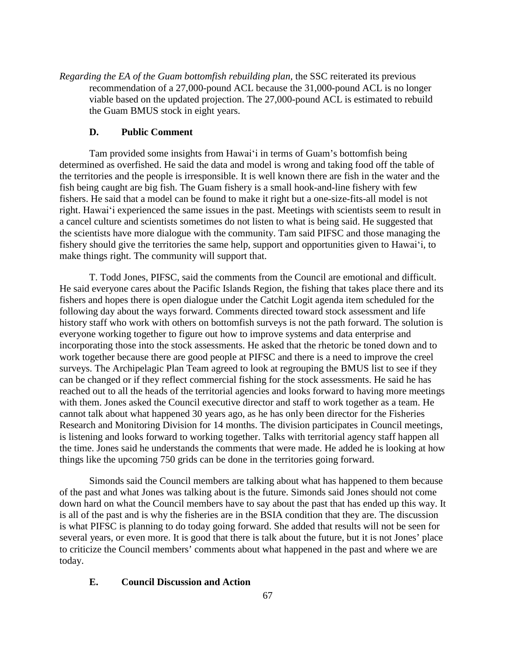*Regarding the EA of the Guam bottomfish rebuilding plan,* the SSC reiterated its previous recommendation of a 27,000-pound ACL because the 31,000-pound ACL is no longer viable based on the updated projection. The 27,000-pound ACL is estimated to rebuild the Guam BMUS stock in eight years.

### **D. Public Comment**

Tam provided some insights from Hawaiʻi in terms of Guam's bottomfish being determined as overfished. He said the data and model is wrong and taking food off the table of the territories and the people is irresponsible. It is well known there are fish in the water and the fish being caught are big fish. The Guam fishery is a small hook-and-line fishery with few fishers. He said that a model can be found to make it right but a one-size-fits-all model is not right. Hawaiʻi experienced the same issues in the past. Meetings with scientists seem to result in a cancel culture and scientists sometimes do not listen to what is being said. He suggested that the scientists have more dialogue with the community. Tam said PIFSC and those managing the fishery should give the territories the same help, support and opportunities given to Hawaiʻi, to make things right. The community will support that.

T. Todd Jones, PIFSC, said the comments from the Council are emotional and difficult. He said everyone cares about the Pacific Islands Region, the fishing that takes place there and its fishers and hopes there is open dialogue under the Catchit Logit agenda item scheduled for the following day about the ways forward. Comments directed toward stock assessment and life history staff who work with others on bottomfish surveys is not the path forward. The solution is everyone working together to figure out how to improve systems and data enterprise and incorporating those into the stock assessments. He asked that the rhetoric be toned down and to work together because there are good people at PIFSC and there is a need to improve the creel surveys. The Archipelagic Plan Team agreed to look at regrouping the BMUS list to see if they can be changed or if they reflect commercial fishing for the stock assessments. He said he has reached out to all the heads of the territorial agencies and looks forward to having more meetings with them. Jones asked the Council executive director and staff to work together as a team. He cannot talk about what happened 30 years ago, as he has only been director for the Fisheries Research and Monitoring Division for 14 months. The division participates in Council meetings, is listening and looks forward to working together. Talks with territorial agency staff happen all the time. Jones said he understands the comments that were made. He added he is looking at how things like the upcoming 750 grids can be done in the territories going forward.

Simonds said the Council members are talking about what has happened to them because of the past and what Jones was talking about is the future. Simonds said Jones should not come down hard on what the Council members have to say about the past that has ended up this way. It is all of the past and is why the fisheries are in the BSIA condition that they are. The discussion is what PIFSC is planning to do today going forward. She added that results will not be seen for several years, or even more. It is good that there is talk about the future, but it is not Jones' place to criticize the Council members' comments about what happened in the past and where we are today.

### **E. Council Discussion and Action**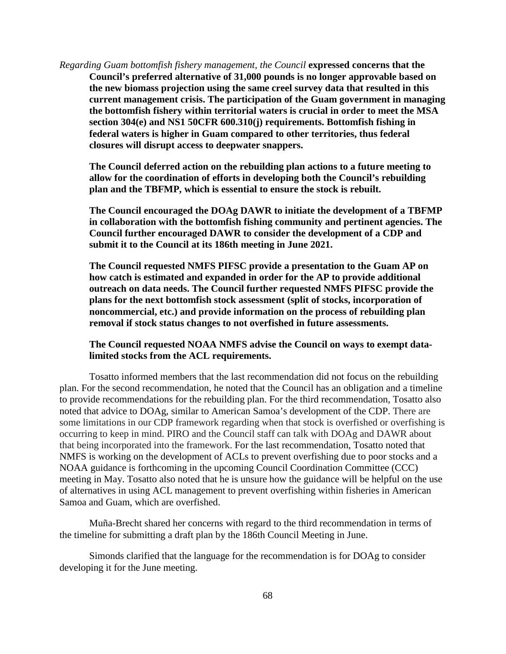*Regarding Guam bottomfish fishery management, the Council* **expressed concerns that the Council's preferred alternative of 31,000 pounds is no longer approvable based on the new biomass projection using the same creel survey data that resulted in this current management crisis. The participation of the Guam government in managing the bottomfish fishery within territorial waters is crucial in order to meet the MSA section 304(e) and NS1 50CFR 600.310(j) requirements. Bottomfish fishing in federal waters is higher in Guam compared to other territories, thus federal closures will disrupt access to deepwater snappers.**

**The Council deferred action on the rebuilding plan actions to a future meeting to allow for the coordination of efforts in developing both the Council's rebuilding plan and the TBFMP, which is essential to ensure the stock is rebuilt.**

**The Council encouraged the DOAg DAWR to initiate the development of a TBFMP in collaboration with the bottomfish fishing community and pertinent agencies. The Council further encouraged DAWR to consider the development of a CDP and submit it to the Council at its 186th meeting in June 2021.**

**The Council requested NMFS PIFSC provide a presentation to the Guam AP on how catch is estimated and expanded in order for the AP to provide additional outreach on data needs. The Council further requested NMFS PIFSC provide the plans for the next bottomfish stock assessment (split of stocks, incorporation of noncommercial, etc.) and provide information on the process of rebuilding plan removal if stock status changes to not overfished in future assessments.**

#### **The Council requested NOAA NMFS advise the Council on ways to exempt datalimited stocks from the ACL requirements.**

Tosatto informed members that the last recommendation did not focus on the rebuilding plan. For the second recommendation, he noted that the Council has an obligation and a timeline to provide recommendations for the rebuilding plan. For the third recommendation, Tosatto also noted that advice to DOAg, similar to American Samoa's development of the CDP. There are some limitations in our CDP framework regarding when that stock is overfished or overfishing is occurring to keep in mind. PIRO and the Council staff can talk with DOAg and DAWR about that being incorporated into the framework. For the last recommendation, Tosatto noted that NMFS is working on the development of ACLs to prevent overfishing due to poor stocks and a NOAA guidance is forthcoming in the upcoming Council Coordination Committee (CCC) meeting in May. Tosatto also noted that he is unsure how the guidance will be helpful on the use of alternatives in using ACL management to prevent overfishing within fisheries in American Samoa and Guam, which are overfished.

Muña-Brecht shared her concerns with regard to the third recommendation in terms of the timeline for submitting a draft plan by the 186th Council Meeting in June.

Simonds clarified that the language for the recommendation is for DOAg to consider developing it for the June meeting.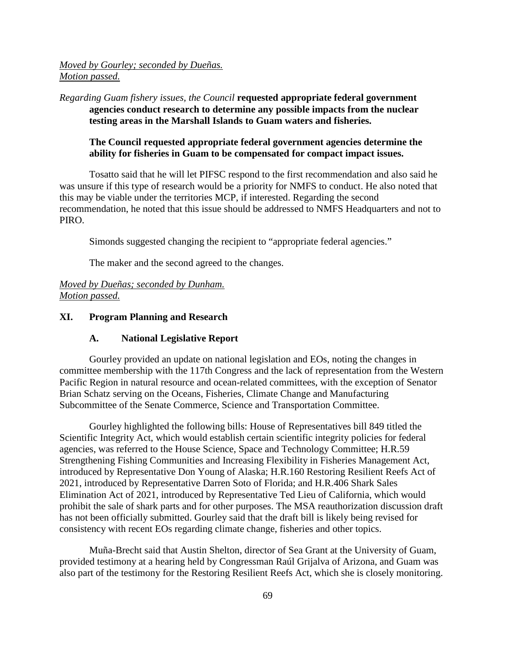*Moved by Gourley; seconded by Dueñas. Motion passed.*

*Regarding Guam fishery issues, the Council* **requested appropriate federal government agencies conduct research to determine any possible impacts from the nuclear testing areas in the Marshall Islands to Guam waters and fisheries.**

### **The Council requested appropriate federal government agencies determine the ability for fisheries in Guam to be compensated for compact impact issues.**

Tosatto said that he will let PIFSC respond to the first recommendation and also said he was unsure if this type of research would be a priority for NMFS to conduct. He also noted that this may be viable under the territories MCP, if interested. Regarding the second recommendation, he noted that this issue should be addressed to NMFS Headquarters and not to PIRO.

Simonds suggested changing the recipient to "appropriate federal agencies."

The maker and the second agreed to the changes.

*Moved by Dueñas; seconded by Dunham. Motion passed.*

### **XI. Program Planning and Research**

#### **A. National Legislative Report**

Gourley provided an update on national legislation and EOs, noting the changes in committee membership with the 117th Congress and the lack of representation from the Western Pacific Region in natural resource and ocean-related committees, with the exception of Senator Brian Schatz serving on the Oceans, Fisheries, Climate Change and Manufacturing Subcommittee of the Senate Commerce, Science and Transportation Committee.

Gourley highlighted the following bills: House of Representatives bill 849 titled the Scientific Integrity Act, which would establish certain scientific integrity policies for federal agencies, was referred to the House Science, Space and Technology Committee; H.R.59 Strengthening Fishing Communities and Increasing Flexibility in Fisheries Management Act, introduced by Representative Don Young of Alaska; H.R.160 Restoring Resilient Reefs Act of 2021, introduced by Representative Darren Soto of Florida; and H.R.406 Shark Sales Elimination Act of 2021, introduced by Representative Ted Lieu of California, which would prohibit the sale of shark parts and for other purposes. The MSA reauthorization discussion draft has not been officially submitted. Gourley said that the draft bill is likely being revised for consistency with recent EOs regarding climate change, fisheries and other topics.

Muña-Brecht said that Austin Shelton, director of Sea Grant at the University of Guam, provided testimony at a hearing held by Congressman Raúl Grijalva of Arizona, and Guam was also part of the testimony for the Restoring Resilient Reefs Act, which she is closely monitoring.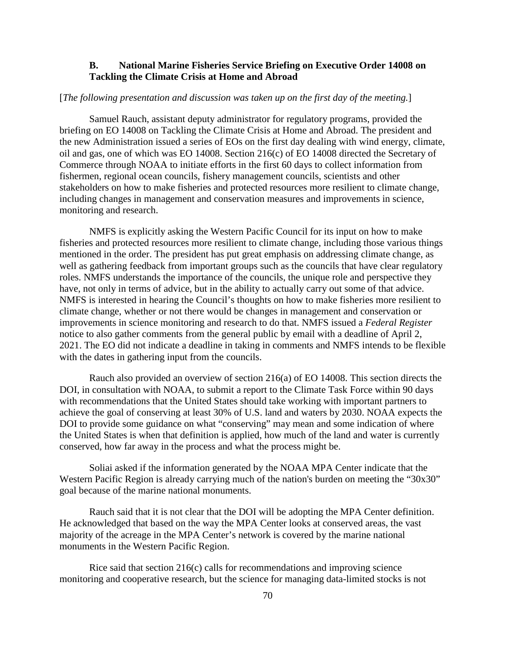### **B. National Marine Fisheries Service Briefing on Executive Order 14008 on Tackling the Climate Crisis at Home and Abroad**

#### [*The following presentation and discussion was taken up on the first day of the meeting.*]

Samuel Rauch, assistant deputy administrator for regulatory programs, provided the briefing on EO 14008 on Tackling the Climate Crisis at Home and Abroad. The president and the new Administration issued a series of EOs on the first day dealing with wind energy, climate, oil and gas, one of which was EO 14008. Section 216(c) of EO 14008 directed the Secretary of Commerce through NOAA to initiate efforts in the first 60 days to collect information from fishermen, regional ocean councils, fishery management councils, scientists and other stakeholders on how to make fisheries and protected resources more resilient to climate change, including changes in management and conservation measures and improvements in science, monitoring and research.

NMFS is explicitly asking the Western Pacific Council for its input on how to make fisheries and protected resources more resilient to climate change, including those various things mentioned in the order. The president has put great emphasis on addressing climate change, as well as gathering feedback from important groups such as the councils that have clear regulatory roles. NMFS understands the importance of the councils, the unique role and perspective they have, not only in terms of advice, but in the ability to actually carry out some of that advice. NMFS is interested in hearing the Council's thoughts on how to make fisheries more resilient to climate change, whether or not there would be changes in management and conservation or improvements in science monitoring and research to do that. NMFS issued a *Federal Register* notice to also gather comments from the general public by email with a deadline of April 2, 2021. The EO did not indicate a deadline in taking in comments and NMFS intends to be flexible with the dates in gathering input from the councils.

Rauch also provided an overview of section 216(a) of EO 14008. This section directs the DOI, in consultation with NOAA, to submit a report to the Climate Task Force within 90 days with recommendations that the United States should take working with important partners to achieve the goal of conserving at least 30% of U.S. land and waters by 2030. NOAA expects the DOI to provide some guidance on what "conserving" may mean and some indication of where the United States is when that definition is applied, how much of the land and water is currently conserved, how far away in the process and what the process might be.

Soliai asked if the information generated by the NOAA MPA Center indicate that the Western Pacific Region is already carrying much of the nation's burden on meeting the "30x30" goal because of the marine national monuments.

Rauch said that it is not clear that the DOI will be adopting the MPA Center definition. He acknowledged that based on the way the MPA Center looks at conserved areas, the vast majority of the acreage in the MPA Center's network is covered by the marine national monuments in the Western Pacific Region.

Rice said that section 216(c) calls for recommendations and improving science monitoring and cooperative research, but the science for managing data-limited stocks is not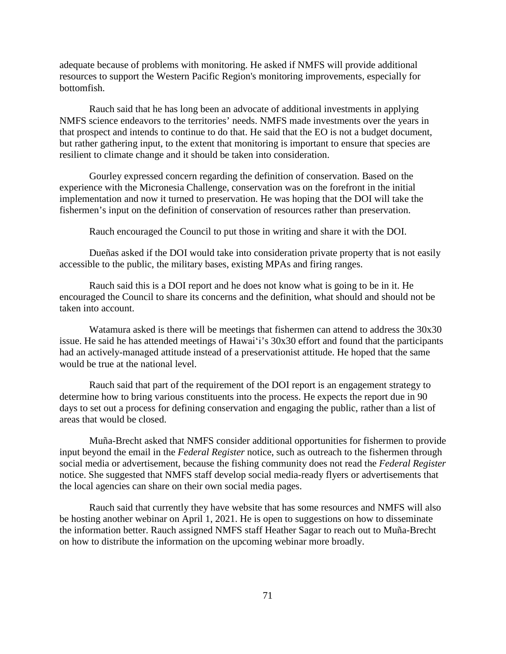adequate because of problems with monitoring. He asked if NMFS will provide additional resources to support the Western Pacific Region's monitoring improvements, especially for bottomfish.

Rauch said that he has long been an advocate of additional investments in applying NMFS science endeavors to the territories' needs. NMFS made investments over the years in that prospect and intends to continue to do that. He said that the EO is not a budget document, but rather gathering input, to the extent that monitoring is important to ensure that species are resilient to climate change and it should be taken into consideration.

Gourley expressed concern regarding the definition of conservation. Based on the experience with the Micronesia Challenge, conservation was on the forefront in the initial implementation and now it turned to preservation. He was hoping that the DOI will take the fishermen's input on the definition of conservation of resources rather than preservation.

Rauch encouraged the Council to put those in writing and share it with the DOI.

Dueñas asked if the DOI would take into consideration private property that is not easily accessible to the public, the military bases, existing MPAs and firing ranges.

Rauch said this is a DOI report and he does not know what is going to be in it. He encouraged the Council to share its concerns and the definition, what should and should not be taken into account.

Watamura asked is there will be meetings that fishermen can attend to address the 30x30 issue. He said he has attended meetings of Hawaiʻi's 30x30 effort and found that the participants had an actively-managed attitude instead of a preservationist attitude. He hoped that the same would be true at the national level.

Rauch said that part of the requirement of the DOI report is an engagement strategy to determine how to bring various constituents into the process. He expects the report due in 90 days to set out a process for defining conservation and engaging the public, rather than a list of areas that would be closed.

Muña-Brecht asked that NMFS consider additional opportunities for fishermen to provide input beyond the email in the *Federal Register* notice, such as outreach to the fishermen through social media or advertisement, because the fishing community does not read the *Federal Register* notice. She suggested that NMFS staff develop social media-ready flyers or advertisements that the local agencies can share on their own social media pages.

Rauch said that currently they have website that has some resources and NMFS will also be hosting another webinar on April 1, 2021. He is open to suggestions on how to disseminate the information better. Rauch assigned NMFS staff Heather Sagar to reach out to Muña-Brecht on how to distribute the information on the upcoming webinar more broadly.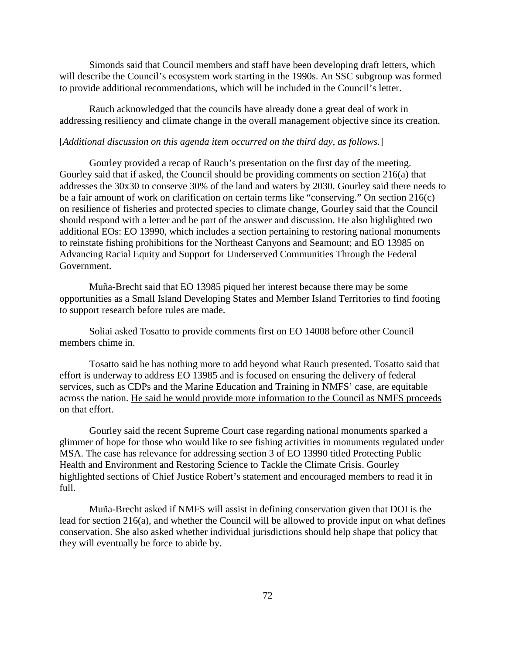Simonds said that Council members and staff have been developing draft letters, which will describe the Council's ecosystem work starting in the 1990s. An SSC subgroup was formed to provide additional recommendations, which will be included in the Council's letter.

Rauch acknowledged that the councils have already done a great deal of work in addressing resiliency and climate change in the overall management objective since its creation.

#### [*Additional discussion on this agenda item occurred on the third day, as follows.*]

Gourley provided a recap of Rauch's presentation on the first day of the meeting. Gourley said that if asked, the Council should be providing comments on section 216(a) that addresses the 30x30 to conserve 30% of the land and waters by 2030. Gourley said there needs to be a fair amount of work on clarification on certain terms like "conserving." On section 216(c) on resilience of fisheries and protected species to climate change, Gourley said that the Council should respond with a letter and be part of the answer and discussion. He also highlighted two additional EOs: EO 13990, which includes a section pertaining to restoring national monuments to reinstate fishing prohibitions for the Northeast Canyons and Seamount; and EO 13985 on Advancing Racial Equity and Support for Underserved Communities Through the Federal Government.

Muña-Brecht said that EO 13985 piqued her interest because there may be some opportunities as a Small Island Developing States and Member Island Territories to find footing to support research before rules are made.

Soliai asked Tosatto to provide comments first on EO 14008 before other Council members chime in.

Tosatto said he has nothing more to add beyond what Rauch presented. Tosatto said that effort is underway to address EO 13985 and is focused on ensuring the delivery of federal services, such as CDPs and the Marine Education and Training in NMFS' case, are equitable across the nation. He said he would provide more information to the Council as NMFS proceeds on that effort.

Gourley said the recent Supreme Court case regarding national monuments sparked a glimmer of hope for those who would like to see fishing activities in monuments regulated under MSA. The case has relevance for addressing section 3 of EO 13990 titled Protecting Public Health and Environment and Restoring Science to Tackle the Climate Crisis. Gourley highlighted sections of Chief Justice Robert's statement and encouraged members to read it in full.

Muña-Brecht asked if NMFS will assist in defining conservation given that DOI is the lead for section 216(a), and whether the Council will be allowed to provide input on what defines conservation. She also asked whether individual jurisdictions should help shape that policy that they will eventually be force to abide by.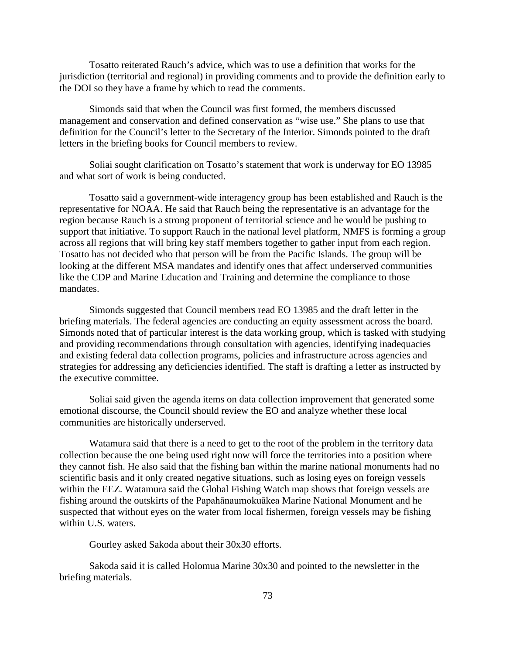Tosatto reiterated Rauch's advice, which was to use a definition that works for the jurisdiction (territorial and regional) in providing comments and to provide the definition early to the DOI so they have a frame by which to read the comments.

Simonds said that when the Council was first formed, the members discussed management and conservation and defined conservation as "wise use." She plans to use that definition for the Council's letter to the Secretary of the Interior. Simonds pointed to the draft letters in the briefing books for Council members to review.

Soliai sought clarification on Tosatto's statement that work is underway for EO 13985 and what sort of work is being conducted.

Tosatto said a government-wide interagency group has been established and Rauch is the representative for NOAA. He said that Rauch being the representative is an advantage for the region because Rauch is a strong proponent of territorial science and he would be pushing to support that initiative. To support Rauch in the national level platform, NMFS is forming a group across all regions that will bring key staff members together to gather input from each region. Tosatto has not decided who that person will be from the Pacific Islands. The group will be looking at the different MSA mandates and identify ones that affect underserved communities like the CDP and Marine Education and Training and determine the compliance to those mandates.

Simonds suggested that Council members read EO 13985 and the draft letter in the briefing materials. The federal agencies are conducting an equity assessment across the board. Simonds noted that of particular interest is the data working group, which is tasked with studying and providing recommendations through consultation with agencies, identifying inadequacies and existing federal data collection programs, policies and infrastructure across agencies and strategies for addressing any deficiencies identified. The staff is drafting a letter as instructed by the executive committee.

Soliai said given the agenda items on data collection improvement that generated some emotional discourse, the Council should review the EO and analyze whether these local communities are historically underserved.

Watamura said that there is a need to get to the root of the problem in the territory data collection because the one being used right now will force the territories into a position where they cannot fish. He also said that the fishing ban within the marine national monuments had no scientific basis and it only created negative situations, such as losing eyes on foreign vessels within the EEZ. Watamura said the Global Fishing Watch map shows that foreign vessels are fishing around the outskirts of the Papahānaumokuākea Marine National Monument and he suspected that without eyes on the water from local fishermen, foreign vessels may be fishing within U.S. waters.

Gourley asked Sakoda about their 30x30 efforts.

Sakoda said it is called Holomua Marine 30x30 and pointed to the newsletter in the briefing materials.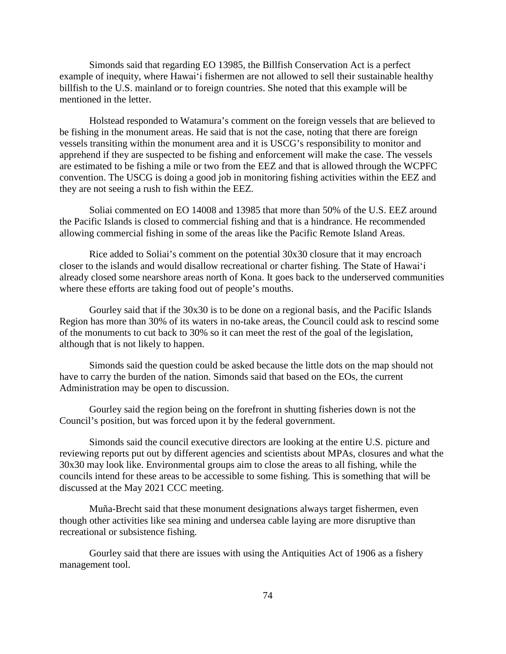Simonds said that regarding EO 13985, the Billfish Conservation Act is a perfect example of inequity, where Hawaiʻi fishermen are not allowed to sell their sustainable healthy billfish to the U.S. mainland or to foreign countries. She noted that this example will be mentioned in the letter.

Holstead responded to Watamura's comment on the foreign vessels that are believed to be fishing in the monument areas. He said that is not the case, noting that there are foreign vessels transiting within the monument area and it is USCG's responsibility to monitor and apprehend if they are suspected to be fishing and enforcement will make the case. The vessels are estimated to be fishing a mile or two from the EEZ and that is allowed through the WCPFC convention. The USCG is doing a good job in monitoring fishing activities within the EEZ and they are not seeing a rush to fish within the EEZ.

Soliai commented on EO 14008 and 13985 that more than 50% of the U.S. EEZ around the Pacific Islands is closed to commercial fishing and that is a hindrance. He recommended allowing commercial fishing in some of the areas like the Pacific Remote Island Areas.

Rice added to Soliai's comment on the potential 30x30 closure that it may encroach closer to the islands and would disallow recreational or charter fishing. The State of Hawaiʻi already closed some nearshore areas north of Kona. It goes back to the underserved communities where these efforts are taking food out of people's mouths.

Gourley said that if the 30x30 is to be done on a regional basis, and the Pacific Islands Region has more than 30% of its waters in no-take areas, the Council could ask to rescind some of the monuments to cut back to 30% so it can meet the rest of the goal of the legislation, although that is not likely to happen.

Simonds said the question could be asked because the little dots on the map should not have to carry the burden of the nation. Simonds said that based on the EOs, the current Administration may be open to discussion.

Gourley said the region being on the forefront in shutting fisheries down is not the Council's position, but was forced upon it by the federal government.

Simonds said the council executive directors are looking at the entire U.S. picture and reviewing reports put out by different agencies and scientists about MPAs, closures and what the 30x30 may look like. Environmental groups aim to close the areas to all fishing, while the councils intend for these areas to be accessible to some fishing. This is something that will be discussed at the May 2021 CCC meeting.

Muña-Brecht said that these monument designations always target fishermen, even though other activities like sea mining and undersea cable laying are more disruptive than recreational or subsistence fishing.

Gourley said that there are issues with using the Antiquities Act of 1906 as a fishery management tool.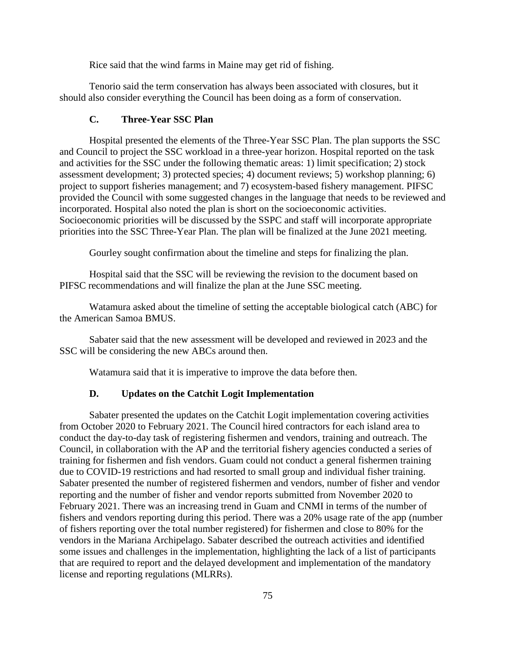Rice said that the wind farms in Maine may get rid of fishing.

Tenorio said the term conservation has always been associated with closures, but it should also consider everything the Council has been doing as a form of conservation.

### **C. Three-Year SSC Plan**

Hospital presented the elements of the Three-Year SSC Plan. The plan supports the SSC and Council to project the SSC workload in a three-year horizon. Hospital reported on the task and activities for the SSC under the following thematic areas: 1) limit specification; 2) stock assessment development; 3) protected species; 4) document reviews; 5) workshop planning; 6) project to support fisheries management; and 7) ecosystem-based fishery management. PIFSC provided the Council with some suggested changes in the language that needs to be reviewed and incorporated. Hospital also noted the plan is short on the socioeconomic activities. Socioeconomic priorities will be discussed by the SSPC and staff will incorporate appropriate priorities into the SSC Three-Year Plan. The plan will be finalized at the June 2021 meeting.

Gourley sought confirmation about the timeline and steps for finalizing the plan.

Hospital said that the SSC will be reviewing the revision to the document based on PIFSC recommendations and will finalize the plan at the June SSC meeting.

Watamura asked about the timeline of setting the acceptable biological catch (ABC) for the American Samoa BMUS.

Sabater said that the new assessment will be developed and reviewed in 2023 and the SSC will be considering the new ABCs around then.

Watamura said that it is imperative to improve the data before then.

#### **D. Updates on the Catchit Logit Implementation**

Sabater presented the updates on the Catchit Logit implementation covering activities from October 2020 to February 2021. The Council hired contractors for each island area to conduct the day-to-day task of registering fishermen and vendors, training and outreach. The Council, in collaboration with the AP and the territorial fishery agencies conducted a series of training for fishermen and fish vendors. Guam could not conduct a general fishermen training due to COVID-19 restrictions and had resorted to small group and individual fisher training. Sabater presented the number of registered fishermen and vendors, number of fisher and vendor reporting and the number of fisher and vendor reports submitted from November 2020 to February 2021. There was an increasing trend in Guam and CNMI in terms of the number of fishers and vendors reporting during this period. There was a 20% usage rate of the app (number of fishers reporting over the total number registered) for fishermen and close to 80% for the vendors in the Mariana Archipelago. Sabater described the outreach activities and identified some issues and challenges in the implementation, highlighting the lack of a list of participants that are required to report and the delayed development and implementation of the mandatory license and reporting regulations (MLRRs).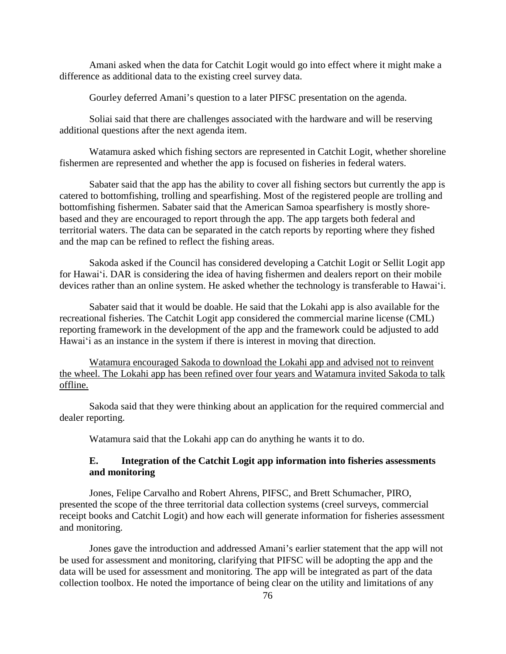Amani asked when the data for Catchit Logit would go into effect where it might make a difference as additional data to the existing creel survey data.

Gourley deferred Amani's question to a later PIFSC presentation on the agenda.

Soliai said that there are challenges associated with the hardware and will be reserving additional questions after the next agenda item.

Watamura asked which fishing sectors are represented in Catchit Logit, whether shoreline fishermen are represented and whether the app is focused on fisheries in federal waters.

Sabater said that the app has the ability to cover all fishing sectors but currently the app is catered to bottomfishing, trolling and spearfishing. Most of the registered people are trolling and bottomfishing fishermen. Sabater said that the American Samoa spearfishery is mostly shorebased and they are encouraged to report through the app. The app targets both federal and territorial waters. The data can be separated in the catch reports by reporting where they fished and the map can be refined to reflect the fishing areas.

Sakoda asked if the Council has considered developing a Catchit Logit or Sellit Logit app for Hawaiʻi. DAR is considering the idea of having fishermen and dealers report on their mobile devices rather than an online system. He asked whether the technology is transferable to Hawaiʻi.

Sabater said that it would be doable. He said that the Lokahi app is also available for the recreational fisheries. The Catchit Logit app considered the commercial marine license (CML) reporting framework in the development of the app and the framework could be adjusted to add Hawaiʻi as an instance in the system if there is interest in moving that direction.

Watamura encouraged Sakoda to download the Lokahi app and advised not to reinvent the wheel. The Lokahi app has been refined over four years and Watamura invited Sakoda to talk offline.

Sakoda said that they were thinking about an application for the required commercial and dealer reporting.

Watamura said that the Lokahi app can do anything he wants it to do.

## **E. Integration of the Catchit Logit app information into fisheries assessments and monitoring**

Jones, Felipe Carvalho and Robert Ahrens, PIFSC, and Brett Schumacher, PIRO, presented the scope of the three territorial data collection systems (creel surveys, commercial receipt books and Catchit Logit) and how each will generate information for fisheries assessment and monitoring.

Jones gave the introduction and addressed Amani's earlier statement that the app will not be used for assessment and monitoring, clarifying that PIFSC will be adopting the app and the data will be used for assessment and monitoring. The app will be integrated as part of the data collection toolbox. He noted the importance of being clear on the utility and limitations of any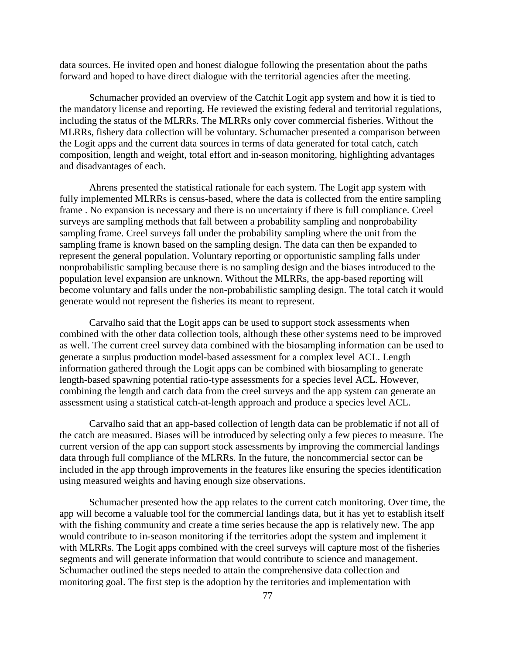data sources. He invited open and honest dialogue following the presentation about the paths forward and hoped to have direct dialogue with the territorial agencies after the meeting.

Schumacher provided an overview of the Catchit Logit app system and how it is tied to the mandatory license and reporting. He reviewed the existing federal and territorial regulations, including the status of the MLRRs. The MLRRs only cover commercial fisheries. Without the MLRRs, fishery data collection will be voluntary. Schumacher presented a comparison between the Logit apps and the current data sources in terms of data generated for total catch, catch composition, length and weight, total effort and in-season monitoring, highlighting advantages and disadvantages of each.

Ahrens presented the statistical rationale for each system. The Logit app system with fully implemented MLRRs is census-based, where the data is collected from the entire sampling frame . No expansion is necessary and there is no uncertainty if there is full compliance. Creel surveys are sampling methods that fall between a probability sampling and nonprobability sampling frame. Creel surveys fall under the probability sampling where the unit from the sampling frame is known based on the sampling design. The data can then be expanded to represent the general population. Voluntary reporting or opportunistic sampling falls under nonprobabilistic sampling because there is no sampling design and the biases introduced to the population level expansion are unknown. Without the MLRRs, the app-based reporting will become voluntary and falls under the non-probabilistic sampling design. The total catch it would generate would not represent the fisheries its meant to represent.

Carvalho said that the Logit apps can be used to support stock assessments when combined with the other data collection tools, although these other systems need to be improved as well. The current creel survey data combined with the biosampling information can be used to generate a surplus production model-based assessment for a complex level ACL. Length information gathered through the Logit apps can be combined with biosampling to generate length-based spawning potential ratio-type assessments for a species level ACL. However, combining the length and catch data from the creel surveys and the app system can generate an assessment using a statistical catch-at-length approach and produce a species level ACL.

Carvalho said that an app-based collection of length data can be problematic if not all of the catch are measured. Biases will be introduced by selecting only a few pieces to measure. The current version of the app can support stock assessments by improving the commercial landings data through full compliance of the MLRRs. In the future, the noncommercial sector can be included in the app through improvements in the features like ensuring the species identification using measured weights and having enough size observations.

Schumacher presented how the app relates to the current catch monitoring. Over time, the app will become a valuable tool for the commercial landings data, but it has yet to establish itself with the fishing community and create a time series because the app is relatively new. The app would contribute to in-season monitoring if the territories adopt the system and implement it with MLRRs. The Logit apps combined with the creel surveys will capture most of the fisheries segments and will generate information that would contribute to science and management. Schumacher outlined the steps needed to attain the comprehensive data collection and monitoring goal. The first step is the adoption by the territories and implementation with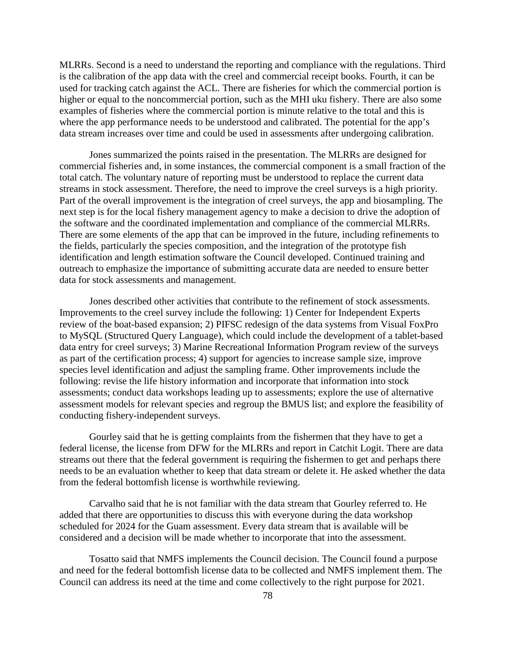MLRRs. Second is a need to understand the reporting and compliance with the regulations. Third is the calibration of the app data with the creel and commercial receipt books. Fourth, it can be used for tracking catch against the ACL. There are fisheries for which the commercial portion is higher or equal to the noncommercial portion, such as the MHI uku fishery. There are also some examples of fisheries where the commercial portion is minute relative to the total and this is where the app performance needs to be understood and calibrated. The potential for the app's data stream increases over time and could be used in assessments after undergoing calibration.

Jones summarized the points raised in the presentation. The MLRRs are designed for commercial fisheries and, in some instances, the commercial component is a small fraction of the total catch. The voluntary nature of reporting must be understood to replace the current data streams in stock assessment. Therefore, the need to improve the creel surveys is a high priority. Part of the overall improvement is the integration of creel surveys, the app and biosampling. The next step is for the local fishery management agency to make a decision to drive the adoption of the software and the coordinated implementation and compliance of the commercial MLRRs. There are some elements of the app that can be improved in the future, including refinements to the fields, particularly the species composition, and the integration of the prototype fish identification and length estimation software the Council developed. Continued training and outreach to emphasize the importance of submitting accurate data are needed to ensure better data for stock assessments and management.

Jones described other activities that contribute to the refinement of stock assessments. Improvements to the creel survey include the following: 1) Center for Independent Experts review of the boat-based expansion; 2) PIFSC redesign of the data systems from Visual FoxPro to MySQL (Structured Query Language), which could include the development of a tablet-based data entry for creel surveys; 3) Marine Recreational Information Program review of the surveys as part of the certification process; 4) support for agencies to increase sample size, improve species level identification and adjust the sampling frame. Other improvements include the following: revise the life history information and incorporate that information into stock assessments; conduct data workshops leading up to assessments; explore the use of alternative assessment models for relevant species and regroup the BMUS list; and explore the feasibility of conducting fishery-independent surveys.

Gourley said that he is getting complaints from the fishermen that they have to get a federal license, the license from DFW for the MLRRs and report in Catchit Logit. There are data streams out there that the federal government is requiring the fishermen to get and perhaps there needs to be an evaluation whether to keep that data stream or delete it. He asked whether the data from the federal bottomfish license is worthwhile reviewing.

Carvalho said that he is not familiar with the data stream that Gourley referred to. He added that there are opportunities to discuss this with everyone during the data workshop scheduled for 2024 for the Guam assessment. Every data stream that is available will be considered and a decision will be made whether to incorporate that into the assessment.

Tosatto said that NMFS implements the Council decision. The Council found a purpose and need for the federal bottomfish license data to be collected and NMFS implement them. The Council can address its need at the time and come collectively to the right purpose for 2021.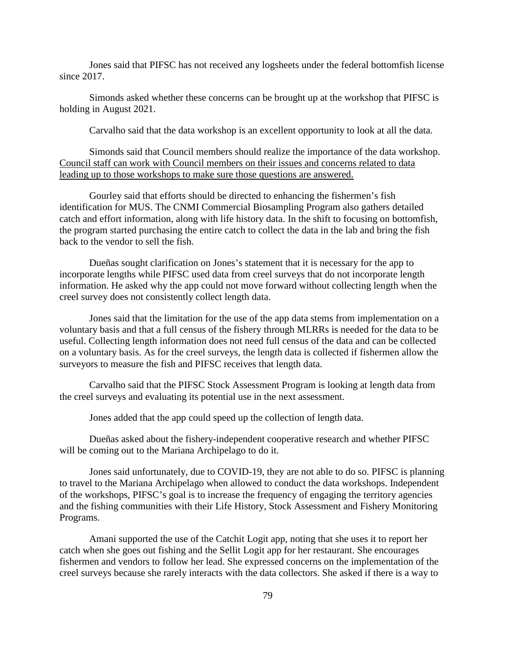Jones said that PIFSC has not received any logsheets under the federal bottomfish license since 2017.

Simonds asked whether these concerns can be brought up at the workshop that PIFSC is holding in August 2021.

Carvalho said that the data workshop is an excellent opportunity to look at all the data.

Simonds said that Council members should realize the importance of the data workshop. Council staff can work with Council members on their issues and concerns related to data leading up to those workshops to make sure those questions are answered.

Gourley said that efforts should be directed to enhancing the fishermen's fish identification for MUS. The CNMI Commercial Biosampling Program also gathers detailed catch and effort information, along with life history data. In the shift to focusing on bottomfish, the program started purchasing the entire catch to collect the data in the lab and bring the fish back to the vendor to sell the fish.

Dueñas sought clarification on Jones's statement that it is necessary for the app to incorporate lengths while PIFSC used data from creel surveys that do not incorporate length information. He asked why the app could not move forward without collecting length when the creel survey does not consistently collect length data.

Jones said that the limitation for the use of the app data stems from implementation on a voluntary basis and that a full census of the fishery through MLRRs is needed for the data to be useful. Collecting length information does not need full census of the data and can be collected on a voluntary basis. As for the creel surveys, the length data is collected if fishermen allow the surveyors to measure the fish and PIFSC receives that length data.

Carvalho said that the PIFSC Stock Assessment Program is looking at length data from the creel surveys and evaluating its potential use in the next assessment.

Jones added that the app could speed up the collection of length data.

Dueñas asked about the fishery-independent cooperative research and whether PIFSC will be coming out to the Mariana Archipelago to do it.

Jones said unfortunately, due to COVID-19, they are not able to do so. PIFSC is planning to travel to the Mariana Archipelago when allowed to conduct the data workshops. Independent of the workshops, PIFSC's goal is to increase the frequency of engaging the territory agencies and the fishing communities with their Life History, Stock Assessment and Fishery Monitoring Programs.

Amani supported the use of the Catchit Logit app, noting that she uses it to report her catch when she goes out fishing and the Sellit Logit app for her restaurant. She encourages fishermen and vendors to follow her lead. She expressed concerns on the implementation of the creel surveys because she rarely interacts with the data collectors. She asked if there is a way to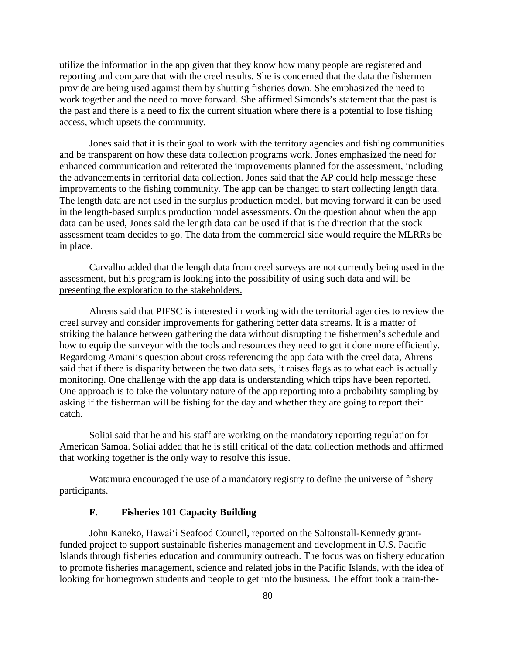utilize the information in the app given that they know how many people are registered and reporting and compare that with the creel results. She is concerned that the data the fishermen provide are being used against them by shutting fisheries down. She emphasized the need to work together and the need to move forward. She affirmed Simonds's statement that the past is the past and there is a need to fix the current situation where there is a potential to lose fishing access, which upsets the community.

Jones said that it is their goal to work with the territory agencies and fishing communities and be transparent on how these data collection programs work. Jones emphasized the need for enhanced communication and reiterated the improvements planned for the assessment, including the advancements in territorial data collection. Jones said that the AP could help message these improvements to the fishing community. The app can be changed to start collecting length data. The length data are not used in the surplus production model, but moving forward it can be used in the length-based surplus production model assessments. On the question about when the app data can be used, Jones said the length data can be used if that is the direction that the stock assessment team decides to go. The data from the commercial side would require the MLRRs be in place.

Carvalho added that the length data from creel surveys are not currently being used in the assessment, but his program is looking into the possibility of using such data and will be presenting the exploration to the stakeholders.

Ahrens said that PIFSC is interested in working with the territorial agencies to review the creel survey and consider improvements for gathering better data streams. It is a matter of striking the balance between gathering the data without disrupting the fishermen's schedule and how to equip the surveyor with the tools and resources they need to get it done more efficiently. Regardomg Amani's question about cross referencing the app data with the creel data, Ahrens said that if there is disparity between the two data sets, it raises flags as to what each is actually monitoring. One challenge with the app data is understanding which trips have been reported. One approach is to take the voluntary nature of the app reporting into a probability sampling by asking if the fisherman will be fishing for the day and whether they are going to report their catch.

Soliai said that he and his staff are working on the mandatory reporting regulation for American Samoa. Soliai added that he is still critical of the data collection methods and affirmed that working together is the only way to resolve this issue.

Watamura encouraged the use of a mandatory registry to define the universe of fishery participants.

#### **F. Fisheries 101 Capacity Building**

John Kaneko, Hawaiʻi Seafood Council, reported on the Saltonstall-Kennedy grantfunded project to support sustainable fisheries management and development in U.S. Pacific Islands through fisheries education and community outreach. The focus was on fishery education to promote fisheries management, science and related jobs in the Pacific Islands, with the idea of looking for homegrown students and people to get into the business. The effort took a train-the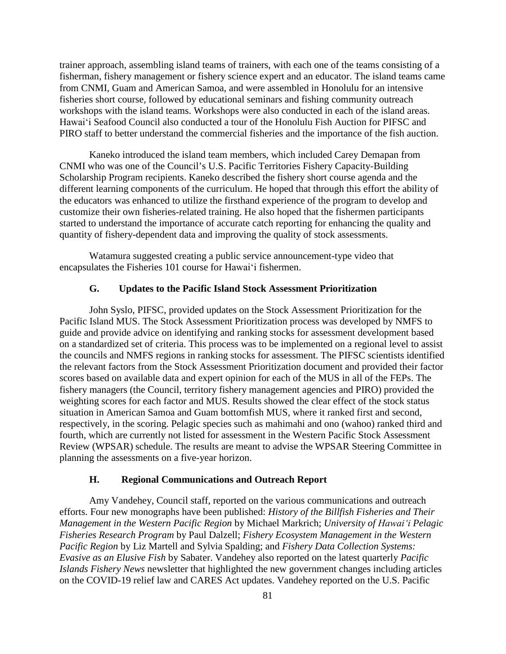trainer approach, assembling island teams of trainers, with each one of the teams consisting of a fisherman, fishery management or fishery science expert and an educator. The island teams came from CNMI, Guam and American Samoa, and were assembled in Honolulu for an intensive fisheries short course, followed by educational seminars and fishing community outreach workshops with the island teams. Workshops were also conducted in each of the island areas. Hawaiʻi Seafood Council also conducted a tour of the Honolulu Fish Auction for PIFSC and PIRO staff to better understand the commercial fisheries and the importance of the fish auction.

Kaneko introduced the island team members, which included Carey Demapan from CNMI who was one of the Council's U.S. Pacific Territories Fishery Capacity-Building Scholarship Program recipients. Kaneko described the fishery short course agenda and the different learning components of the curriculum. He hoped that through this effort the ability of the educators was enhanced to utilize the firsthand experience of the program to develop and customize their own fisheries-related training. He also hoped that the fishermen participants started to understand the importance of accurate catch reporting for enhancing the quality and quantity of fishery-dependent data and improving the quality of stock assessments.

Watamura suggested creating a public service announcement-type video that encapsulates the Fisheries 101 course for Hawaiʻi fishermen.

#### **G. Updates to the Pacific Island Stock Assessment Prioritization**

John Syslo, PIFSC, provided updates on the Stock Assessment Prioritization for the Pacific Island MUS. The Stock Assessment Prioritization process was developed by NMFS to guide and provide advice on identifying and ranking stocks for assessment development based on a standardized set of criteria. This process was to be implemented on a regional level to assist the councils and NMFS regions in ranking stocks for assessment. The PIFSC scientists identified the relevant factors from the Stock Assessment Prioritization document and provided their factor scores based on available data and expert opinion for each of the MUS in all of the FEPs. The fishery managers (the Council, territory fishery management agencies and PIRO) provided the weighting scores for each factor and MUS. Results showed the clear effect of the stock status situation in American Samoa and Guam bottomfish MUS, where it ranked first and second, respectively, in the scoring. Pelagic species such as mahimahi and ono (wahoo) ranked third and fourth, which are currently not listed for assessment in the Western Pacific Stock Assessment Review (WPSAR) schedule. The results are meant to advise the WPSAR Steering Committee in planning the assessments on a five-year horizon.

#### **H. Regional Communications and Outreach Report**

Amy Vandehey, Council staff, reported on the various communications and outreach efforts. Four new monographs have been published: *History of the Billfish Fisheries and Their Management in the Western Pacific Region* by Michael Markrich; *University of Hawaiʻi Pelagic Fisheries Research Program* by Paul Dalzell; *Fishery Ecosystem Management in the Western Pacific Region* by Liz Martell and Sylvia Spalding; and *Fishery Data Collection Systems: Evasive as an Elusive Fish* by Sabater. Vandehey also reported on the latest quarterly *Pacific Islands Fishery News* newsletter that highlighted the new government changes including articles on the COVID-19 relief law and CARES Act updates. Vandehey reported on the U.S. Pacific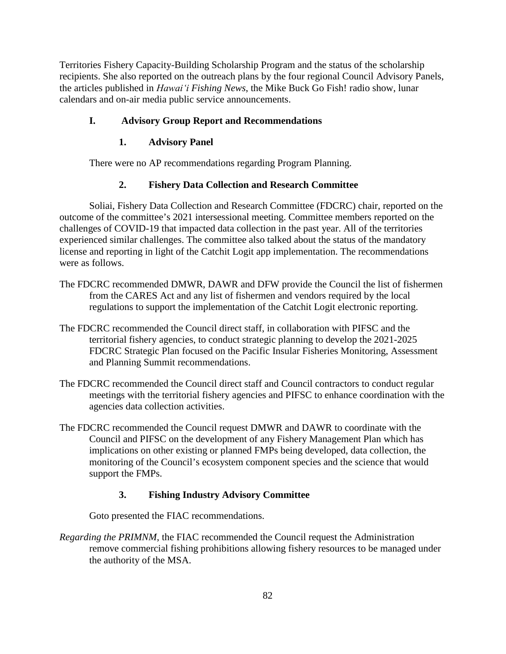Territories Fishery Capacity-Building Scholarship Program and the status of the scholarship recipients. She also reported on the outreach plans by the four regional Council Advisory Panels, the articles published in *Hawaiʻi Fishing News*, the Mike Buck Go Fish! radio show, lunar calendars and on-air media public service announcements.

# **I. Advisory Group Report and Recommendations**

# **1. Advisory Panel**

There were no AP recommendations regarding Program Planning.

## **2. Fishery Data Collection and Research Committee**

Soliai, Fishery Data Collection and Research Committee (FDCRC) chair, reported on the outcome of the committee's 2021 intersessional meeting. Committee members reported on the challenges of COVID-19 that impacted data collection in the past year. All of the territories experienced similar challenges. The committee also talked about the status of the mandatory license and reporting in light of the Catchit Logit app implementation. The recommendations were as follows.

- The FDCRC recommended DMWR, DAWR and DFW provide the Council the list of fishermen from the CARES Act and any list of fishermen and vendors required by the local regulations to support the implementation of the Catchit Logit electronic reporting.
- The FDCRC recommended the Council direct staff, in collaboration with PIFSC and the territorial fishery agencies, to conduct strategic planning to develop the 2021-2025 FDCRC Strategic Plan focused on the Pacific Insular Fisheries Monitoring, Assessment and Planning Summit recommendations.
- The FDCRC recommended the Council direct staff and Council contractors to conduct regular meetings with the territorial fishery agencies and PIFSC to enhance coordination with the agencies data collection activities.
- The FDCRC recommended the Council request DMWR and DAWR to coordinate with the Council and PIFSC on the development of any Fishery Management Plan which has implications on other existing or planned FMPs being developed, data collection, the monitoring of the Council's ecosystem component species and the science that would support the FMPs.

# **3. Fishing Industry Advisory Committee**

Goto presented the FIAC recommendations.

*Regarding the PRIMNM*, the FIAC recommended the Council request the Administration remove commercial fishing prohibitions allowing fishery resources to be managed under the authority of the MSA.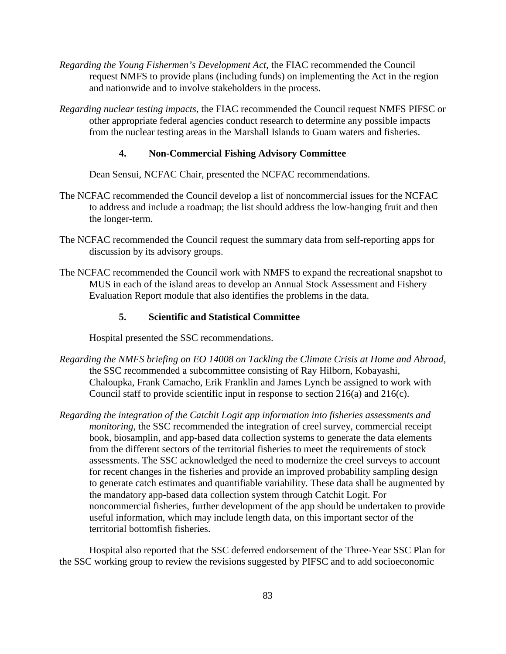- *Regarding the Young Fishermen's Development Act*, the FIAC recommended the Council request NMFS to provide plans (including funds) on implementing the Act in the region and nationwide and to involve stakeholders in the process.
- *Regarding nuclear testing impacts*, the FIAC recommended the Council request NMFS PIFSC or other appropriate federal agencies conduct research to determine any possible impacts from the nuclear testing areas in the Marshall Islands to Guam waters and fisheries.

#### **4. Non-Commercial Fishing Advisory Committee**

Dean Sensui, NCFAC Chair, presented the NCFAC recommendations.

- The NCFAC recommended the Council develop a list of noncommercial issues for the NCFAC to address and include a roadmap; the list should address the low-hanging fruit and then the longer-term.
- The NCFAC recommended the Council request the summary data from self-reporting apps for discussion by its advisory groups.
- The NCFAC recommended the Council work with NMFS to expand the recreational snapshot to MUS in each of the island areas to develop an Annual Stock Assessment and Fishery Evaluation Report module that also identifies the problems in the data.

#### **5. Scientific and Statistical Committee**

Hospital presented the SSC recommendations.

- *Regarding the NMFS briefing on EO 14008 on Tackling the Climate Crisis at Home and Abroad*, the SSC recommended a subcommittee consisting of Ray Hilborn, Kobayashi, Chaloupka, Frank Camacho, Erik Franklin and James Lynch be assigned to work with Council staff to provide scientific input in response to section 216(a) and 216(c).
- *Regarding the integration of the Catchit Logit app information into fisheries assessments and monitoring*, the SSC recommended the integration of creel survey, commercial receipt book, biosamplin, and app-based data collection systems to generate the data elements from the different sectors of the territorial fisheries to meet the requirements of stock assessments. The SSC acknowledged the need to modernize the creel surveys to account for recent changes in the fisheries and provide an improved probability sampling design to generate catch estimates and quantifiable variability. These data shall be augmented by the mandatory app-based data collection system through Catchit Logit. For noncommercial fisheries, further development of the app should be undertaken to provide useful information, which may include length data, on this important sector of the territorial bottomfish fisheries.

Hospital also reported that the SSC deferred endorsement of the Three-Year SSC Plan for the SSC working group to review the revisions suggested by PIFSC and to add socioeconomic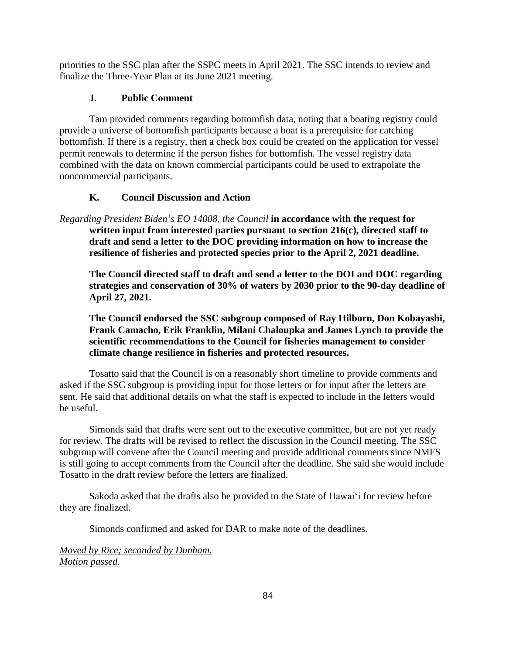priorities to the SSC plan after the SSPC meets in April 2021. The SSC intends to review and finalize the Three-Year Plan at its June 2021 meeting.

# **J. Public Comment**

Tam provided comments regarding bottomfish data, noting that a boating registry could provide a universe of bottomfish participants because a boat is a prerequisite for catching bottomfish. If there is a registry, then a check box could be created on the application for vessel permit renewals to determine if the person fishes for bottomfish. The vessel registry data combined with the data on known commercial participants could be used to extrapolate the noncommercial participants.

# **K. Council Discussion and Action**

*Regarding President Biden's EO 14008, the Council* **in accordance with the request for written input from interested parties pursuant to section 216(c), directed staff to draft and send a letter to the DOC providing information on how to increase the resilience of fisheries and protected species prior to the April 2, 2021 deadline.** 

**The Council directed staff to draft and send a letter to the DOI and DOC regarding strategies and conservation of 30% of waters by 2030 prior to the 90-day deadline of April 27, 2021.** 

**The Council endorsed the SSC subgroup composed of Ray Hilborn, Don Kobayashi, Frank Camacho, Erik Franklin, Milani Chaloupka and James Lynch to provide the scientific recommendations to the Council for fisheries management to consider climate change resilience in fisheries and protected resources.**

Tosatto said that the Council is on a reasonably short timeline to provide comments and asked if the SSC subgroup is providing input for those letters or for input after the letters are sent. He said that additional details on what the staff is expected to include in the letters would be useful.

Simonds said that drafts were sent out to the executive committee, but are not yet ready for review. The drafts will be revised to reflect the discussion in the Council meeting. The SSC subgroup will convene after the Council meeting and provide additional comments since NMFS is still going to accept comments from the Council after the deadline. She said she would include Tosatto in the draft review before the letters are finalized.

Sakoda asked that the drafts also be provided to the State of Hawaiʻi for review before they are finalized.

Simonds confirmed and asked for DAR to make note of the deadlines.

*Moved by Rice; seconded by Dunham. Motion passed.*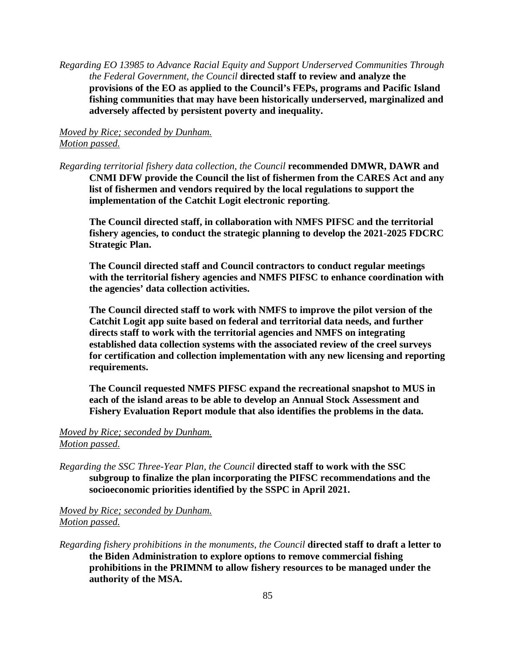*Regarding EO 13985 to Advance Racial Equity and Support Underserved Communities Through the Federal Government, the Council* **directed staff to review and analyze the provisions of the EO as applied to the Council's FEPs, programs and Pacific Island fishing communities that may have been historically underserved, marginalized and adversely affected by persistent poverty and inequality.**

# *Moved by Rice; seconded by Dunham. Motion passed.*

*Regarding territorial fishery data collection, the Council* **recommended DMWR, DAWR and CNMI DFW provide the Council the list of fishermen from the CARES Act and any list of fishermen and vendors required by the local regulations to support the implementation of the Catchit Logit electronic reporting**.

**The Council directed staff, in collaboration with NMFS PIFSC and the territorial fishery agencies, to conduct the strategic planning to develop the 2021-2025 FDCRC Strategic Plan.**

**The Council directed staff and Council contractors to conduct regular meetings with the territorial fishery agencies and NMFS PIFSC to enhance coordination with the agencies' data collection activities.**

**The Council directed staff to work with NMFS to improve the pilot version of the Catchit Logit app suite based on federal and territorial data needs, and further directs staff to work with the territorial agencies and NMFS on integrating established data collection systems with the associated review of the creel surveys for certification and collection implementation with any new licensing and reporting requirements.**

**The Council requested NMFS PIFSC expand the recreational snapshot to MUS in each of the island areas to be able to develop an Annual Stock Assessment and Fishery Evaluation Report module that also identifies the problems in the data.**

## *Moved by Rice; seconded by Dunham. Motion passed.*

*Regarding the SSC Three-Year Plan, the Council* **directed staff to work with the SSC subgroup to finalize the plan incorporating the PIFSC recommendations and the socioeconomic priorities identified by the SSPC in April 2021.**

## *Moved by Rice; seconded by Dunham. Motion passed.*

*Regarding fishery prohibitions in the monuments, the Council* **directed staff to draft a letter to the Biden Administration to explore options to remove commercial fishing prohibitions in the PRIMNM to allow fishery resources to be managed under the authority of the MSA.**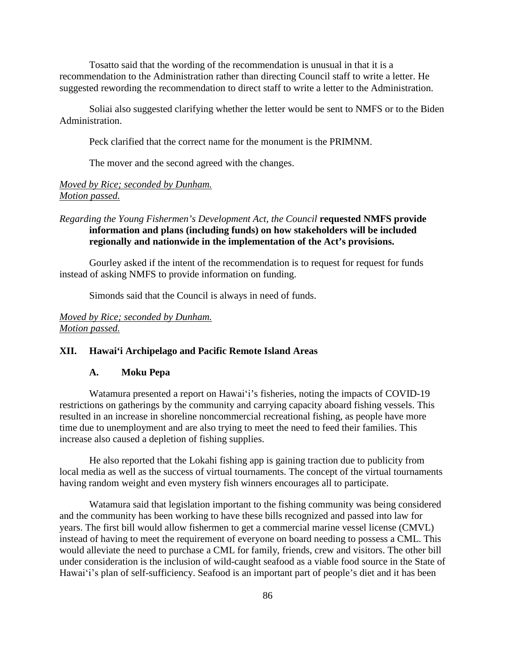Tosatto said that the wording of the recommendation is unusual in that it is a recommendation to the Administration rather than directing Council staff to write a letter. He suggested rewording the recommendation to direct staff to write a letter to the Administration.

Soliai also suggested clarifying whether the letter would be sent to NMFS or to the Biden Administration.

Peck clarified that the correct name for the monument is the PRIMNM.

The mover and the second agreed with the changes.

## *Moved by Rice; seconded by Dunham. Motion passed.*

## *Regarding the Young Fishermen's Development Act, the Council* **requested NMFS provide information and plans (including funds) on how stakeholders will be included regionally and nationwide in the implementation of the Act's provisions.**

Gourley asked if the intent of the recommendation is to request for request for funds instead of asking NMFS to provide information on funding.

Simonds said that the Council is always in need of funds.

## *Moved by Rice; seconded by Dunham. Motion passed.*

#### **XII. Hawai'i Archipelago and Pacific Remote Island Areas**

### **A. Moku Pepa**

Watamura presented a report on Hawaiʻi's fisheries, noting the impacts of COVID-19 restrictions on gatherings by the community and carrying capacity aboard fishing vessels. This resulted in an increase in shoreline noncommercial recreational fishing, as people have more time due to unemployment and are also trying to meet the need to feed their families. This increase also caused a depletion of fishing supplies.

He also reported that the Lokahi fishing app is gaining traction due to publicity from local media as well as the success of virtual tournaments. The concept of the virtual tournaments having random weight and even mystery fish winners encourages all to participate.

Watamura said that legislation important to the fishing community was being considered and the community has been working to have these bills recognized and passed into law for years. The first bill would allow fishermen to get a commercial marine vessel license (CMVL) instead of having to meet the requirement of everyone on board needing to possess a CML. This would alleviate the need to purchase a CML for family, friends, crew and visitors. The other bill under consideration is the inclusion of wild-caught seafood as a viable food source in the State of Hawaiʻi's plan of self-sufficiency. Seafood is an important part of people's diet and it has been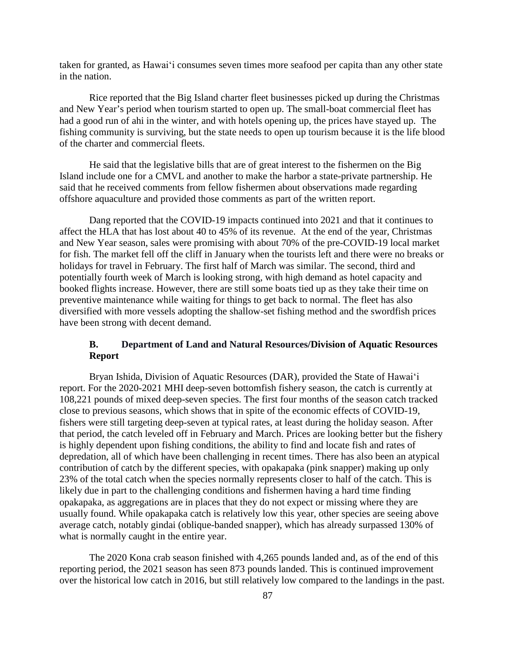taken for granted, as Hawaiʻi consumes seven times more seafood per capita than any other state in the nation.

Rice reported that the Big Island charter fleet businesses picked up during the Christmas and New Year's period when tourism started to open up. The small-boat commercial fleet has had a good run of ahi in the winter, and with hotels opening up, the prices have stayed up. The fishing community is surviving, but the state needs to open up tourism because it is the life blood of the charter and commercial fleets.

He said that the legislative bills that are of great interest to the fishermen on the Big Island include one for a CMVL and another to make the harbor a state-private partnership. He said that he received comments from fellow fishermen about observations made regarding offshore aquaculture and provided those comments as part of the written report.

Dang reported that the COVID-19 impacts continued into 2021 and that it continues to affect the HLA that has lost about 40 to 45% of its revenue. At the end of the year, Christmas and New Year season, sales were promising with about 70% of the pre-COVID-19 local market for fish. The market fell off the cliff in January when the tourists left and there were no breaks or holidays for travel in February. The first half of March was similar. The second, third and potentially fourth week of March is looking strong, with high demand as hotel capacity and booked flights increase. However, there are still some boats tied up as they take their time on preventive maintenance while waiting for things to get back to normal. The fleet has also diversified with more vessels adopting the shallow-set fishing method and the swordfish prices have been strong with decent demand.

### **B. Department of Land and Natural Resources/Division of Aquatic Resources Report**

Bryan Ishida, Division of Aquatic Resources (DAR), provided the State of Hawaiʻi report. For the 2020-2021 MHI deep-seven bottomfish fishery season, the catch is currently at 108,221 pounds of mixed deep-seven species. The first four months of the season catch tracked close to previous seasons, which shows that in spite of the economic effects of COVID-19, fishers were still targeting deep-seven at typical rates, at least during the holiday season. After that period, the catch leveled off in February and March. Prices are looking better but the fishery is highly dependent upon fishing conditions, the ability to find and locate fish and rates of depredation, all of which have been challenging in recent times. There has also been an atypical contribution of catch by the different species, with opakapaka (pink snapper) making up only 23% of the total catch when the species normally represents closer to half of the catch. This is likely due in part to the challenging conditions and fishermen having a hard time finding opakapaka, as aggregations are in places that they do not expect or missing where they are usually found. While opakapaka catch is relatively low this year, other species are seeing above average catch, notably gindai (oblique-banded snapper), which has already surpassed 130% of what is normally caught in the entire year.

The 2020 Kona crab season finished with 4,265 pounds landed and, as of the end of this reporting period, the 2021 season has seen 873 pounds landed. This is continued improvement over the historical low catch in 2016, but still relatively low compared to the landings in the past.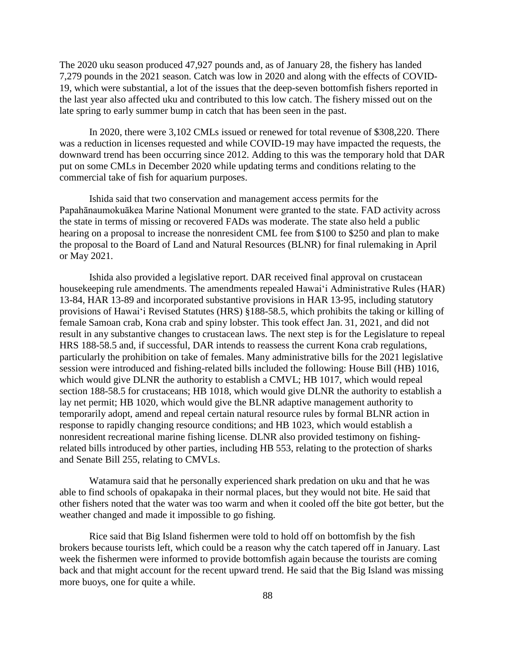The 2020 uku season produced 47,927 pounds and, as of January 28, the fishery has landed 7,279 pounds in the 2021 season. Catch was low in 2020 and along with the effects of COVID-19, which were substantial, a lot of the issues that the deep-seven bottomfish fishers reported in the last year also affected uku and contributed to this low catch. The fishery missed out on the late spring to early summer bump in catch that has been seen in the past.

In 2020, there were 3,102 CMLs issued or renewed for total revenue of \$308,220. There was a reduction in licenses requested and while COVID-19 may have impacted the requests, the downward trend has been occurring since 2012. Adding to this was the temporary hold that DAR put on some CMLs in December 2020 while updating terms and conditions relating to the commercial take of fish for aquarium purposes.

Ishida said that two conservation and management access permits for the Papahānaumokuākea Marine National Monument were granted to the state. FAD activity across the state in terms of missing or recovered FADs was moderate. The state also held a public hearing on a proposal to increase the nonresident CML fee from \$100 to \$250 and plan to make the proposal to the Board of Land and Natural Resources (BLNR) for final rulemaking in April or May 2021.

Ishida also provided a legislative report. DAR received final approval on crustacean housekeeping rule amendments. The amendments repealed Hawaiʻi Administrative Rules (HAR) 13-84, HAR 13-89 and incorporated substantive provisions in HAR 13-95, including statutory provisions of Hawaiʻi Revised Statutes (HRS) §188-58.5, which prohibits the taking or killing of female Samoan crab, Kona crab and spiny lobster. This took effect Jan. 31, 2021, and did not result in any substantive changes to crustacean laws. The next step is for the Legislature to repeal HRS 188-58.5 and, if successful, DAR intends to reassess the current Kona crab regulations, particularly the prohibition on take of females. Many administrative bills for the 2021 legislative session were introduced and fishing-related bills included the following: House Bill (HB) 1016, which would give DLNR the authority to establish a CMVL; HB 1017, which would repeal section 188-58.5 for crustaceans; HB 1018, which would give DLNR the authority to establish a lay net permit; HB 1020, which would give the BLNR adaptive management authority to temporarily adopt, amend and repeal certain natural resource rules by formal BLNR action in response to rapidly changing resource conditions; and HB 1023, which would establish a nonresident recreational marine fishing license. DLNR also provided testimony on fishingrelated bills introduced by other parties, including HB 553, relating to the protection of sharks and Senate Bill 255, relating to CMVLs.

Watamura said that he personally experienced shark predation on uku and that he was able to find schools of opakapaka in their normal places, but they would not bite. He said that other fishers noted that the water was too warm and when it cooled off the bite got better, but the weather changed and made it impossible to go fishing.

Rice said that Big Island fishermen were told to hold off on bottomfish by the fish brokers because tourists left, which could be a reason why the catch tapered off in January. Last week the fishermen were informed to provide bottomfish again because the tourists are coming back and that might account for the recent upward trend. He said that the Big Island was missing more buoys, one for quite a while.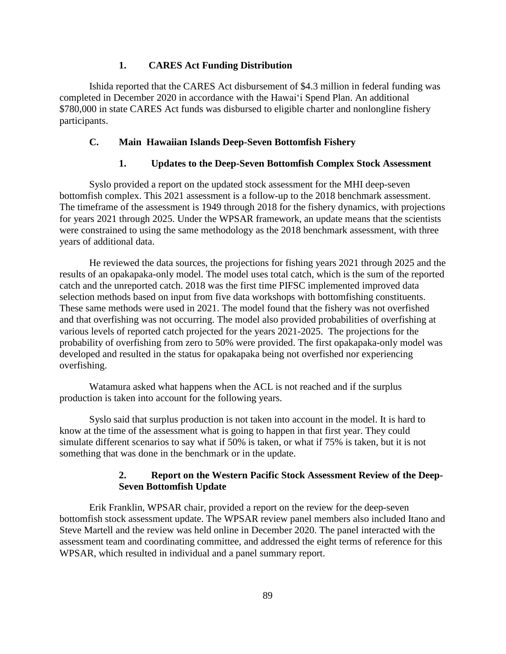### **1. CARES Act Funding Distribution**

Ishida reported that the CARES Act disbursement of \$4.3 million in federal funding was completed in December 2020 in accordance with the Hawaiʻi Spend Plan. An additional \$780,000 in state CARES Act funds was disbursed to eligible charter and nonlongline fishery participants.

#### **C. Main Hawaiian Islands Deep-Seven Bottomfish Fishery**

#### **1. Updates to the Deep-Seven Bottomfish Complex Stock Assessment**

Syslo provided a report on the updated stock assessment for the MHI deep-seven bottomfish complex. This 2021 assessment is a follow-up to the 2018 benchmark assessment. The timeframe of the assessment is 1949 through 2018 for the fishery dynamics, with projections for years 2021 through 2025. Under the WPSAR framework, an update means that the scientists were constrained to using the same methodology as the 2018 benchmark assessment, with three years of additional data.

He reviewed the data sources, the projections for fishing years 2021 through 2025 and the results of an opakapaka-only model. The model uses total catch, which is the sum of the reported catch and the unreported catch. 2018 was the first time PIFSC implemented improved data selection methods based on input from five data workshops with bottomfishing constituents. These same methods were used in 2021. The model found that the fishery was not overfished and that overfishing was not occurring. The model also provided probabilities of overfishing at various levels of reported catch projected for the years 2021-2025. The projections for the probability of overfishing from zero to 50% were provided. The first opakapaka-only model was developed and resulted in the status for opakapaka being not overfished nor experiencing overfishing.

Watamura asked what happens when the ACL is not reached and if the surplus production is taken into account for the following years.

Syslo said that surplus production is not taken into account in the model. It is hard to know at the time of the assessment what is going to happen in that first year. They could simulate different scenarios to say what if 50% is taken, or what if 75% is taken, but it is not something that was done in the benchmark or in the update.

## **2. Report on the Western Pacific Stock Assessment Review of the Deep-Seven Bottomfish Update**

Erik Franklin, WPSAR chair, provided a report on the review for the deep-seven bottomfish stock assessment update. The WPSAR review panel members also included Itano and Steve Martell and the review was held online in December 2020. The panel interacted with the assessment team and coordinating committee, and addressed the eight terms of reference for this WPSAR, which resulted in individual and a panel summary report.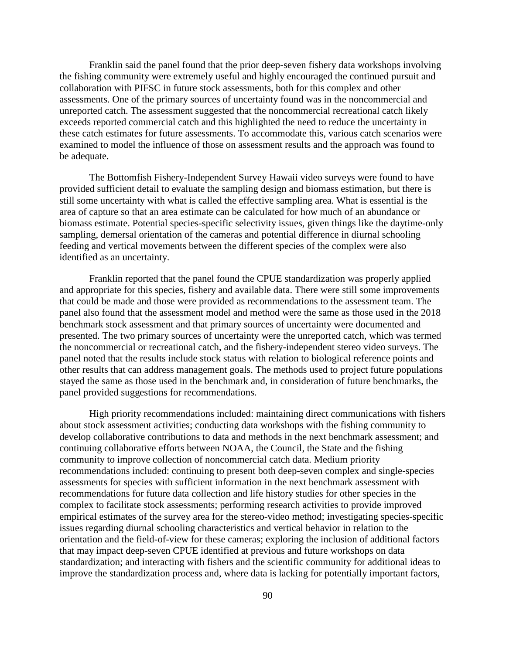Franklin said the panel found that the prior deep-seven fishery data workshops involving the fishing community were extremely useful and highly encouraged the continued pursuit and collaboration with PIFSC in future stock assessments, both for this complex and other assessments. One of the primary sources of uncertainty found was in the noncommercial and unreported catch. The assessment suggested that the noncommercial recreational catch likely exceeds reported commercial catch and this highlighted the need to reduce the uncertainty in these catch estimates for future assessments. To accommodate this, various catch scenarios were examined to model the influence of those on assessment results and the approach was found to be adequate.

The Bottomfish Fishery-Independent Survey Hawaii video surveys were found to have provided sufficient detail to evaluate the sampling design and biomass estimation, but there is still some uncertainty with what is called the effective sampling area. What is essential is the area of capture so that an area estimate can be calculated for how much of an abundance or biomass estimate. Potential species-specific selectivity issues, given things like the daytime-only sampling, demersal orientation of the cameras and potential difference in diurnal schooling feeding and vertical movements between the different species of the complex were also identified as an uncertainty.

Franklin reported that the panel found the CPUE standardization was properly applied and appropriate for this species, fishery and available data. There were still some improvements that could be made and those were provided as recommendations to the assessment team. The panel also found that the assessment model and method were the same as those used in the 2018 benchmark stock assessment and that primary sources of uncertainty were documented and presented. The two primary sources of uncertainty were the unreported catch, which was termed the noncommercial or recreational catch, and the fishery-independent stereo video surveys. The panel noted that the results include stock status with relation to biological reference points and other results that can address management goals. The methods used to project future populations stayed the same as those used in the benchmark and, in consideration of future benchmarks, the panel provided suggestions for recommendations.

High priority recommendations included: maintaining direct communications with fishers about stock assessment activities; conducting data workshops with the fishing community to develop collaborative contributions to data and methods in the next benchmark assessment; and continuing collaborative efforts between NOAA, the Council, the State and the fishing community to improve collection of noncommercial catch data. Medium priority recommendations included: continuing to present both deep-seven complex and single-species assessments for species with sufficient information in the next benchmark assessment with recommendations for future data collection and life history studies for other species in the complex to facilitate stock assessments; performing research activities to provide improved empirical estimates of the survey area for the stereo-video method; investigating species-specific issues regarding diurnal schooling characteristics and vertical behavior in relation to the orientation and the field-of-view for these cameras; exploring the inclusion of additional factors that may impact deep-seven CPUE identified at previous and future workshops on data standardization; and interacting with fishers and the scientific community for additional ideas to improve the standardization process and, where data is lacking for potentially important factors,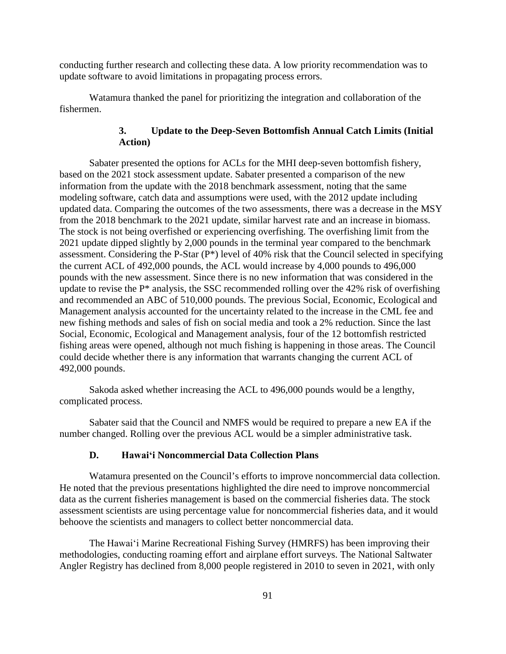conducting further research and collecting these data. A low priority recommendation was to update software to avoid limitations in propagating process errors.

Watamura thanked the panel for prioritizing the integration and collaboration of the fishermen.

## **3. Update to the Deep-Seven Bottomfish Annual Catch Limits (Initial Action)**

Sabater presented the options for ACLs for the MHI deep-seven bottomfish fishery, based on the 2021 stock assessment update. Sabater presented a comparison of the new information from the update with the 2018 benchmark assessment, noting that the same modeling software, catch data and assumptions were used, with the 2012 update including updated data. Comparing the outcomes of the two assessments, there was a decrease in the MSY from the 2018 benchmark to the 2021 update, similar harvest rate and an increase in biomass. The stock is not being overfished or experiencing overfishing. The overfishing limit from the 2021 update dipped slightly by 2,000 pounds in the terminal year compared to the benchmark assessment. Considering the P-Star (P\*) level of 40% risk that the Council selected in specifying the current ACL of 492,000 pounds, the ACL would increase by 4,000 pounds to 496,000 pounds with the new assessment. Since there is no new information that was considered in the update to revise the  $P^*$  analysis, the SSC recommended rolling over the 42% risk of overfishing and recommended an ABC of 510,000 pounds. The previous Social, Economic, Ecological and Management analysis accounted for the uncertainty related to the increase in the CML fee and new fishing methods and sales of fish on social media and took a 2% reduction. Since the last Social, Economic, Ecological and Management analysis, four of the 12 bottomfish restricted fishing areas were opened, although not much fishing is happening in those areas. The Council could decide whether there is any information that warrants changing the current ACL of 492,000 pounds.

Sakoda asked whether increasing the ACL to 496,000 pounds would be a lengthy, complicated process.

Sabater said that the Council and NMFS would be required to prepare a new EA if the number changed. Rolling over the previous ACL would be a simpler administrative task.

## **D. Hawaiʻi Noncommercial Data Collection Plans**

Watamura presented on the Council's efforts to improve noncommercial data collection. He noted that the previous presentations highlighted the dire need to improve noncommercial data as the current fisheries management is based on the commercial fisheries data. The stock assessment scientists are using percentage value for noncommercial fisheries data, and it would behoove the scientists and managers to collect better noncommercial data.

The Hawaiʻi Marine Recreational Fishing Survey (HMRFS) has been improving their methodologies, conducting roaming effort and airplane effort surveys. The National Saltwater Angler Registry has declined from 8,000 people registered in 2010 to seven in 2021, with only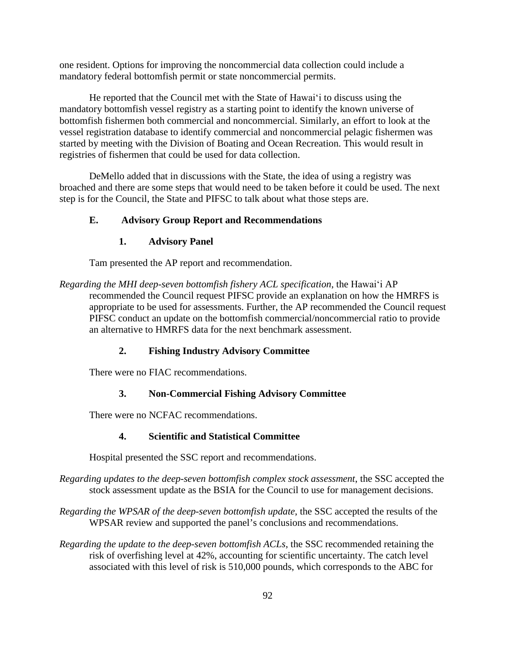one resident. Options for improving the noncommercial data collection could include a mandatory federal bottomfish permit or state noncommercial permits.

He reported that the Council met with the State of Hawaiʻi to discuss using the mandatory bottomfish vessel registry as a starting point to identify the known universe of bottomfish fishermen both commercial and noncommercial. Similarly, an effort to look at the vessel registration database to identify commercial and noncommercial pelagic fishermen was started by meeting with the Division of Boating and Ocean Recreation. This would result in registries of fishermen that could be used for data collection.

DeMello added that in discussions with the State, the idea of using a registry was broached and there are some steps that would need to be taken before it could be used. The next step is for the Council, the State and PIFSC to talk about what those steps are.

## **E. Advisory Group Report and Recommendations**

### **1. Advisory Panel**

Tam presented the AP report and recommendation.

*Regarding the MHI deep-seven bottomfish fishery ACL specification*, the Hawaiʻi AP recommended the Council request PIFSC provide an explanation on how the HMRFS is appropriate to be used for assessments. Further, the AP recommended the Council request PIFSC conduct an update on the bottomfish commercial/noncommercial ratio to provide an alternative to HMRFS data for the next benchmark assessment.

## **2. Fishing Industry Advisory Committee**

There were no FIAC recommendations.

## **3. Non-Commercial Fishing Advisory Committee**

There were no NCFAC recommendations.

## **4. Scientific and Statistical Committee**

Hospital presented the SSC report and recommendations.

- *Regarding updates to the deep-seven bottomfish complex stock assessment*, the SSC accepted the stock assessment update as the BSIA for the Council to use for management decisions.
- *Regarding the WPSAR of the deep-seven bottomfish update*, the SSC accepted the results of the WPSAR review and supported the panel's conclusions and recommendations.
- *Regarding the update to the deep-seven bottomfish ACLs*, the SSC recommended retaining the risk of overfishing level at 42%, accounting for scientific uncertainty. The catch level associated with this level of risk is 510,000 pounds, which corresponds to the ABC for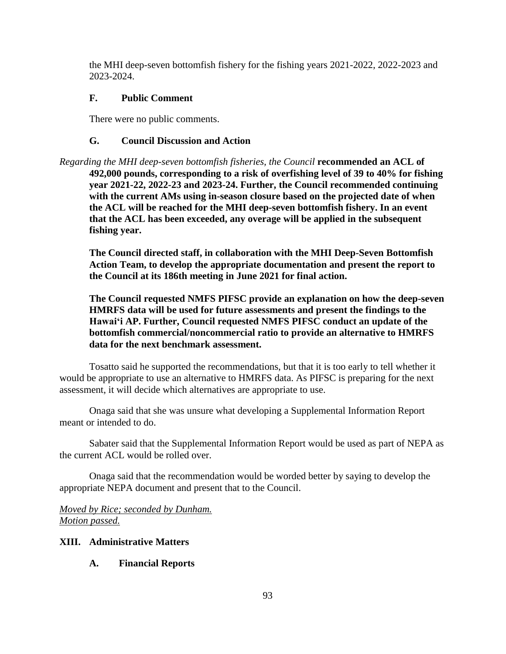the MHI deep-seven bottomfish fishery for the fishing years 2021-2022, 2022-2023 and 2023-2024.

## **F. Public Comment**

There were no public comments.

# **G. Council Discussion and Action**

*Regarding the MHI deep-seven bottomfish fisheries, the Council* **recommended an ACL of 492,000 pounds, corresponding to a risk of overfishing level of 39 to 40% for fishing year 2021-22, 2022-23 and 2023-24. Further, the Council recommended continuing with the current AMs using in-season closure based on the projected date of when the ACL will be reached for the MHI deep-seven bottomfish fishery. In an event that the ACL has been exceeded, any overage will be applied in the subsequent fishing year.**

**The Council directed staff, in collaboration with the MHI Deep-Seven Bottomfish Action Team, to develop the appropriate documentation and present the report to the Council at its 186th meeting in June 2021 for final action.**

**The Council requested NMFS PIFSC provide an explanation on how the deep-seven HMRFS data will be used for future assessments and present the findings to the Hawaiʻi AP. Further, Council requested NMFS PIFSC conduct an update of the bottomfish commercial/noncommercial ratio to provide an alternative to HMRFS data for the next benchmark assessment.**

Tosatto said he supported the recommendations, but that it is too early to tell whether it would be appropriate to use an alternative to HMRFS data. As PIFSC is preparing for the next assessment, it will decide which alternatives are appropriate to use.

Onaga said that she was unsure what developing a Supplemental Information Report meant or intended to do.

Sabater said that the Supplemental Information Report would be used as part of NEPA as the current ACL would be rolled over.

Onaga said that the recommendation would be worded better by saying to develop the appropriate NEPA document and present that to the Council.

*Moved by Rice; seconded by Dunham. Motion passed.*

# **XIII. Administrative Matters**

# **A. Financial Reports**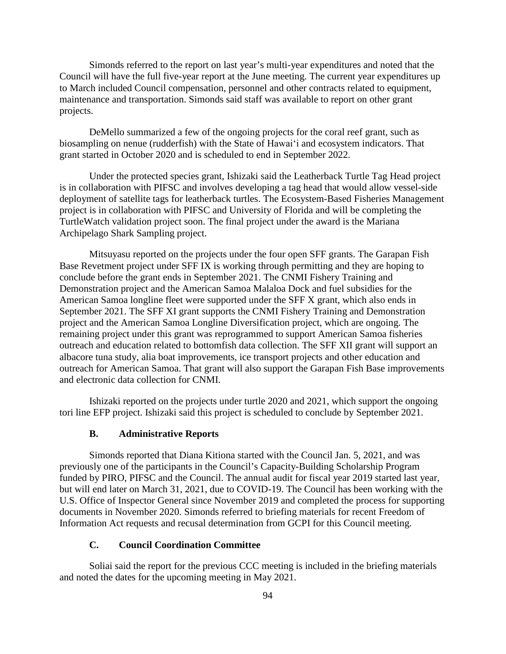Simonds referred to the report on last year's multi-year expenditures and noted that the Council will have the full five-year report at the June meeting. The current year expenditures up to March included Council compensation, personnel and other contracts related to equipment, maintenance and transportation. Simonds said staff was available to report on other grant projects.

DeMello summarized a few of the ongoing projects for the coral reef grant, such as biosampling on nenue (rudderfish) with the State of Hawaiʻi and ecosystem indicators. That grant started in October 2020 and is scheduled to end in September 2022.

Under the protected species grant, Ishizaki said the Leatherback Turtle Tag Head project is in collaboration with PIFSC and involves developing a tag head that would allow vessel-side deployment of satellite tags for leatherback turtles. The Ecosystem-Based Fisheries Management project is in collaboration with PIFSC and University of Florida and will be completing the TurtleWatch validation project soon. The final project under the award is the Mariana Archipelago Shark Sampling project.

Mitsuyasu reported on the projects under the four open SFF grants. The Garapan Fish Base Revetment project under SFF IX is working through permitting and they are hoping to conclude before the grant ends in September 2021. The CNMI Fishery Training and Demonstration project and the American Samoa Malaloa Dock and fuel subsidies for the American Samoa longline fleet were supported under the SFF X grant, which also ends in September 2021. The SFF XI grant supports the CNMI Fishery Training and Demonstration project and the American Samoa Longline Diversification project, which are ongoing. The remaining project under this grant was reprogrammed to support American Samoa fisheries outreach and education related to bottomfish data collection. The SFF XII grant will support an albacore tuna study, alia boat improvements, ice transport projects and other education and outreach for American Samoa. That grant will also support the Garapan Fish Base improvements and electronic data collection for CNMI.

Ishizaki reported on the projects under turtle 2020 and 2021, which support the ongoing tori line EFP project. Ishizaki said this project is scheduled to conclude by September 2021.

#### **B. Administrative Reports**

Simonds reported that Diana Kitiona started with the Council Jan. 5, 2021, and was previously one of the participants in the Council's Capacity-Building Scholarship Program funded by PIRO, PIFSC and the Council. The annual audit for fiscal year 2019 started last year, but will end later on March 31, 2021, due to COVID-19. The Council has been working with the U.S. Office of Inspector General since November 2019 and completed the process for supporting documents in November 2020. Simonds referred to briefing materials for recent Freedom of Information Act requests and recusal determination from GCPI for this Council meeting.

### **C. Council Coordination Committee**

Soliai said the report for the previous CCC meeting is included in the briefing materials and noted the dates for the upcoming meeting in May 2021.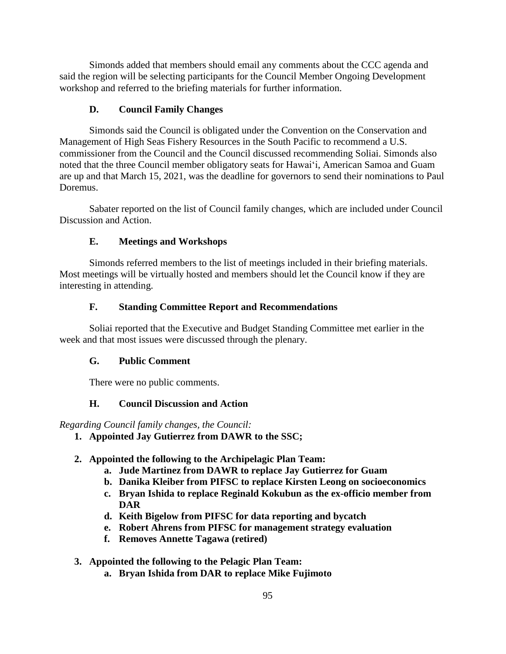Simonds added that members should email any comments about the CCC agenda and said the region will be selecting participants for the Council Member Ongoing Development workshop and referred to the briefing materials for further information.

## **D. Council Family Changes**

Simonds said the Council is obligated under the Convention on the Conservation and Management of High Seas Fishery Resources in the South Pacific to recommend a U.S. commissioner from the Council and the Council discussed recommending Soliai. Simonds also noted that the three Council member obligatory seats for Hawaiʻi, American Samoa and Guam are up and that March 15, 2021, was the deadline for governors to send their nominations to Paul Doremus.

Sabater reported on the list of Council family changes, which are included under Council Discussion and Action.

## **E. Meetings and Workshops**

Simonds referred members to the list of meetings included in their briefing materials. Most meetings will be virtually hosted and members should let the Council know if they are interesting in attending.

## **F. Standing Committee Report and Recommendations**

Soliai reported that the Executive and Budget Standing Committee met earlier in the week and that most issues were discussed through the plenary.

## **G. Public Comment**

There were no public comments.

# **H. Council Discussion and Action**

*Regarding Council family changes, the Council:*

- **1. Appointed Jay Gutierrez from DAWR to the SSC;**
- **2. Appointed the following to the Archipelagic Plan Team:**
	- **a. Jude Martinez from DAWR to replace Jay Gutierrez for Guam**
	- **b. Danika Kleiber from PIFSC to replace Kirsten Leong on socioeconomics**
	- **c. Bryan Ishida to replace Reginald Kokubun as the ex-officio member from DAR**
	- **d. Keith Bigelow from PIFSC for data reporting and bycatch**
	- **e. Robert Ahrens from PIFSC for management strategy evaluation**
	- **f. Removes Annette Tagawa (retired)**

# **3. Appointed the following to the Pelagic Plan Team:**

**a. Bryan Ishida from DAR to replace Mike Fujimoto**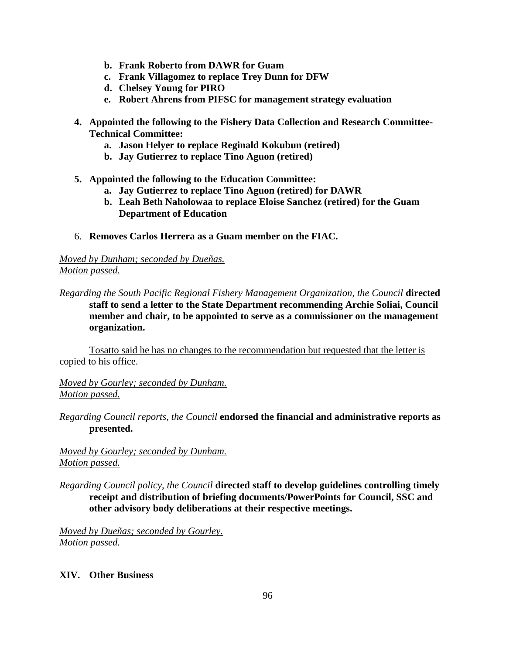- **b. Frank Roberto from DAWR for Guam**
- **c. Frank Villagomez to replace Trey Dunn for DFW**
- **d. Chelsey Young for PIRO**
- **e. Robert Ahrens from PIFSC for management strategy evaluation**
- **4. Appointed the following to the Fishery Data Collection and Research Committee-Technical Committee:**
	- **a. Jason Helyer to replace Reginald Kokubun (retired)**
	- **b. Jay Gutierrez to replace Tino Aguon (retired)**
- **5. Appointed the following to the Education Committee:**
	- **a. Jay Gutierrez to replace Tino Aguon (retired) for DAWR**
	- **b. Leah Beth Naholowaa to replace Eloise Sanchez (retired) for the Guam Department of Education**
- 6. **Removes Carlos Herrera as a Guam member on the FIAC.**

## *Moved by Dunham; seconded by Dueñas. Motion passed.*

*Regarding the South Pacific Regional Fishery Management Organization, the Council* **directed staff to send a letter to the State Department recommending Archie Soliai, Council member and chair, to be appointed to serve as a commissioner on the management organization.**

Tosatto said he has no changes to the recommendation but requested that the letter is copied to his office.

*Moved by Gourley; seconded by Dunham. Motion passed.*

*Regarding Council reports, the Council* **endorsed the financial and administrative reports as presented.**

*Moved by Gourley; seconded by Dunham. Motion passed.*

*Regarding Council policy, the Council* **directed staff to develop guidelines controlling timely receipt and distribution of briefing documents/PowerPoints for Council, SSC and other advisory body deliberations at their respective meetings.** 

*Moved by Dueñas; seconded by Gourley. Motion passed.*

## **XIV. Other Business**